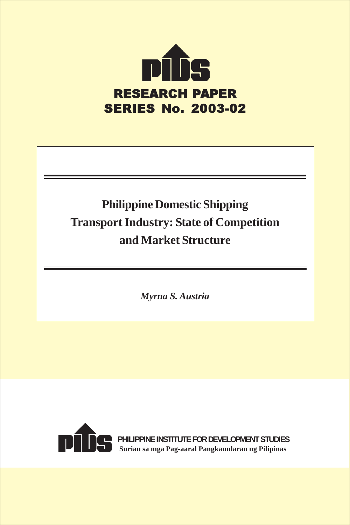

# **Philippine Domestic Shipping Transport Industry: State of Competition and Market Structure**

*Myrna S. Austria*



**PHILIPPINE INSTITUTE FOR DEVELOPMENT STUDIES Surian sa mga Pag-aaral Pangkaunlaran ng Pilipinas**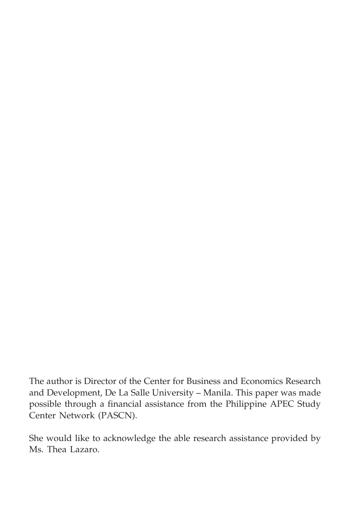The author is Director of the Center for Business and Economics Research and Development, De La Salle University – Manila. This paper was made possible through a financial assistance from the Philippine APEC Study Center Network (PASCN).

She would like to acknowledge the able research assistance provided by Ms. Thea Lazaro.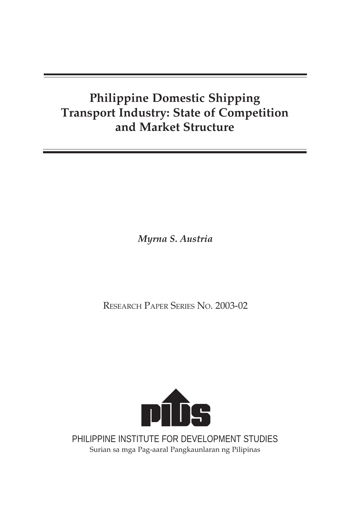## **Philippine Domestic Shipping Transport Industry: State of Competition and Market Structure**

*Myrna S. Austria*

RESEARCH PAPER SERIES NO. 2003-02



PHILIPPINE INSTITUTE FOR DEVELOPMENT STUDIES Surian sa mga Pag-aaral Pangkaunlaran ng Pilipinas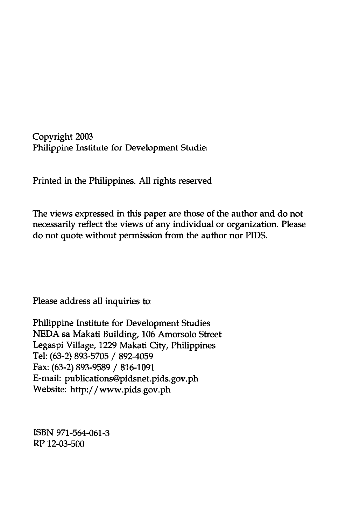Copyright 2003<br>Philippine Institute for Development Studie: zht 200.

Printed in the Philippines. All rights reserved

The views expressed in this paper are those of the author and<br>necessarily reflect the views of any individual or organizatio:<br>lo not quote without permission from the author nor PIDS. view:<br>:ssaril<br>:ot qu ws expressed in this paper are those of the author and xpressed in this paper are those of the author ar<br>reflect the views of any individual or organizati<br>e without permission from the author nor PIDS. "<br>ic<br>e e<br>lı<br>a n<br>ol 1t<br>,a<br>,r .<br>3<br>) a ao not<br>m. Please

Please address all inquiries to

VEDA sa Makati Building, 106 .<br>| egaspi Village, 1229 Makati Cirel: (63-2) 893-5705 / 892-4059<br>| ax: (63-2) 893-9589 / 816-1091<br>|-mail: publications@pidsnet.pi<br>| vebsite: http://www.pids.gov. ..~ I ' tn pine institute for Development Studies ~ N<br>7il<br>:) {<br>2) :<br>bit<br>hi ...<br>89<br>bl<br>tt مع<br>93<br>الرا<br>tp: ge<br>3-<br>... µ<br>∵a<br>,-9<br>,-∫  $\frac{1}{1}$   $\frac{1}{10}$   $\frac{1}{10}$   $\frac{1}{10}$   $\frac{1}{10}$   $\frac{1}{10}$ ||<br>|29<br>|- || /<br>||156<br>|| 111<br>M<br>89<br>. pi in<br>[a]<br>)2<br>16<br>id<br>pic g,<br>ka<br>-40<br>-11<br>sn<br>ds. 0 r<br>1 ti y:<br>0 e .e .0<br>06<br>.0<br>.91<br>.1.1 y,<br>ds.<br>ph ment Studies<br>Amorsolo Stre<br>ity, Philippine<br>ids.gov.ph orse<br><mark>?hil</mark><br>:0v ok<br>ip<br>p ›p<br>h Legaspi Village, 1229 Makati City, Philippines

EXERN 971-564-0<br>RP 12-03-500 ISBN 971-564-061-3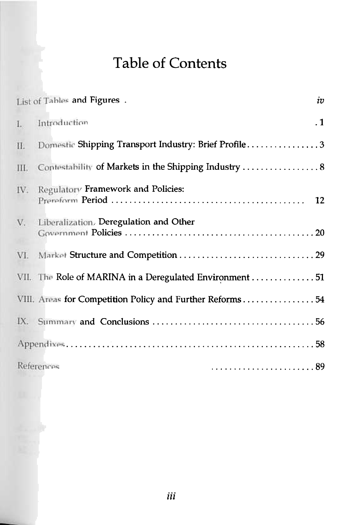# Table of Contents

|    | List of Tables and Figures .                             | iv        |
|----|----------------------------------------------------------|-----------|
|    | I. Introduction                                          | $\cdot$ 1 |
| П. | Domestic Shipping Transport Industry: Brief Profile3     |           |
|    |                                                          |           |
|    | IV. Regulatory Framework and Policies:                   |           |
|    | V. Liberalization, Deregulation and Other                |           |
|    |                                                          |           |
|    | VII. The Role of MARINA in a Deregulated Environment  51 |           |
|    | VIII. Areas for Competition Policy and Further Reforms54 |           |
|    |                                                          |           |
|    |                                                          |           |
|    | References                                               |           |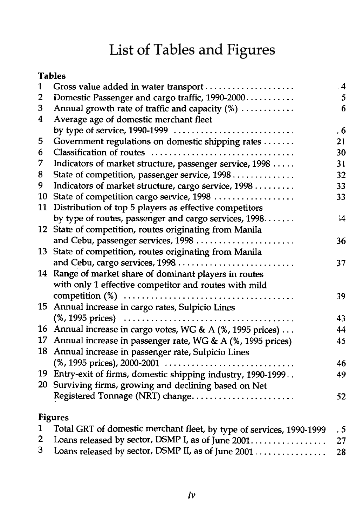# List of Tables and Figures

| v |
|---|
|---|

| 1              | Gross value added in water transport                                 | $\overline{4}$ |
|----------------|----------------------------------------------------------------------|----------------|
| $\overline{2}$ | Domestic Passenger and cargo traffic, 1990-2000                      | 5              |
| 3              | Annual growth rate of traffic and capacity (%)                       | 6              |
| 4              | Average age of domestic merchant fleet                               |                |
|                |                                                                      | . 6            |
| 5              | Government regulations on domestic shipping rates                    | 21             |
| 6              | Classification of routes                                             | 30             |
| 7              | Indicators of market structure, passenger service, 1998              | 31             |
| 8              | State of competition, passenger service, 1998                        | 32             |
| 9              | Indicators of market structure, cargo service, 1998                  | 33             |
| 10             | State of competition cargo service, 1998                             | 33             |
| 11             | Distribution of top 5 players as effective competitors               |                |
|                | by type of routes, passenger and cargo services, 1998                | $\frac{1}{4}$  |
|                | 12 State of competition, routes originating from Manila              |                |
|                | and Cebu, passenger services, 1998                                   | 36             |
|                | 13 State of competition, routes originating from Manila              |                |
|                | and Cebu, cargo services, 1998                                       | 37             |
|                | 14 Range of market share of dominant players in routes               |                |
|                | with only 1 effective competitor and routes with mild                |                |
|                |                                                                      | 39             |
| 15             | Annual increase in cargo rates, Sulpicio Lines                       |                |
|                |                                                                      | 43             |
|                | 16 Annual increase in cargo votes, WG & A (%, 1995 prices)           | 44             |
| 17             | Annual increase in passenger rate, WG & A (%, 1995 prices)           | 45             |
| 18             | Annual increase in passenger rate, Sulpicio Lines                    |                |
|                | $(\%$ , 1995 prices), 2000-2001                                      | 46             |
|                | 19 Entry-exit of firms, domestic shipping industry, 1990-1999        | 49             |
|                | 20 Surviving firms, growing and declining based on Net               |                |
|                | Registered Tonnage (NRT) change                                      | 52             |
|                | <b>Figures</b>                                                       |                |
| 1              | Total GRT of domestic merchant fleet, by type of services, 1990-1999 | .5             |
| 2              | Loans released by sector, DSMP I, as of June 2001                    | 27             |
| 3              | Loans released by sector, DSMP II, as of June 2001                   | 28             |

 $iv$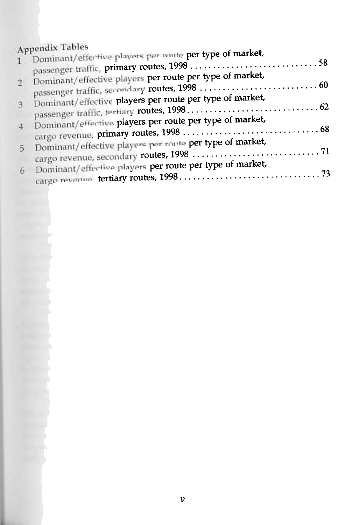## **Appendix Tables**

|               | Appendix Tables                                          |
|---------------|----------------------------------------------------------|
| Л.            | Dominant/effective players per route per type of market, |
| $\mathcal{D}$ | Dominant/effective players per route per type of market, |
| 3.            | Dominant/effective players per route per type of market, |
| $\cdot$ 4.    | Dominant/effective players per route per type of market, |
| 5             | Dominant/effective players per route per type of market, |
| 6             | Dominant/effective players per route per type of market, |
|               |                                                          |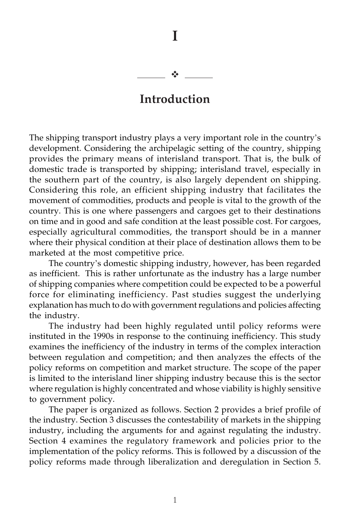#### -

**I**

## **Introduction**

The shipping transport industry plays a very important role in the country's development. Considering the archipelagic setting of the country, shipping provides the primary means of interisland transport. That is, the bulk of domestic trade is transported by shipping; interisland travel, especially in the southern part of the country, is also largely dependent on shipping. Considering this role, an efficient shipping industry that facilitates the movement of commodities, products and people is vital to the growth of the country. This is one where passengers and cargoes get to their destinations on time and in good and safe condition at the least possible cost. For cargoes, especially agricultural commodities, the transport should be in a manner where their physical condition at their place of destination allows them to be marketed at the most competitive price.

The country's domestic shipping industry, however, has been regarded as inefficient. This is rather unfortunate as the industry has a large number of shipping companies where competition could be expected to be a powerful force for eliminating inefficiency. Past studies suggest the underlying explanation has much to do with government regulations and policies affecting the industry.

The industry had been highly regulated until policy reforms were instituted in the 1990s in response to the continuing inefficiency. This study examines the inefficiency of the industry in terms of the complex interaction between regulation and competition; and then analyzes the effects of the policy reforms on competition and market structure. The scope of the paper is limited to the interisland liner shipping industry because this is the sector where regulation is highly concentrated and whose viability is highly sensitive to government policy.

The paper is organized as follows. Section 2 provides a brief profile of the industry. Section 3 discusses the contestability of markets in the shipping industry, including the arguments for and against regulating the industry. Section 4 examines the regulatory framework and policies prior to the implementation of the policy reforms. This is followed by a discussion of the policy reforms made through liberalization and deregulation in Section 5.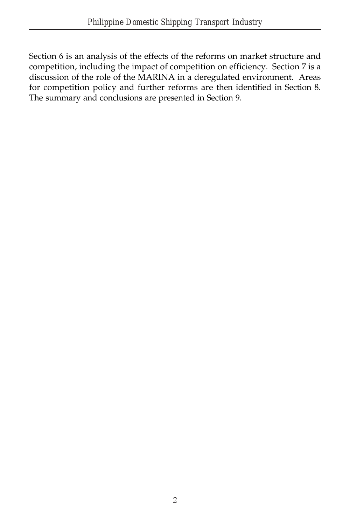Section 6 is an analysis of the effects of the reforms on market structure and competition, including the impact of competition on efficiency. Section 7 is a discussion of the role of the MARINA in a deregulated environment. Areas for competition policy and further reforms are then identified in Section 8. The summary and conclusions are presented in Section 9.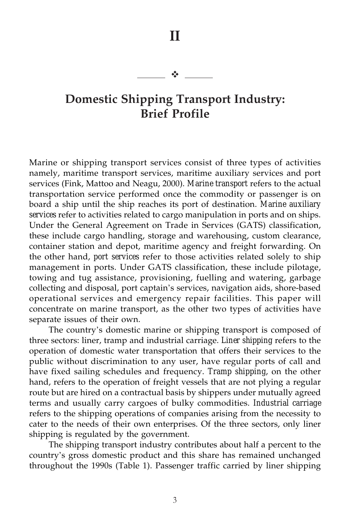## **II**

#### $\frac{1}{2}$

## **Domestic Shipping Transport Industry: Brief Profile**

Marine or shipping transport services consist of three types of activities namely, maritime transport services, maritime auxiliary services and port services (Fink, Mattoo and Neagu, 2000). *Marine transport* refers to the actual transportation service performed once the commodity or passenger is on board a ship until the ship reaches its port of destination. *Marine auxiliary services* refer to activities related to cargo manipulation in ports and on ships. Under the General Agreement on Trade in Services (GATS) classification, these include cargo handling, storage and warehousing, custom clearance, container station and depot, maritime agency and freight forwarding. On the other hand, *port services* refer to those activities related solely to ship management in ports. Under GATS classification, these include pilotage, towing and tug assistance, provisioning, fuelling and watering, garbage collecting and disposal, port captain's services, navigation aids, shore-based operational services and emergency repair facilities. This paper will concentrate on marine transport, as the other two types of activities have separate issues of their own.

The country's domestic marine or shipping transport is composed of three sectors: liner, tramp and industrial carriage. *Liner shipping* refers to the operation of domestic water transportation that offers their services to the public without discrimination to any user, have regular ports of call and have fixed sailing schedules and frequency. *Tramp shipping*, on the other hand, refers to the operation of freight vessels that are not plying a regular route but are hired on a contractual basis by shippers under mutually agreed terms and usually carry cargoes of bulky commodities. *Industrial carriage* refers to the shipping operations of companies arising from the necessity to cater to the needs of their own enterprises. Of the three sectors, only liner shipping is regulated by the government.

The shipping transport industry contributes about half a percent to the country's gross domestic product and this share has remained unchanged throughout the 1990s (Table 1). Passenger traffic carried by liner shipping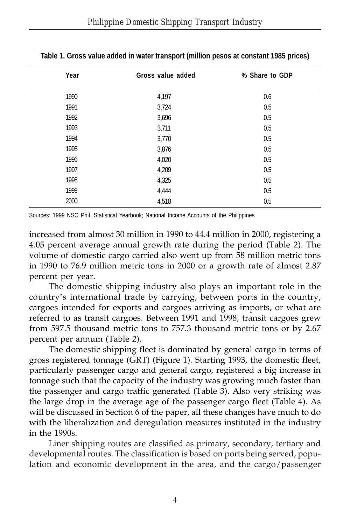| Year | Gross value added | % Share to GDP |  |  |  |
|------|-------------------|----------------|--|--|--|
| 1990 | 4,197             | 0.6            |  |  |  |
| 1991 | 3,724             | 0.5            |  |  |  |
| 1992 | 3,696             | 0.5            |  |  |  |
| 1993 | 3,711             | 0.5            |  |  |  |
| 1994 | 3,770             | 0.5            |  |  |  |
| 1995 | 3,876             | 0.5            |  |  |  |
| 1996 | 4,020             | 0.5            |  |  |  |
| 1997 | 4,209             | 0.5            |  |  |  |
| 1998 | 4,325             | 0.5            |  |  |  |
| 1999 | 4,444             | 0.5            |  |  |  |
| 2000 | 4,518             | 0.5            |  |  |  |

**Table 1. Gross value added in water transport (million pesos at constant 1985 prices)**

Sources: 1999 NSO Phil. Statistical Yearbook; National Income Accounts of the Philippines

increased from almost 30 million in 1990 to 44.4 million in 2000, registering a 4.05 percent average annual growth rate during the period (Table 2). The volume of domestic cargo carried also went up from 58 million metric tons in 1990 to 76.9 million metric tons in 2000 or a growth rate of almost 2.87 percent per year.

The domestic shipping industry also plays an important role in the country's international trade by carrying, between ports in the country, cargoes intended for exports and cargoes arriving as imports, or what are referred to as transit cargoes. Between 1991 and 1998, transit cargoes grew from 597.5 thousand metric tons to 757.3 thousand metric tons or by 2.67 percent per annum (Table 2).

The domestic shipping fleet is dominated by general cargo in terms of gross registered tonnage (GRT) (Figure 1). Starting 1993, the domestic fleet, particularly passenger cargo and general cargo, registered a big increase in tonnage such that the capacity of the industry was growing much faster than the passenger and cargo traffic generated (Table 3). Also very striking was the large drop in the average age of the passenger cargo fleet (Table 4). As will be discussed in Section 6 of the paper, all these changes have much to do with the liberalization and deregulation measures instituted in the industry in the 1990s.

Liner shipping routes are classified as primary, secondary, tertiary and developmental routes. The classification is based on ports being served, population and economic development in the area, and the cargo/passenger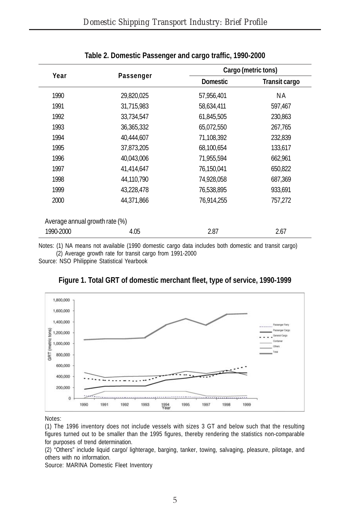| Year                           |            | Cargo (metric tons) |                      |  |  |  |
|--------------------------------|------------|---------------------|----------------------|--|--|--|
|                                | Passenger  | <b>Domestic</b>     | <b>Transit cargo</b> |  |  |  |
| 1990                           | 29,820,025 | 57,956,401          | ΝA                   |  |  |  |
| 1991                           | 31,715,983 | 58,634,411          | 597,467              |  |  |  |
| 1992                           | 33,734,547 | 61,845,505          | 230,863              |  |  |  |
| 1993                           | 36,365,332 | 65,072,550          | 267,765              |  |  |  |
| 1994                           | 40,444,607 | 71,108,392          | 232,839              |  |  |  |
| 1995                           | 37,873,205 | 68,100,654          | 133,617              |  |  |  |
| 1996                           | 40,043,006 | 71,955,594          | 662,961              |  |  |  |
| 1997                           | 41,414,647 | 76,150,041          | 650,822              |  |  |  |
| 1998                           | 44,110,790 | 74,928,058          | 687,369              |  |  |  |
| 1999                           | 43,228,478 | 76,538,895          | 933,691              |  |  |  |
| 2000                           | 44,371,866 | 76,914,255          | 757,272              |  |  |  |
| Average annual growth rate (%) |            |                     |                      |  |  |  |
| 1990-2000                      | 4.05       | 2.87                | 2.67                 |  |  |  |

#### **Table 2. Domestic Passenger and cargo traffic, 1990-2000**

Notes: (1) NA means not available (1990 domestic cargo data includes both domestic and transit cargo) (2) Average growth rate for transit cargo from 1991-2000

Source: NSO Philippine Statistical Yearbook





Notes:

(1) The 1996 inventory does not include vessels with sizes 3 GT and below such that the resulting figures turned out to be smaller than the 1995 figures, thereby rendering the statistics non-comparable for purposes of trend determination.

(2) "Others" include liquid cargo/ lighterage, barging, tanker, towing, salvaging, pleasure, pilotage, and others with no information.

Source: MARINA Domestic Fleet Inventory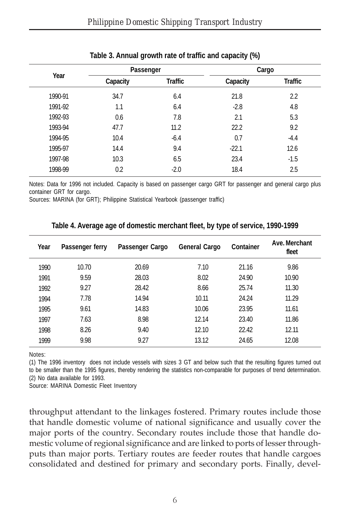|         | Passenger |         | Cargo    |                |  |
|---------|-----------|---------|----------|----------------|--|
| Year    | Capacity  | Traffic | Capacity | <b>Traffic</b> |  |
| 1990-91 | 34.7      | 6.4     | 21.8     | 2.2            |  |
| 1991-92 | 1.1       | 6.4     | $-2.8$   | 4.8            |  |
| 1992-93 | 0.6       | 7.8     | 2.1      | 5.3            |  |
| 1993-94 | 47.7      | 11.2    | 22.2     | 9.2            |  |
| 1994-95 | 10.4      | $-6.4$  | 0.7      | $-4.4$         |  |
| 1995-97 | 14.4      | 9.4     | $-22.1$  | 12.6           |  |
| 1997-98 | 10.3      | 6.5     | 23.4     | $-1.5$         |  |
| 1998-99 | 0.2       | $-2.0$  | 18.4     | 2.5            |  |
|         |           |         |          |                |  |

#### **Table 3. Annual growth rate of traffic and capacity (%)**

Notes: Data for 1996 not included. Capacity is based on passenger cargo GRT for passenger and general cargo plus container GRT for cargo.

Sources: MARINA (for GRT); Philippine Statistical Yearbook (passenger traffic)

| Year | Passenger ferry | Passenger Cargo | <b>General Cargo</b> | Container | Ave. Merchant<br>fleet |
|------|-----------------|-----------------|----------------------|-----------|------------------------|
| 1990 | 10.70           | 20.69           | 7.10                 | 21.16     | 9.86                   |
| 1991 | 9.59            | 28.03           | 8.02                 | 24.90     | 10.90                  |
| 1992 | 9.27            | 28.42           | 8.66                 | 25.74     | 11.30                  |
| 1994 | 7.78            | 14.94           | 10.11                | 24.24     | 11.29                  |
| 1995 | 9.61            | 14.83           | 10.06                | 23.95     | 11.61                  |
| 1997 | 7.63            | 8.98            | 12.14                | 23.40     | 11.86                  |
| 1998 | 8.26            | 9.40            | 12.10                | 22.42     | 12.11                  |
| 1999 | 9.98            | 9.27            | 13.12                | 24.65     | 12.08                  |

#### **Table 4. Average age of domestic merchant fleet, by type of service, 1990-1999**

Notes:

(1) The 1996 inventory does not include vessels with sizes 3 GT and below such that the resulting figures turned out to be smaller than the 1995 figures, thereby rendering the statistics non-comparable for purposes of trend determination. (2) No data available for 1993.

Source: MARINA Domestic Fleet Inventory

throughput attendant to the linkages fostered. Primary routes include those that handle domestic volume of national significance and usually cover the major ports of the country. Secondary routes include those that handle domestic volume of regional significance and are linked to ports of lesser throughputs than major ports. Tertiary routes are feeder routes that handle cargoes consolidated and destined for primary and secondary ports. Finally, devel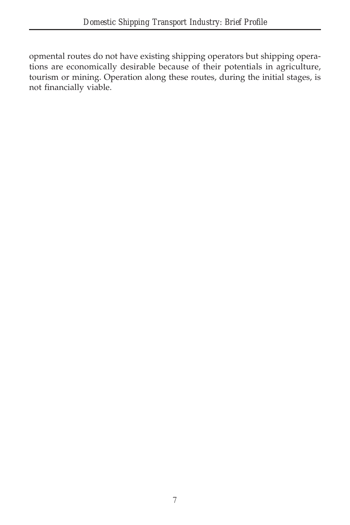opmental routes do not have existing shipping operators but shipping operations are economically desirable because of their potentials in agriculture, tourism or mining. Operation along these routes, during the initial stages, is not financially viable.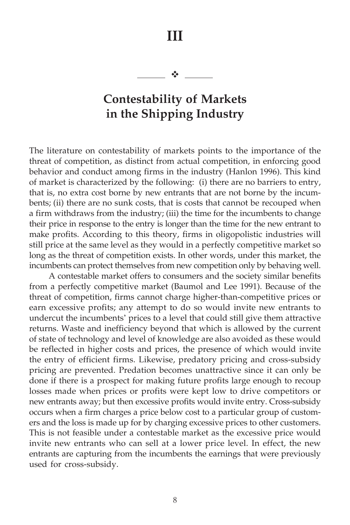**III**

 $\frac{1}{2}$ 

## **Contestability of Markets in the Shipping Industry**

The literature on contestability of markets points to the importance of the threat of competition, as distinct from actual competition, in enforcing good behavior and conduct among firms in the industry (Hanlon 1996). This kind of market is characterized by the following: (i) there are no barriers to entry, that is, no extra cost borne by new entrants that are not borne by the incumbents; (ii) there are no sunk costs, that is costs that cannot be recouped when a firm withdraws from the industry; (iii) the time for the incumbents to change their price in response to the entry is longer than the time for the new entrant to make profits. According to this theory, firms in oligopolistic industries will still price at the same level as they would in a perfectly competitive market so long as the threat of competition exists. In other words, under this market, the incumbents can protect themselves from new competition only by behaving well.

A contestable market offers to consumers and the society similar benefits from a perfectly competitive market (Baumol and Lee 1991). Because of the threat of competition, firms cannot charge higher-than-competitive prices or earn excessive profits; any attempt to do so would invite new entrants to undercut the incumbents' prices to a level that could still give them attractive returns. Waste and inefficiency beyond that which is allowed by the current of state of technology and level of knowledge are also avoided as these would be reflected in higher costs and prices, the presence of which would invite the entry of efficient firms. Likewise, predatory pricing and cross-subsidy pricing are prevented. Predation becomes unattractive since it can only be done if there is a prospect for making future profits large enough to recoup losses made when prices or profits were kept low to drive competitors or new entrants away; but then excessive profits would invite entry. Cross-subsidy occurs when a firm charges a price below cost to a particular group of customers and the loss is made up for by charging excessive prices to other customers. This is not feasible under a contestable market as the excessive price would invite new entrants who can sell at a lower price level. In effect, the new entrants are capturing from the incumbents the earnings that were previously used for cross-subsidy.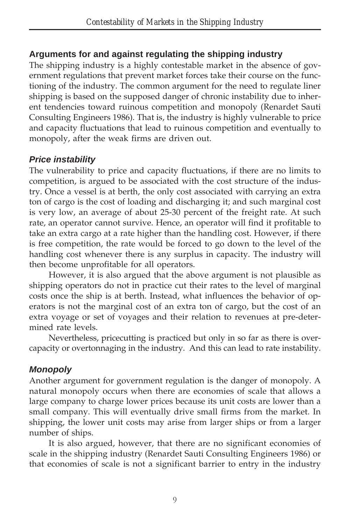## **Arguments for and against regulating the shipping industry**

The shipping industry is a highly contestable market in the absence of government regulations that prevent market forces take their course on the functioning of the industry. The common argument for the need to regulate liner shipping is based on the supposed danger of chronic instability due to inherent tendencies toward ruinous competition and monopoly (Renardet Sauti Consulting Engineers 1986). That is, the industry is highly vulnerable to price and capacity fluctuations that lead to ruinous competition and eventually to monopoly, after the weak firms are driven out.

### *Price instability*

The vulnerability to price and capacity fluctuations, if there are no limits to competition, is argued to be associated with the cost structure of the industry. Once a vessel is at berth, the only cost associated with carrying an extra ton of cargo is the cost of loading and discharging it; and such marginal cost is very low, an average of about 25-30 percent of the freight rate. At such rate, an operator cannot survive. Hence, an operator will find it profitable to take an extra cargo at a rate higher than the handling cost. However, if there is free competition, the rate would be forced to go down to the level of the handling cost whenever there is any surplus in capacity. The industry will then become unprofitable for all operators.

However, it is also argued that the above argument is not plausible as shipping operators do not in practice cut their rates to the level of marginal costs once the ship is at berth. Instead, what influences the behavior of operators is not the marginal cost of an extra ton of cargo, but the cost of an extra voyage or set of voyages and their relation to revenues at pre-determined rate levels.

Nevertheless, pricecutting is practiced but only in so far as there is overcapacity or overtonnaging in the industry. And this can lead to rate instability.

## *Monopoly*

Another argument for government regulation is the danger of monopoly. A natural monopoly occurs when there are economies of scale that allows a large company to charge lower prices because its unit costs are lower than a small company. This will eventually drive small firms from the market. In shipping, the lower unit costs may arise from larger ships or from a larger number of ships.

It is also argued, however, that there are no significant economies of scale in the shipping industry (Renardet Sauti Consulting Engineers 1986) or that economies of scale is not a significant barrier to entry in the industry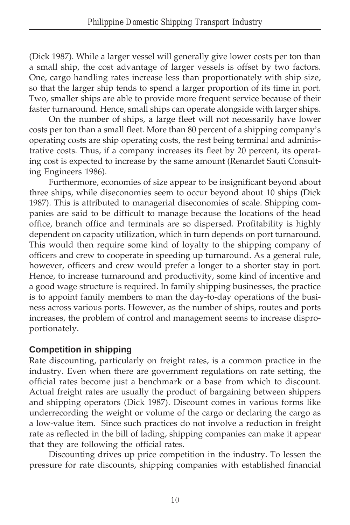(Dick 1987). While a larger vessel will generally give lower costs per ton than a small ship, the cost advantage of larger vessels is offset by two factors. One, cargo handling rates increase less than proportionately with ship size, so that the larger ship tends to spend a larger proportion of its time in port. Two, smaller ships are able to provide more frequent service because of their faster turnaround. Hence, small ships can operate alongside with larger ships.

On the number of ships, a large fleet will not necessarily have lower costs per ton than a small fleet. More than 80 percent of a shipping company's operating costs are ship operating costs, the rest being terminal and administrative costs. Thus, if a company increases its fleet by 20 percent, its operating cost is expected to increase by the same amount (Renardet Sauti Consulting Engineers 1986).

Furthermore, economies of size appear to be insignificant beyond about three ships, while diseconomies seem to occur beyond about 10 ships (Dick 1987). This is attributed to managerial diseconomies of scale. Shipping companies are said to be difficult to manage because the locations of the head office, branch office and terminals are so dispersed. Profitability is highly dependent on capacity utilization, which in turn depends on port turnaround. This would then require some kind of loyalty to the shipping company of officers and crew to cooperate in speeding up turnaround. As a general rule, however, officers and crew would prefer a longer to a shorter stay in port. Hence, to increase turnaround and productivity, some kind of incentive and a good wage structure is required. In family shipping businesses, the practice is to appoint family members to man the day-to-day operations of the business across various ports. However, as the number of ships, routes and ports increases, the problem of control and management seems to increase disproportionately.

### **Competition in shipping**

Rate discounting, particularly on freight rates, is a common practice in the industry. Even when there are government regulations on rate setting, the official rates become just a benchmark or a base from which to discount. Actual freight rates are usually the product of bargaining between shippers and shipping operators (Dick 1987). Discount comes in various forms like underrecording the weight or volume of the cargo or declaring the cargo as a low-value item. Since such practices do not involve a reduction in freight rate as reflected in the bill of lading, shipping companies can make it appear that they are following the official rates.

Discounting drives up price competition in the industry. To lessen the pressure for rate discounts, shipping companies with established financial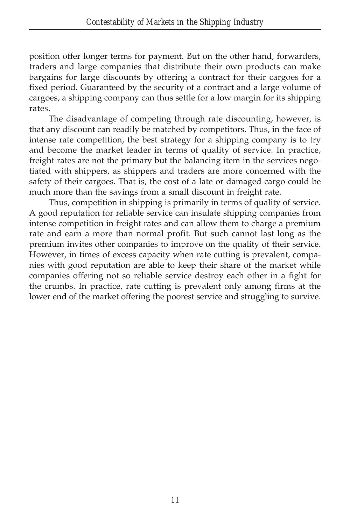position offer longer terms for payment. But on the other hand, forwarders, traders and large companies that distribute their own products can make bargains for large discounts by offering a contract for their cargoes for a fixed period. Guaranteed by the security of a contract and a large volume of cargoes, a shipping company can thus settle for a low margin for its shipping rates.

The disadvantage of competing through rate discounting, however, is that any discount can readily be matched by competitors. Thus, in the face of intense rate competition, the best strategy for a shipping company is to try and become the market leader in terms of quality of service. In practice, freight rates are not the primary but the balancing item in the services negotiated with shippers, as shippers and traders are more concerned with the safety of their cargoes. That is, the cost of a late or damaged cargo could be much more than the savings from a small discount in freight rate.

Thus, competition in shipping is primarily in terms of quality of service. A good reputation for reliable service can insulate shipping companies from intense competition in freight rates and can allow them to charge a premium rate and earn a more than normal profit. But such cannot last long as the premium invites other companies to improve on the quality of their service. However, in times of excess capacity when rate cutting is prevalent, companies with good reputation are able to keep their share of the market while companies offering not so reliable service destroy each other in a fight for the crumbs. In practice, rate cutting is prevalent only among firms at the lower end of the market offering the poorest service and struggling to survive.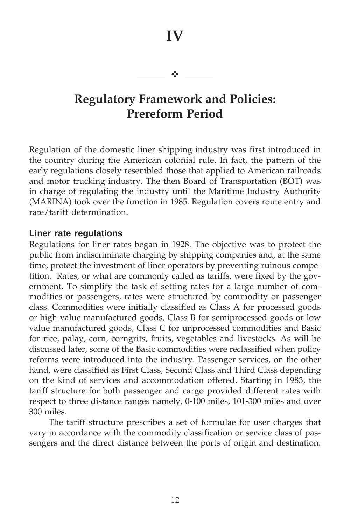## **IV**

#### $-1$

## **Regulatory Framework and Policies: Prereform Period**

Regulation of the domestic liner shipping industry was first introduced in the country during the American colonial rule. In fact, the pattern of the early regulations closely resembled those that applied to American railroads and motor trucking industry. The then Board of Transportation (BOT) was in charge of regulating the industry until the Maritime Industry Authority (MARINA) took over the function in 1985. Regulation covers route entry and rate/tariff determination.

#### **Liner rate regulations**

Regulations for liner rates began in 1928. The objective was to protect the public from indiscriminate charging by shipping companies and, at the same time, protect the investment of liner operators by preventing ruinous competition. Rates, or what are commonly called as tariffs, were fixed by the government. To simplify the task of setting rates for a large number of commodities or passengers, rates were structured by commodity or passenger class. Commodities were initially classified as Class A for processed goods or high value manufactured goods, Class B for semiprocessed goods or low value manufactured goods, Class C for unprocessed commodities and Basic for rice, palay, corn, corngrits, fruits, vegetables and livestocks. As will be discussed later, some of the Basic commodities were reclassified when policy reforms were introduced into the industry. Passenger services, on the other hand, were classified as First Class, Second Class and Third Class depending on the kind of services and accommodation offered. Starting in 1983, the tariff structure for both passenger and cargo provided different rates with respect to three distance ranges namely, 0-100 miles, 101-300 miles and over 300 miles.

The tariff structure prescribes a set of formulae for user charges that vary in accordance with the commodity classification or service class of passengers and the direct distance between the ports of origin and destination.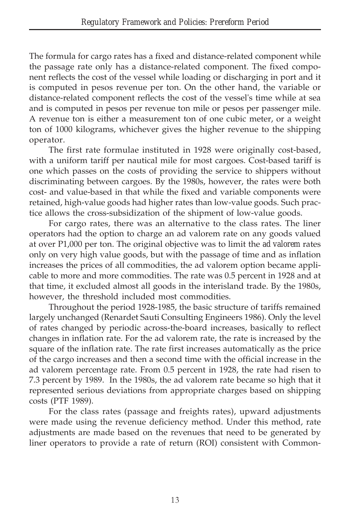The formula for cargo rates has a fixed and distance-related component while the passage rate only has a distance-related component. The fixed component reflects the cost of the vessel while loading or discharging in port and it is computed in pesos revenue per ton. On the other hand, the variable or distance-related component reflects the cost of the vessel's time while at sea and is computed in pesos per revenue ton mile or pesos per passenger mile. A revenue ton is either a measurement ton of one cubic meter, or a weight ton of 1000 kilograms, whichever gives the higher revenue to the shipping operator.

The first rate formulae instituted in 1928 were originally cost-based, with a uniform tariff per nautical mile for most cargoes. Cost-based tariff is one which passes on the costs of providing the service to shippers without discriminating between cargoes. By the 1980s, however, the rates were both cost- and value-based in that while the fixed and variable components were retained, high-value goods had higher rates than low-value goods. Such practice allows the cross-subsidization of the shipment of low-value goods.

For cargo rates, there was an alternative to the class rates. The liner operators had the option to charge an ad valorem rate on any goods valued at over P1,000 per ton. The original objective was to limit the *ad valorem* rates only on very high value goods, but with the passage of time and as inflation increases the prices of all commodities, the ad valorem option became applicable to more and more commodities. The rate was 0.5 percent in 1928 and at that time, it excluded almost all goods in the interisland trade. By the 1980s, however, the threshold included most commodities.

Throughout the period 1928-1985, the basic structure of tariffs remained largely unchanged (Renardet Sauti Consulting Engineers 1986). Only the level of rates changed by periodic across-the-board increases, basically to reflect changes in inflation rate. For the ad valorem rate, the rate is increased by the square of the inflation rate. The rate first increases automatically as the price of the cargo increases and then a second time with the official increase in the ad valorem percentage rate. From 0.5 percent in 1928, the rate had risen to 7.3 percent by 1989. In the 1980s, the ad valorem rate became so high that it represented serious deviations from appropriate charges based on shipping costs (PTF 1989).

For the class rates (passage and freights rates), upward adjustments were made using the revenue deficiency method. Under this method, rate adjustments are made based on the revenues that need to be generated by liner operators to provide a rate of return (ROI) consistent with Common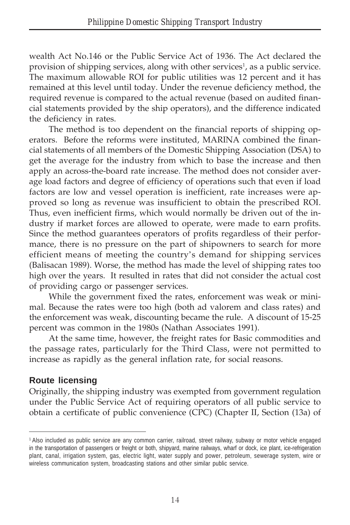wealth Act No.146 or the Public Service Act of 1936. The Act declared the provision of shipping services, along with other services<sup>1</sup>, as a public service. The maximum allowable ROI for public utilities was 12 percent and it has remained at this level until today. Under the revenue deficiency method, the required revenue is compared to the actual revenue (based on audited financial statements provided by the ship operators), and the difference indicated the deficiency in rates.

The method is too dependent on the financial reports of shipping operators. Before the reforms were instituted, MARINA combined the financial statements of all members of the Domestic Shipping Association (DSA) to get the average for the industry from which to base the increase and then apply an across-the-board rate increase. The method does not consider average load factors and degree of efficiency of operations such that even if load factors are low and vessel operation is inefficient, rate increases were approved so long as revenue was insufficient to obtain the prescribed ROI. Thus, even inefficient firms, which would normally be driven out of the industry if market forces are allowed to operate, were made to earn profits. Since the method guarantees operators of profits regardless of their performance, there is no pressure on the part of shipowners to search for more efficient means of meeting the country's demand for shipping services (Balisacan 1989). Worse, the method has made the level of shipping rates too high over the years. It resulted in rates that did not consider the actual cost of providing cargo or passenger services.

While the government fixed the rates, enforcement was weak or minimal. Because the rates were too high (both ad valorem and class rates) and the enforcement was weak, discounting became the rule. A discount of 15-25 percent was common in the 1980s (Nathan Associates 1991).

At the same time, however, the freight rates for Basic commodities and the passage rates, particularly for the Third Class, were not permitted to increase as rapidly as the general inflation rate, for social reasons.

## **Route licensing**

Originally, the shipping industry was exempted from government regulation under the Public Service Act of requiring operators of all public service to obtain a certificate of public convenience (CPC) (Chapter II, Section (13a) of

<sup>1</sup> Also included as public service are any common carrier, railroad, street railway, subway or motor vehicle engaged in the transportation of passengers or freight or both, shipyard, marine railways, wharf or dock, ice plant, ice-refrigeration plant, canal, irrigation system, gas, electric light, water supply and power, petroleum, sewerage system, wire or wireless communication system, broadcasting stations and other similar public service.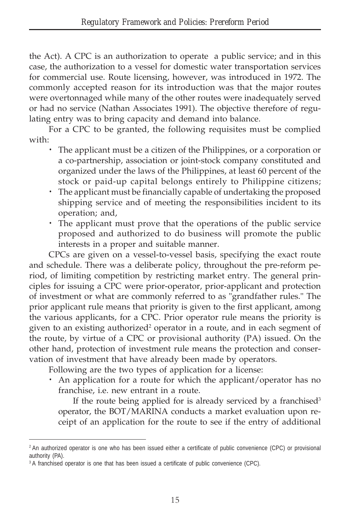the Act). A CPC is an authorization to operate a public service; and in this case, the authorization to a vessel for domestic water transportation services for commercial use. Route licensing, however, was introduced in 1972. The commonly accepted reason for its introduction was that the major routes were overtonnaged while many of the other routes were inadequately served or had no service (Nathan Associates 1991). The objective therefore of regulating entry was to bring capacity and demand into balance.

For a CPC to be granted, the following requisites must be complied with:

- · The applicant must be a citizen of the Philippines, or a corporation or a co-partnership, association or joint-stock company constituted and organized under the laws of the Philippines, at least 60 percent of the stock or paid-up capital belongs entirely to Philippine citizens;
- · The applicant must be financially capable of undertaking the proposed shipping service and of meeting the responsibilities incident to its operation; and,
- · The applicant must prove that the operations of the public service proposed and authorized to do business will promote the public interests in a proper and suitable manner.

CPCs are given on a vessel-to-vessel basis, specifying the exact route and schedule. There was a deliberate policy, throughout the pre-reform period, of limiting competition by restricting market entry. The general principles for issuing a CPC were prior-operator, prior-applicant and protection of investment or what are commonly referred to as "grandfather rules." The prior applicant rule means that priority is given to the first applicant, among the various applicants, for a CPC. Prior operator rule means the priority is given to an existing authorized<sup>2</sup> operator in a route, and in each segment of the route, by virtue of a CPC or provisional authority (PA) issued. On the other hand, protection of investment rule means the protection and conservation of investment that have already been made by operators.

Following are the two types of application for a license:

· An application for a route for which the applicant/operator has no franchise, i.e. new entrant in a route.

If the route being applied for is already serviced by a franchised<sup>3</sup> operator, the BOT/MARINA conducts a market evaluation upon receipt of an application for the route to see if the entry of additional

<sup>&</sup>lt;sup>2</sup> An authorized operator is one who has been issued either a certificate of public convenience (CPC) or provisional authority (PA).

<sup>&</sup>lt;sup>3</sup> A franchised operator is one that has been issued a certificate of public convenience (CPC).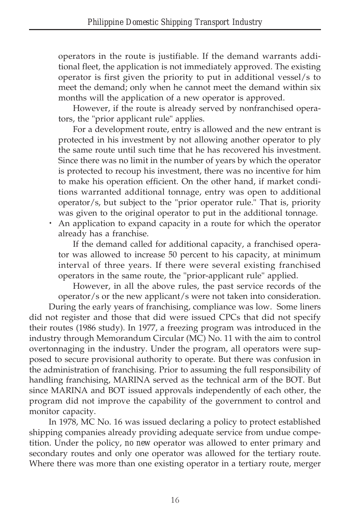operators in the route is justifiable. If the demand warrants additional fleet, the application is not immediately approved. The existing operator is first given the priority to put in additional vessel/s to meet the demand; only when he cannot meet the demand within six months will the application of a new operator is approved.

However, if the route is already served by nonfranchised operators, the "prior applicant rule" applies.

For a development route, entry is allowed and the new entrant is protected in his investment by not allowing another operator to ply the same route until such time that he has recovered his investment. Since there was no limit in the number of years by which the operator is protected to recoup his investment, there was no incentive for him to make his operation efficient. On the other hand, if market conditions warranted additional tonnage, entry was open to additional operator/s, but subject to the "prior operator rule." That is, priority was given to the original operator to put in the additional tonnage.

· An application to expand capacity in a route for which the operator already has a franchise.

If the demand called for additional capacity, a franchised operator was allowed to increase 50 percent to his capacity, at minimum interval of three years. If there were several existing franchised operators in the same route, the "prior-applicant rule" applied.

However, in all the above rules, the past service records of the operator/s or the new applicant/s were not taken into consideration.

During the early years of franchising, compliance was low. Some liners did not register and those that did were issued CPCs that did not specify their routes (1986 study). In 1977, a freezing program was introduced in the industry through Memorandum Circular (MC) No. 11 with the aim to control overtonnaging in the industry. Under the program, all operators were supposed to secure provisional authority to operate. But there was confusion in the administration of franchising. Prior to assuming the full responsibility of handling franchising, MARINA served as the technical arm of the BOT. But since MARINA and BOT issued approvals independently of each other, the program did not improve the capability of the government to control and monitor capacity.

In 1978, MC No. 16 was issued declaring a policy to protect established shipping companies already providing adequate service from undue competition. Under the policy, *no new* operator was allowed to enter primary and secondary routes and only one operator was allowed for the tertiary route. Where there was more than one existing operator in a tertiary route, merger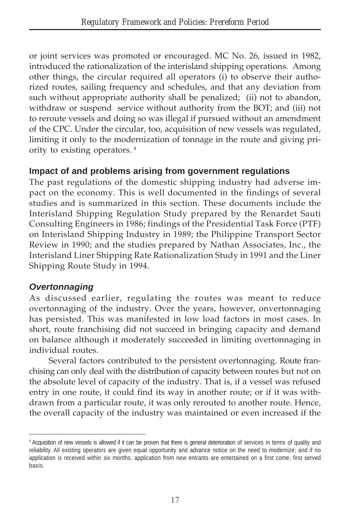or joint services was promoted or encouraged. MC No. 26, issued in 1982, introduced the rationalization of the interisland shipping operations. Among other things, the circular required all operators (i) to observe their authorized routes, sailing frequency and schedules, and that any deviation from such without appropriate authority shall be penalized; (ii) not to abandon, withdraw or suspend service without authority from the BOT; and (iii) not to reroute vessels and doing so was illegal if pursued without an amendment of the CPC. Under the circular, too, acquisition of new vessels was regulated, limiting it only to the modernization of tonnage in the route and giving priority to existing operators. 4

## **Impact of and problems arising from government regulations**

The past regulations of the domestic shipping industry had adverse impact on the economy. This is well documented in the findings of several studies and is summarized in this section. These documents include the Interisland Shipping Regulation Study prepared by the Renardet Sauti Consulting Engineers in 1986; findings of the Presidential Task Force (PTF) on Interisland Shipping Industry in 1989; the Philippine Transport Sector Review in 1990; and the studies prepared by Nathan Associates, Inc., the Interisland Liner Shipping Rate Rationalization Study in 1991 and the Liner Shipping Route Study in 1994.

## *Overtonnaging*

As discussed earlier, regulating the routes was meant to reduce overtonnaging of the industry. Over the years, however, onvertonnaging has persisted. This was manifested in low load factors in most cases. In short, route franchising did not succeed in bringing capacity and demand on balance although it moderately succeeded in limiting overtonnaging in individual routes.

Several factors contributed to the persistent overtonnaging. Route franchising can only deal with the distribution of capacity between routes but not on the absolute level of capacity of the industry. That is, if a vessel was refused entry in one route, it could find its way in another route; or if it was withdrawn from a particular route, it was only rerouted to another route. Hence, the overall capacity of the industry was maintained or even increased if the

<sup>4</sup> Acquisition of new vessels is allowed if it can be proven that there is general deterioration of services in terms of quality and reliability. All existing operators are given equal opportunity and advance notice on the need to modernize; and if no application is received within six months, application from new entrants are entertained on a first come, first served basis.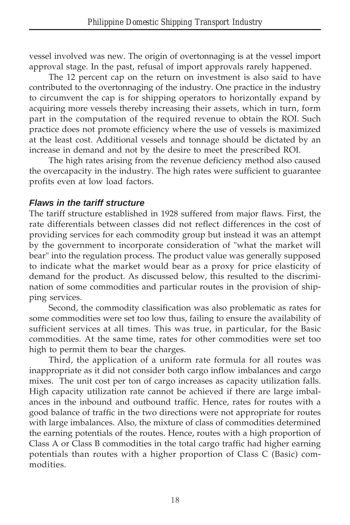vessel involved was new. The origin of overtonnaging is at the vessel import approval stage. In the past, refusal of import approvals rarely happened.

The 12 percent cap on the return on investment is also said to have contributed to the overtonnaging of the industry. One practice in the industry to circumvent the cap is for shipping operators to horizontally expand by acquiring more vessels thereby increasing their assets, which in turn, form part in the computation of the required revenue to obtain the ROI. Such practice does not promote efficiency where the use of vessels is maximized at the least cost. Additional vessels and tonnage should be dictated by an increase in demand and not by the desire to meet the prescribed ROI.

The high rates arising from the revenue deficiency method also caused the overcapacity in the industry. The high rates were sufficient to guarantee profits even at low load factors.

### *Flaws in the tariff structure*

The tariff structure established in 1928 suffered from major flaws. First, the rate differentials between classes did not reflect differences in the cost of providing services for each commodity group but instead it was an attempt by the government to incorporate consideration of "what the market will bear" into the regulation process. The product value was generally supposed to indicate what the market would bear as a proxy for price elasticity of demand for the product. As discussed below, this resulted to the discrimination of some commodities and particular routes in the provision of shipping services.

Second, the commodity classification was also problematic as rates for some commodities were set too low thus, failing to ensure the availability of sufficient services at all times. This was true, in particular, for the Basic commodities. At the same time, rates for other commodities were set too high to permit them to bear the charges.

Third, the application of a uniform rate formula for all routes was inappropriate as it did not consider both cargo inflow imbalances and cargo mixes. The unit cost per ton of cargo increases as capacity utilization falls. High capacity utilization rate cannot be achieved if there are large imbalances in the inbound and outbound traffic. Hence, rates for routes with a good balance of traffic in the two directions were not appropriate for routes with large imbalances. Also, the mixture of class of commodities determined the earning potentials of the routes. Hence, routes with a high proportion of Class A or Class B commodities in the total cargo traffic had higher earning potentials than routes with a higher proportion of Class C (Basic) commodities.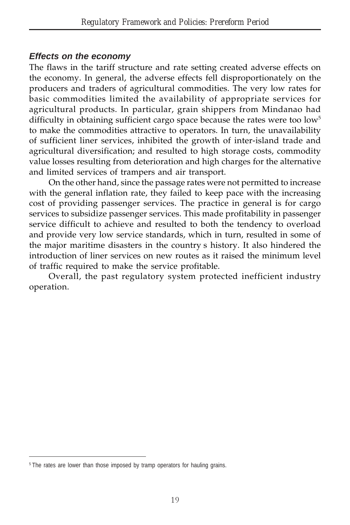### *Effects on the economy*

The flaws in the tariff structure and rate setting created adverse effects on the economy. In general, the adverse effects fell disproportionately on the producers and traders of agricultural commodities. The very low rates for basic commodities limited the availability of appropriate services for agricultural products. In particular, grain shippers from Mindanao had difficulty in obtaining sufficient cargo space because the rates were too  $low<sup>5</sup>$ to make the commodities attractive to operators. In turn, the unavailability of sufficient liner services, inhibited the growth of inter-island trade and agricultural diversification; and resulted to high storage costs, commodity value losses resulting from deterioration and high charges for the alternative and limited services of trampers and air transport.

On the other hand, since the passage rates were not permitted to increase with the general inflation rate, they failed to keep pace with the increasing cost of providing passenger services. The practice in general is for cargo services to subsidize passenger services. This made profitability in passenger service difficult to achieve and resulted to both the tendency to overload and provide very low service standards, which in turn, resulted in some of the major maritime disasters in the country's history. It also hindered the introduction of liner services on new routes as it raised the minimum level of traffic required to make the service profitable.

Overall, the past regulatory system protected inefficient industry operation.

<sup>&</sup>lt;sup>5</sup> The rates are lower than those imposed by tramp operators for hauling grains.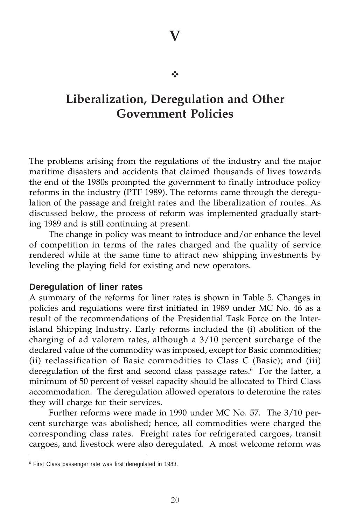**V**

#### $\frac{1}{2}$

## **Liberalization, Deregulation and Other Government Policies**

The problems arising from the regulations of the industry and the major maritime disasters and accidents that claimed thousands of lives towards the end of the 1980s prompted the government to finally introduce policy reforms in the industry (PTF 1989). The reforms came through the deregulation of the passage and freight rates and the liberalization of routes. As discussed below, the process of reform was implemented gradually starting 1989 and is still continuing at present.

The change in policy was meant to introduce and/or enhance the level of competition in terms of the rates charged and the quality of service rendered while at the same time to attract new shipping investments by leveling the playing field for existing and new operators.

#### **Deregulation of liner rates**

A summary of the reforms for liner rates is shown in Table 5. Changes in policies and regulations were first initiated in 1989 under MC No. 46 as a result of the recommendations of the Presidential Task Force on the Interisland Shipping Industry. Early reforms included the (i) abolition of the charging of ad valorem rates, although a 3/10 percent surcharge of the declared value of the commodity was imposed, except for Basic commodities; (ii) reclassification of Basic commodities to Class C (Basic); and (iii) deregulation of the first and second class passage rates.<sup>6</sup> For the latter, a minimum of 50 percent of vessel capacity should be allocated to Third Class accommodation. The deregulation allowed operators to determine the rates they will charge for their services.

Further reforms were made in 1990 under MC No. 57. The 3/10 percent surcharge was abolished; hence, all commodities were charged the corresponding class rates. Freight rates for refrigerated cargoes, transit cargoes, and livestock were also deregulated. A most welcome reform was

<sup>6</sup> First Class passenger rate was first deregulated in 1983.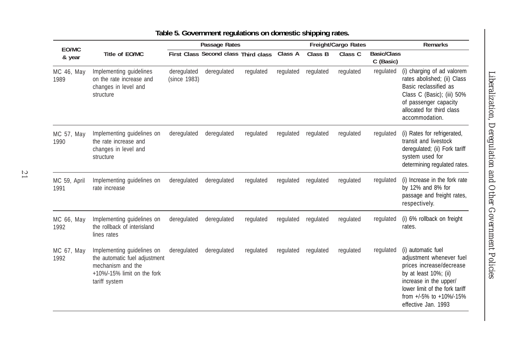| EO/MC                |                                                                                                                                     | Passage Rates               |                                      |           | Freight/Cargo Rates |           |           |                                 | <b>Remarks</b>                                                                                                                                                                                                    |  |
|----------------------|-------------------------------------------------------------------------------------------------------------------------------------|-----------------------------|--------------------------------------|-----------|---------------------|-----------|-----------|---------------------------------|-------------------------------------------------------------------------------------------------------------------------------------------------------------------------------------------------------------------|--|
| & year               | Title of EO/MC                                                                                                                      |                             | First Class Second class Third class |           | Class A             | Class B   | Class C   | <b>Basic/Class</b><br>C (Basic) |                                                                                                                                                                                                                   |  |
| MC 46, May<br>1989   | Implementing guidelines<br>on the rate increase and<br>changes in level and<br>structure                                            | deregulated<br>(since 1983) | deregulated                          | regulated | regulated           | regulated | regulated | regulated                       | (i) charging of ad valorem<br>rates abolished; (ii) Class<br>Basic reclassified as<br>Class C (Basic); (iii) 50%<br>of passenger capacity<br>allocated for third class<br>accommodation.                          |  |
| MC 57, May<br>1990   | Implementing guidelines on<br>the rate increase and<br>changes in level and<br>structure                                            | deregulated                 | deregulated                          | regulated | regulated           | regulated | regulated | regulated                       | (i) Rates for refrigerated,<br>transit and livestock<br>deregulated; (ii) Fork tariff<br>system used for<br>determining regulated rates.                                                                          |  |
| MC 59, April<br>1991 | Implementing guidelines on<br>rate increase                                                                                         | deregulated                 | deregulated                          | regulated | regulated           | regulated | regulated | regulated                       | (i) Increase in the fork rate<br>by 12% and 8% for<br>passage and freight rates,<br>respectively.                                                                                                                 |  |
| MC 66, May<br>1992   | Implementing guidelines on<br>the rollback of interisland<br>lines rates                                                            | deregulated                 | deregulated                          | regulated | regulated           | regulated | regulated | regulated                       | (i) 6% rollback on freight<br>rates.                                                                                                                                                                              |  |
| MC 67, May<br>1992   | Implementing guidelines on<br>the automatic fuel adjustment<br>mechanism and the<br>$+10\%$ -15% limit on the fork<br>tariff system | deregulated                 | deregulated                          | regulated | regulated           | regulated | regulated | regulated                       | (i) automatic fuel<br>adjustment whenever fuel<br>prices increase/decrease<br>by at least 10%; (ii)<br>increase in the upper/<br>lower limit of the fork tariff<br>from +/-5% to +10%/-15%<br>effective Jan. 1993 |  |

### **Table 5. Government regulations on domestic shipping rates.**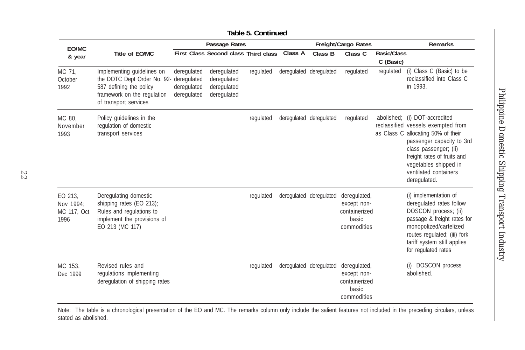| EO/MC                                       |                                                                                                                                                          | Passage Rates                             |                                                          |           | Freight/Cargo Rates |                         |                                                                      | <b>Remarks</b>                  |                                                                                                                                                                                                                                                       |
|---------------------------------------------|----------------------------------------------------------------------------------------------------------------------------------------------------------|-------------------------------------------|----------------------------------------------------------|-----------|---------------------|-------------------------|----------------------------------------------------------------------|---------------------------------|-------------------------------------------------------------------------------------------------------------------------------------------------------------------------------------------------------------------------------------------------------|
| & year                                      | Title of EO/MC                                                                                                                                           |                                           | First Class Second class Third class                     |           | Class A             | Class B                 | Class <sub>C</sub>                                                   | <b>Basic/Class</b><br>C (Basic) |                                                                                                                                                                                                                                                       |
| MC 71,<br>October<br>1992                   | Implementing guidelines on<br>the DOTC Dept Order No. 92- deregulated<br>587 defining the policy<br>framework on the regulation<br>of transport services | deregulated<br>deregulated<br>deregulated | deregulated<br>deregulated<br>deregulated<br>deregulated | regulated |                     | deregulated deregulated | regulated                                                            | regulated                       | (i) Class C (Basic) to be<br>reclassified into Class C<br>in 1993.                                                                                                                                                                                    |
| MC 80.<br>November<br>1993                  | Policy guidelines in the<br>regulation of domestic<br>transport services                                                                                 |                                           |                                                          | regulated |                     | deregulated deregulated | regulated                                                            | abolished;                      | (i) DOT-accredited<br>reclassified vessels exempted from<br>as Class C allocating 50% of their<br>passenger capacity to 3rd<br>class passenger; (ii)<br>freight rates of fruits and<br>vegetables shipped in<br>ventilated containers<br>deregulated. |
| EO 213,<br>Nov 1994:<br>MC 117, Oct<br>1996 | Deregulating domestic<br>shipping rates (EO 213);<br>Rules and regulations to<br>implement the provisions of<br>EO 213 (MC 117)                          |                                           |                                                          | regulated |                     | deregulated deregulated | deregulated,<br>except non-<br>containerized<br>basic<br>commodities |                                 | (i) implementation of<br>deregulated rates follow<br>DOSCON process; (ii)<br>passage & freight rates for<br>monopolized/cartelized<br>routes regulated; (iii) fork<br>tariff system still applies<br>for regulated rates                              |
| MC 153.<br>Dec 1999                         | Revised rules and<br>regulations implementing<br>deregulation of shipping rates                                                                          |                                           |                                                          | regulated |                     | deregulated deregulated | deregulated,<br>except non-<br>containerized<br>basic<br>commodities |                                 | (i) DOSCON process<br>abolished.                                                                                                                                                                                                                      |

22

Note: The table is a chronological presentation of the EO and MC. The remarks column only include the salient features not included in the preceding circulars, unless stated as abolished.

#### **Table 5. Continued**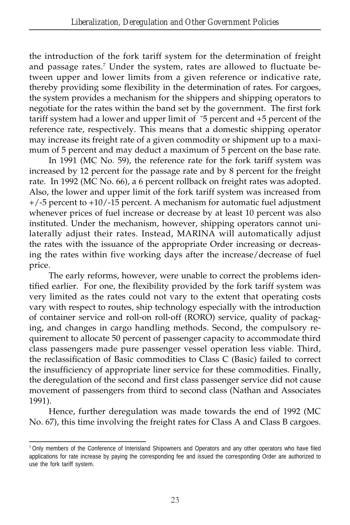the introduction of the fork tariff system for the determination of freight and passage rates.<sup>7</sup> Under the system, rates are allowed to fluctuate between upper and lower limits from a given reference or indicative rate, thereby providing some flexibility in the determination of rates. For cargoes, the system provides a mechanism for the shippers and shipping operators to negotiate for the rates within the band set by the government. The first fork tariff system had a lower and upper limit of  $\degree$ 5 percent and +5 percent of the reference rate, respectively. This means that a domestic shipping operator may increase its freight rate of a given commodity or shipment up to a maximum of 5 percent and may deduct a maximum of 5 percent on the base rate.

In 1991 (MC No. 59), the reference rate for the fork tariff system was increased by 12 percent for the passage rate and by 8 percent for the freight rate. In 1992 (MC No. 66), a 6 percent rollback on freight rates was adopted. Also, the lower and upper limit of the fork tariff system was increased from +/-5 percent to +10/-15 percent. A mechanism for automatic fuel adjustment whenever prices of fuel increase or decrease by at least 10 percent was also instituted. Under the mechanism, however, shipping operators cannot unilaterally adjust their rates. Instead, MARINA will automatically adjust the rates with the issuance of the appropriate Order increasing or decreasing the rates within five working days after the increase/decrease of fuel price.

The early reforms, however, were unable to correct the problems identified earlier. For one, the flexibility provided by the fork tariff system was very limited as the rates could not vary to the extent that operating costs vary with respect to routes, ship technology especially with the introduction of container service and roll-on roll-off (RORO) service, quality of packaging, and changes in cargo handling methods. Second, the compulsory requirement to allocate 50 percent of passenger capacity to accommodate third class passengers made pure passenger vessel operation less viable. Third, the reclassification of Basic commodities to Class C (Basic) failed to correct the insufficiency of appropriate liner service for these commodities. Finally, the deregulation of the second and first class passenger service did not cause movement of passengers from third to second class (Nathan and Associates 1991).

Hence, further deregulation was made towards the end of 1992 (MC No. 67), this time involving the freight rates for Class A and Class B cargoes.

<sup>&</sup>lt;sup>7</sup> Only members of the Conference of Interisland Shipowners and Operators and any other operators who have filed applications for rate increase by paying the corresponding fee and issued the corresponding Order are authorized to use the fork tariff system.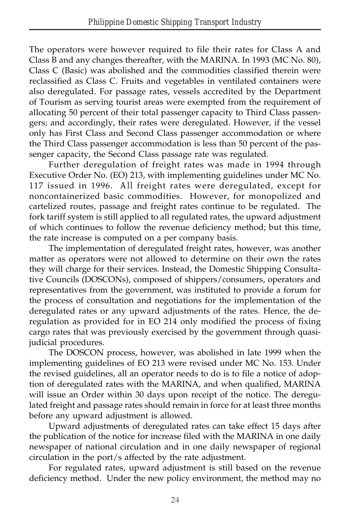The operators were however required to file their rates for Class A and Class B and any changes thereafter, with the MARINA. In 1993 (MC No. 80), Class C (Basic) was abolished and the commodities classified therein were reclassified as Class C. Fruits and vegetables in ventilated containers were also deregulated. For passage rates, vessels accredited by the Department of Tourism as serving tourist areas were exempted from the requirement of allocating 50 percent of their total passenger capacity to Third Class passengers; and accordingly, their rates were deregulated. However, if the vessel only has First Class and Second Class passenger accommodation or where the Third Class passenger accommodation is less than 50 percent of the passenger capacity, the Second Class passage rate was regulated.

Further deregulation of freight rates was made in 1994 through Executive Order No. (EO) 213, with implementing guidelines under MC No. 117 issued in 1996. *All* freight rates were deregulated, except for noncontainerized basic commodities. However, for monopolized and cartelized routes, passage and freight rates continue to be regulated. The fork tariff system is still applied to all regulated rates, the upward adjustment of which continues to follow the revenue deficiency method; but this time, the rate increase is computed on a per company basis.

The implementation of deregulated freight rates, however, was another matter as operators were not allowed to determine on their own the rates they will charge for their services. Instead, the Domestic Shipping Consultative Councils (DOSCONs), composed of shippers/consumers, operators and representatives from the government, was instituted to provide a forum for the process of consultation and negotiations for the implementation of the deregulated rates or any upward adjustments of the rates. Hence, the deregulation as provided for in EO 214 only modified the process of fixing cargo rates that was previously exercised by the government through quasijudicial procedures.

The DOSCON process, however, was abolished in late 1999 when the implementing guidelines of EO 213 were revised under MC No. 153. Under the revised guidelines, all an operator needs to do is to file a notice of adoption of deregulated rates with the MARINA, and when qualified, MARINA will issue an Order within 30 days upon receipt of the notice. The deregulated freight and passage rates should remain in force for at least three months before any upward adjustment is allowed.

Upward adjustments of deregulated rates can take effect 15 days after the publication of the notice for increase filed with the MARINA in one daily newspaper of national circulation and in one daily newspaper of regional circulation in the port/s affected by the rate adjustment.

For regulated rates, upward adjustment is still based on the revenue deficiency method. Under the new policy environment, the method may no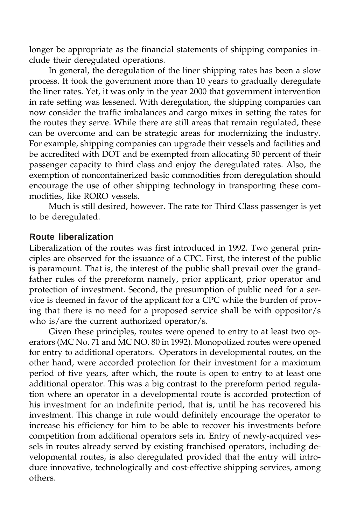longer be appropriate as the financial statements of shipping companies include their deregulated operations.

In general, the deregulation of the liner shipping rates has been a slow process. It took the government more than 10 years to gradually deregulate the liner rates. Yet, it was only in the year 2000 that government intervention in rate setting was lessened. With deregulation, the shipping companies can now consider the traffic imbalances and cargo mixes in setting the rates for the routes they serve. While there are still areas that remain regulated, these can be overcome and can be strategic areas for modernizing the industry. For example, shipping companies can upgrade their vessels and facilities and be accredited with DOT and be exempted from allocating 50 percent of their passenger capacity to third class and enjoy the deregulated rates. Also, the exemption of noncontainerized basic commodities from deregulation should encourage the use of other shipping technology in transporting these commodities, like RORO vessels.

Much is still desired, however. The rate for Third Class passenger is yet to be deregulated.

#### **Route liberalization**

Liberalization of the routes was first introduced in 1992. Two general principles are observed for the issuance of a CPC. First, the interest of the public is paramount. That is, the interest of the public shall prevail over the grandfather rules of the prereform namely, prior applicant, prior operator and protection of investment. Second, the presumption of public need for a service is deemed in favor of the applicant for a CPC while the burden of proving that there is no need for a proposed service shall be with oppositor/s who is/are the current authorized operator/s.

Given these principles, routes were opened to entry to at least two operators (MC No. 71 and MC NO. 80 in 1992). Monopolized routes were opened for entry to additional operators. Operators in developmental routes, on the other hand, were accorded protection for their investment for a maximum period of five years, after which, the route is open to entry to at least one additional operator. This was a big contrast to the prereform period regulation where an operator in a developmental route is accorded protection of his investment for an indefinite period, that is, until he has recovered his investment. This change in rule would definitely encourage the operator to increase his efficiency for him to be able to recover his investments before competition from additional operators sets in. Entry of newly-acquired vessels in routes already served by existing franchised operators, including developmental routes, is also deregulated provided that the entry will introduce innovative, technologically and cost-effective shipping services, among others.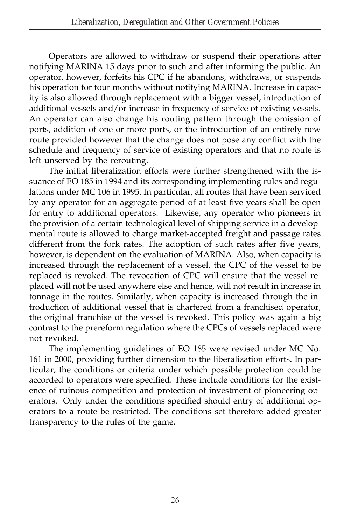Operators are allowed to withdraw or suspend their operations after notifying MARINA 15 days prior to such and after informing the public. An operator, however, forfeits his CPC if he abandons, withdraws, or suspends his operation for four months without notifying MARINA. Increase in capacity is also allowed through replacement with a bigger vessel, introduction of additional vessels and/or increase in frequency of service of existing vessels. An operator can also change his routing pattern through the omission of ports, addition of one or more ports, or the introduction of an entirely new route provided however that the change does not pose any conflict with the schedule and frequency of service of existing operators and that no route is left unserved by the rerouting.

The initial liberalization efforts were further strengthened with the issuance of EO 185 in 1994 and its corresponding implementing rules and regulations under MC 106 in 1995. In particular, all routes that have been serviced by any operator for an aggregate period of at least five years shall be open for entry to additional operators. Likewise, any operator who pioneers in the provision of a certain technological level of shipping service in a developmental route is allowed to charge market-accepted freight and passage rates different from the fork rates. The adoption of such rates after five years, however, is dependent on the evaluation of MARINA. Also, when capacity is increased through the replacement of a vessel, the CPC of the vessel to be replaced is revoked. The revocation of CPC will ensure that the vessel replaced will not be used anywhere else and hence, will not result in increase in tonnage in the routes. Similarly, when capacity is increased through the introduction of additional vessel that is chartered from a franchised operator, the original franchise of the vessel is revoked. This policy was again a big contrast to the prereform regulation where the CPCs of vessels replaced were not revoked.

The implementing guidelines of EO 185 were revised under MC No. 161 in 2000, providing further dimension to the liberalization efforts. In particular, the conditions or criteria under which possible protection could be accorded to operators were specified. These include conditions for the existence of ruinous competition and protection of investment of pioneering operators. Only under the conditions specified should entry of additional operators to a route be restricted. The conditions set therefore added greater transparency to the rules of the game.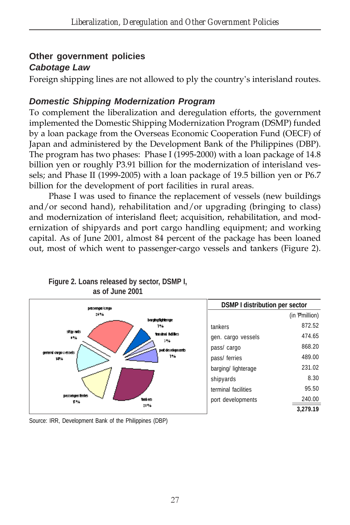### **Other government policies** *Cabotage Law*

Foreign shipping lines are not allowed to ply the country's interisland routes.

## *Domestic Shipping Modernization Program*

To complement the liberalization and deregulation efforts, the government implemented the Domestic Shipping Modernization Program (DSMP) funded by a loan package from the Overseas Economic Cooperation Fund (OECF) of Japan and administered by the Development Bank of the Philippines (DBP). The program has two phases: Phase I (1995-2000) with a loan package of 14.8 billion yen or roughly P3.91 billion for the modernization of interisland vessels; and Phase II (1999-2005) with a loan package of 19.5 billion yen or P6.7 billion for the development of port facilities in rural areas.

Phase I was used to finance the replacement of vessels (new buildings and/or second hand), rehabilitation and/or upgrading (bringing to class) and modernization of interisland fleet; acquisition, rehabilitation, and modernization of shipyards and port cargo handling equipment; and working capital. As of June 2001, almost 84 percent of the package has been loaned out, most of which went to passenger-cargo vessels and tankers (Figure 2).



**Figure 2. Loans released by sector, DSMP I, as of June 2001**

Source: IRR, Development Bank of the Philippines (DBP)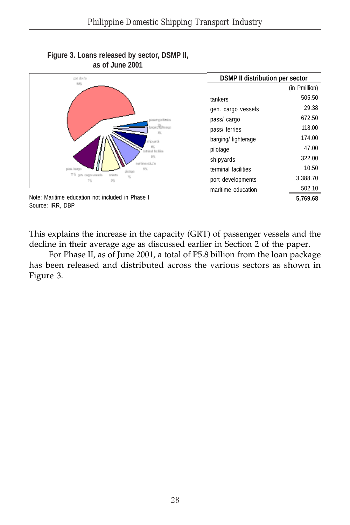

**Figure 3. Loans released by sector, DSMP II, as of June 2001**

Source: IRR, DBP

This explains the increase in the capacity (GRT) of passenger vessels and the decline in their average age as discussed earlier in Section 2 of the paper.

For Phase II, as of June 2001, a total of P5.8 billion from the loan package has been released and distributed across the various sectors as shown in Figure 3.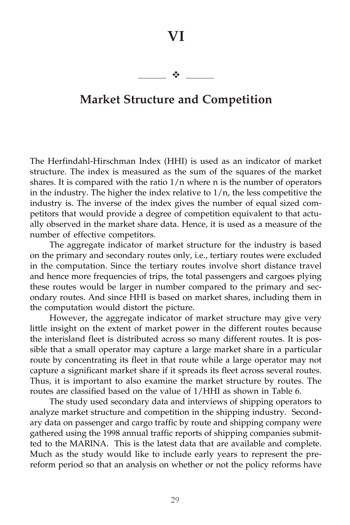## **Market Structure and Competition**

 $\frac{1}{2}$ 

The Herfindahl-Hirschman Index (HHI) is used as an indicator of market structure. The index is measured as the sum of the squares of the market shares. It is compared with the ratio  $1/n$  where n is the number of operators in the industry. The higher the index relative to  $1/n$ , the less competitive the industry is. The inverse of the index gives the number of equal sized competitors that would provide a degree of competition equivalent to that actually observed in the market share data. Hence, it is used as a measure of the number of effective competitors.

The aggregate indicator of market structure for the industry is based on the primary and secondary routes only, i.e., tertiary routes were excluded in the computation. Since the tertiary routes involve short distance travel and hence more frequencies of trips, the total passengers and cargoes plying these routes would be larger in number compared to the primary and secondary routes. And since HHI is based on market shares, including them in the computation would distort the picture.

However, the aggregate indicator of market structure may give very little insight on the extent of market power in the different routes because the interisland fleet is distributed across so many different routes. It is possible that a small operator may capture a large market share in a particular route by concentrating its fleet in that route while a large operator may not capture a significant market share if it spreads its fleet across several routes. Thus, it is important to also examine the market structure by routes. The routes are classified based on the value of 1/HHI as shown in Table 6.

The study used secondary data and interviews of shipping operators to analyze market structure and competition in the shipping industry. Secondary data on passenger and cargo traffic by route and shipping company were gathered using the 1998 annual traffic reports of shipping companies submitted to the MARINA. This is the latest data that are available and complete. Much as the study would like to include early years to represent the prereform period so that an analysis on whether or not the policy reforms have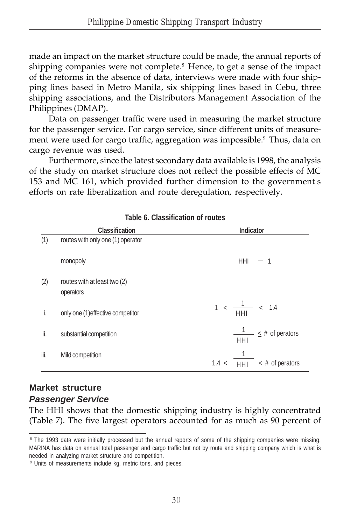made an impact on the market structure could be made, the annual reports of shipping companies were not complete.<sup>8</sup> Hence, to get a sense of the impact of the reforms in the absence of data, interviews were made with four shipping lines based in Metro Manila, six shipping lines based in Cebu, three shipping associations, and the Distributors Management Association of the Philippines (DMAP).

Data on passenger traffic were used in measuring the market structure for the passenger service. For cargo service, since different units of measurement were used for cargo traffic, aggregation was impossible.<sup>9</sup> Thus, data on cargo revenue was used.

Furthermore, since the latest secondary data available is 1998, the analysis of the study on market structure does not reflect the possible effects of MC 153 and MC 161, which provided further dimension to the government s efforts on rate liberalization and route deregulation, respectively.

|      | <b>Classification</b>                     | <b>Indicator</b>                                       |
|------|-------------------------------------------|--------------------------------------------------------|
| (1)  | routes with only one (1) operator         |                                                        |
|      | monopoly                                  | HHI<br>$-1$                                            |
| (2)  | routes with at least two (2)<br>operators |                                                        |
| i.   | only one (1) effective competitor         | $1 < \frac{1}{\text{HH}} < 1.4$                        |
| ii.  | substantial competition                   | $\frac{1}{\sqrt{1}} \leq \text{\#}$ of perators<br>HHI |
| iii. | Mild competition                          | $\frac{1}{10}$ < # of perators<br>1.4 <                |

#### **Table 6. Classification of routes**

# **Market structure**

#### *Passenger Service*

The HHI shows that the domestic shipping industry is highly concentrated (Table 7). The five largest operators accounted for as much as 90 percent of

<sup>8</sup> The 1993 data were initially processed but the annual reports of some of the shipping companies were missing. MARINA has data on annual total passenger and cargo traffic but not by route and shipping company which is what is needed in analyzing market structure and competition.

<sup>9</sup> Units of measurements include kg, metric tons, and pieces.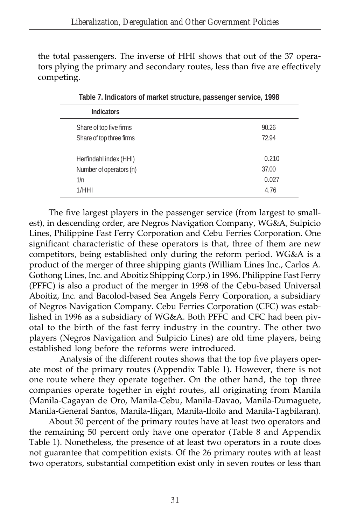the total passengers. The inverse of HHI shows that out of the 37 operators plying the primary and secondary routes, less than five are effectively competing.

| <b>Indicators</b>        |       |
|--------------------------|-------|
| Share of top five firms  | 90.26 |
| Share of top three firms | 72.94 |
| Herfindahl index (HHI)   | 0.210 |
| Number of operators (n)  | 37.00 |
| 1/n                      | 0.027 |
| 1/HHI                    | 4.76  |
|                          |       |

**Table 7. Indicators of market structure, passenger service, 1998**

The five largest players in the passenger service (from largest to smallest), in descending order, are Negros Navigation Company, WG&A, Sulpicio Lines, Philippine Fast Ferry Corporation and Cebu Ferries Corporation. One significant characteristic of these operators is that, three of them are new competitors, being established only during the reform period. WG&A is a product of the merger of three shipping giants (William Lines Inc., Carlos A. Gothong Lines, Inc. and Aboitiz Shipping Corp.) in 1996. Philippine Fast Ferry (PFFC) is also a product of the merger in 1998 of the Cebu-based Universal Aboitiz, Inc. and Bacolod-based Sea Angels Ferry Corporation, a subsidiary of Negros Navigation Company. Cebu Ferries Corporation (CFC) was established in 1996 as a subsidiary of WG&A. Both PFFC and CFC had been pivotal to the birth of the fast ferry industry in the country. The other two players (Negros Navigation and Sulpicio Lines) are old time players, being established long before the reforms were introduced.

 Analysis of the different routes shows that the top five players operate most of the primary routes (Appendix Table 1). However, there is not one route where they operate together. On the other hand, the top three companies operate together in eight routes, all originating from Manila (Manila-Cagayan de Oro, Manila-Cebu, Manila-Davao, Manila-Dumaguete, Manila-General Santos, Manila-Iligan, Manila-Iloilo and Manila-Tagbilaran).

About 50 percent of the primary routes have at least two operators and the remaining 50 percent only have one operator (Table 8 and Appendix Table 1). Nonetheless, the presence of at least two operators in a route does not guarantee that competition exists. Of the 26 primary routes with at least two operators, substantial competition exist only in seven routes or less than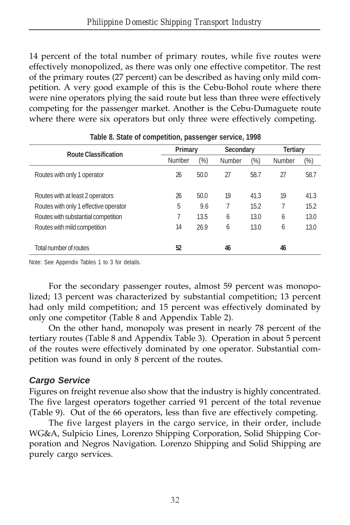14 percent of the total number of primary routes, while five routes were effectively monopolized, as there was only one effective competitor. The rest of the primary routes (27 percent) can be described as having only mild competition. A very good example of this is the Cebu-Bohol route where there were nine operators plying the said route but less than three were effectively competing for the passenger market. Another is the Cebu-Dumaguete route where there were six operators but only three were effectively competing.

| <b>Route Classification</b>           | Primary       |               | Secondary     |        | <b>Tertiary</b> |      |
|---------------------------------------|---------------|---------------|---------------|--------|-----------------|------|
|                                       | <b>Number</b> | $\frac{1}{2}$ | <b>Number</b> | $(\%)$ | <b>Number</b>   | (%)  |
| Routes with only 1 operator           | 26            | 50.0          | 27            | 58.7   | 27              | 58.7 |
| Routes with at least 2 operators      | 26            | 50.0          | 19            | 41.3   | 19              | 41.3 |
| Routes with only 1 effective operator | 5             | 9.6           |               | 15.2   |                 | 15.2 |
| Routes with substantial competition   | 7             | 13.5          | 6             | 13.0   | 6               | 13.0 |
| Routes with mild competition          | 14            | 26.9          | 6             | 13.0   | 6               | 13.0 |
| Total number of routes                | 52            |               | 46            |        | 46              |      |

#### **Table 8. State of competition, passenger service, 1998**

Note: See Appendix Tables 1 to 3 for details.

For the secondary passenger routes, almost 59 percent was monopolized; 13 percent was characterized by substantial competition; 13 percent had only mild competition; and 15 percent was effectively dominated by only one competitor (Table 8 and Appendix Table 2).

On the other hand, monopoly was present in nearly 78 percent of the tertiary routes (Table 8 and Appendix Table 3). Operation in about 5 percent of the routes were effectively dominated by one operator. Substantial competition was found in only 8 percent of the routes.

#### *Cargo Service*

Figures on freight revenue also show that the industry is highly concentrated. The five largest operators together carried 91 percent of the total revenue (Table 9). Out of the 66 operators, less than five are effectively competing.

The five largest players in the cargo service, in their order, include WG&A, Sulpicio Lines, Lorenzo Shipping Corporation, Solid Shipping Corporation and Negros Navigation. Lorenzo Shipping and Solid Shipping are purely cargo services.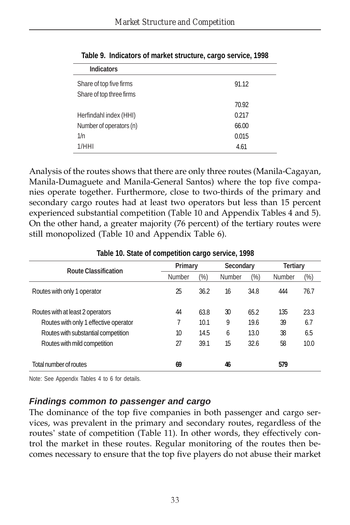| <b>Indicators</b>        |       |
|--------------------------|-------|
| Share of top five firms  | 91.12 |
| Share of top three firms |       |
|                          | 70.92 |
| Herfindahl index (HHI)   | 0.217 |
| Number of operators (n)  | 66.00 |
| 1/n                      | 0.015 |
| 1/HHI                    | 4.61  |

**Table 9. Indicators of market structure, cargo service, 1998**

Analysis of the routes shows that there are only three routes (Manila-Cagayan, Manila-Dumaguete and Manila-General Santos) where the top five companies operate together. Furthermore, close to two-thirds of the primary and secondary cargo routes had at least two operators but less than 15 percent experienced substantial competition (Table 10 and Appendix Tables 4 and 5). On the other hand, a greater majority (76 percent) of the tertiary routes were still monopolized (Table 10 and Appendix Table 6).

|                                       | Primary       |      | <b>Secondary</b> |        | <b>Tertiary</b> |      |
|---------------------------------------|---------------|------|------------------|--------|-----------------|------|
| <b>Route Classification</b>           | <b>Number</b> | (%)  | <b>Number</b>    | $(\%)$ | <b>Number</b>   | (%)  |
| Routes with only 1 operator           | 25            | 36.2 | 16               | 34.8   | 444             | 76.7 |
| Routes with at least 2 operators      | 44            | 63.8 | 30               | 65.2   | 135             | 23.3 |
| Routes with only 1 effective operator | 7             | 10.1 | 9                | 19.6   | 39              | 6.7  |
| Routes with substantial competition   | 10            | 14.5 | 6                | 13.0   | 38              | 6.5  |
| Routes with mild competition          | 27            | 39.1 | 15               | 32.6   | 58              | 10.0 |
| Total number of routes                | 69            |      | 46               |        | 579             |      |

**Table 10. State of competition cargo service, 1998**

Note: See Appendix Tables 4 to 6 for details.

#### *Findings common to passenger and cargo*

The dominance of the top five companies in both passenger and cargo services, was prevalent in the primary and secondary routes, regardless of the routes' state of competition (Table 11). In other words, they effectively control the market in these routes. Regular monitoring of the routes then becomes necessary to ensure that the top five players do not abuse their market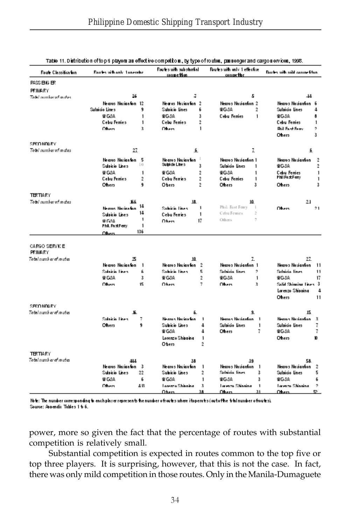| Route Classification            | <b>Equire with only 1 onerator</b> |                | Routes with substantial<br>competion |                | Foutes with only 1 effective<br>competion. |                | Boutes with mild competition. |                |
|---------------------------------|------------------------------------|----------------|--------------------------------------|----------------|--------------------------------------------|----------------|-------------------------------|----------------|
| PASS ENG ER                     |                                    |                |                                      |                |                                            |                |                               |                |
| PRIMARY                         |                                    |                |                                      |                |                                            |                |                               |                |
| Total combernt motor            | 26                                 |                | 7                                    |                | 5                                          |                | 14                            |                |
|                                 | Nearos Navigation 12               |                | Nearos Nhviantion 2                  |                | Nearos Navianton 2                         |                | Nearos Noviantion 6           |                |
|                                 | Sulpicio Lines                     | q              | Sulpicio Lines                       | 6              | WG 8A                                      | $\overline{2}$ | Sulpicio Lines                | 4              |
|                                 | W G8A                              | 1              | WG 8A                                | 3              | <b>Cebu Ferries</b>                        | 1              | WG 8A                         | ô              |
|                                 | <b>Cebu Femies</b>                 | 1              | <b>Cebu Femies</b>                   | $\overline{2}$ |                                            |                | Cebu Ferries                  | 1              |
|                                 | Ohers                              | 3              | Ohers                                | 1              |                                            |                | <b>Buil Fast Ferry</b>        | 2              |
|                                 |                                    |                |                                      |                |                                            |                | Ohers                         | 3              |
| SECONDARY                       |                                    |                |                                      |                |                                            |                |                               |                |
| Total number of routes          | 27                                 |                | 6                                    |                | ı                                          |                | 6                             |                |
|                                 | Nearos Navigation                  | 5              | Nearos Navigation                    |                | Nearos Navigation 1                        |                | Nearos Navigation             | $\overline{2}$ |
|                                 | Sulpicio Lines                     | 10             | Sulpicio Lines                       | 3              | Sulpicio Lines                             | 1              | WG 8A                         | $\overline{2}$ |
|                                 | W GSA                              | 1              | W GSA                                | 2              | WG 8A                                      | 1              | Cebu Ferries                  | $\mathbf{1}$   |
|                                 | Cebu Femes                         | $\overline{2}$ | Cebu Ferries                         | $\overline{2}$ | <b>Cebu Ferries</b>                        | 1              | <b>Phil Fast Ferry</b>        | 1              |
|                                 | Others                             | ٩              | Obers                                | $\overline{2}$ | Others                                     | 3              | Ohers                         | 3              |
|                                 |                                    |                |                                      |                |                                            |                |                               |                |
| <b>TERTIARY</b>                 |                                    |                |                                      |                |                                            |                |                               |                |
| Total number of routes          | 166                                | 14             | 15                                   |                | 10                                         |                | $^{21}$                       |                |
|                                 | Nearos Novination                  |                | Subisio Lines                        | 1              | Phil. Fast Ferry<br>$\mathbf{1}$           |                | Ohers                         | 21             |
|                                 | Sulpicio Lines                     | 14             | Cebu Ferries                         | 1              | Cebu Femies                                | $\overline{2}$ |                               |                |
|                                 | W GAA                              | 1              | Ohem                                 | 17             | Others                                     | τ              |                               |                |
|                                 | Phil. FastFerry                    | 1              |                                      |                |                                            |                |                               |                |
|                                 | Ohen –                             | 136            |                                      |                |                                            |                |                               |                |
| CARGO SERVICE<br><b>PRIMARY</b> |                                    |                |                                      |                |                                            |                |                               |                |
| Total number of routes          | 25                                 |                | 10                                   |                | ı                                          |                | 27                            |                |
|                                 | Nearos Navigation                  | - 1            | Nearos Navigation 2                  |                | Nearos Navianton 1                         |                | Nearos Navianton              | 11             |
|                                 | Sulnicio Lines                     | ñ              | Subisio Lines                        | 5              | Sulnicio lines                             | 2              | Sulnicio lines                | 11             |
|                                 | W GSA                              | 3              | W G8A                                | $\overline{2}$ | WG 8A                                      | 1              | WG 8A                         | 17             |
|                                 | Ohers                              | 15             | Ohers                                | 7.             | Ohers                                      | 3              | Solid Shinning Lines 3        |                |
|                                 |                                    |                |                                      |                |                                            |                | Lorenzo Shipping              | 4              |
|                                 |                                    |                |                                      |                |                                            |                | Ohers                         | 11             |
| SECONDARY.                      |                                    |                |                                      |                |                                            |                |                               |                |
| Total number of routes          | K.                                 |                | 6.                                   |                | q.                                         |                | 15                            |                |
|                                 | Sulaisia Linea                     | 7              | Neoros Nacionáno                     | $\mathbf{1}$   | Nearon Navioxion 1                         |                | Nearos Naviazion              | $\rightarrow$  |
|                                 | Ohers                              | 9              | Subicio Lines                        | 4              | Sulpicio lines                             | 1              | Sulpicio lines                | Ţ.             |
|                                 |                                    |                | W G8A                                | 4              | Ohers                                      | 7              | WG 8A                         | Ţ.             |
|                                 |                                    |                | Lorenzo Shipping                     | 1              |                                            |                | Ohers                         | 10             |
|                                 |                                    |                | Obers                                | $\overline{2}$ |                                            |                |                               |                |
|                                 |                                    |                |                                      |                |                                            |                |                               |                |
| <b>TERTIARY</b>                 |                                    |                |                                      |                |                                            |                |                               |                |
| Total number of routes          | 444                                |                | 38                                   |                | 39                                         |                | 58                            |                |
|                                 | Nearos Navigation 3                |                | Nearos Navianton                     | $\mathbf{1}$   | Nearos Naviantion 1                        |                | Nearos Navianton              | $\overline{2}$ |
|                                 | Sulpicio Lines                     | 22             | Subicio Lines                        | $\overline{2}$ | Sulnicio lines                             | 3              | Sulpicio Lines                | 5              |
|                                 | W G.S.A.                           | 6              | W G.S.A.                             | 1              | WG 8A                                      | 3              | WG 8A                         | 6              |
|                                 | Ohers                              | 48             | Lorenzo Shinning                     | 3              | Lorenzo Shinning                           | 1              | Lorenzo Shinning              | 2              |
|                                 |                                    |                | $0 + \ldots$                         |                | <b>Observation</b>                         |                | <b>Officer Contracts</b>      |                |

|  | Table 11. Distribution of top 6 players as effective competitors, by type of routes, passenger and cargos ervices, 1998 |  |  |  |
|--|-------------------------------------------------------------------------------------------------------------------------|--|--|--|
|--|-------------------------------------------------------------------------------------------------------------------------|--|--|--|

Note: The number corresponding to each player represents the number ofroutes where itoperates (outoffhe total number ofroutes). Source: Appendix Tables 1 b 6.

power, more so given the fact that the percentage of routes with substantial competition is relatively small.

Substantial competition is expected in routes common to the top five or top three players. It is surprising, however, that this is not the case. In fact, there was only mild competition in those routes. Only in the Manila-Dumaguete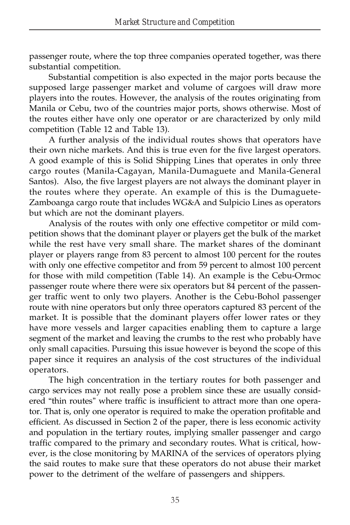passenger route, where the top three companies operated together, was there substantial competition.

Substantial competition is also expected in the major ports because the supposed large passenger market and volume of cargoes will draw more players into the routes. However, the analysis of the routes originating from Manila or Cebu, two of the countries major ports, shows otherwise. Most of the routes either have only one operator or are characterized by only mild competition (Table 12 and Table 13).

A further analysis of the individual routes shows that operators have their own niche markets. And this is true even for the five largest operators. A good example of this is Solid Shipping Lines that operates in only three cargo routes (Manila-Cagayan, Manila-Dumaguete and Manila-General Santos). Also, the five largest players are not always the dominant player in the routes where they operate. An example of this is the Dumaguete-Zamboanga cargo route that includes WG&A and Sulpicio Lines as operators but which are not the dominant players.

Analysis of the routes with only one effective competitor or mild competition shows that the dominant player or players get the bulk of the market while the rest have very small share. The market shares of the dominant player or players range from 83 percent to almost 100 percent for the routes with only one effective competitor and from 59 percent to almost 100 percent for those with mild competition (Table 14). An example is the Cebu-Ormoc passenger route where there were six operators but 84 percent of the passenger traffic went to only two players. Another is the Cebu-Bohol passenger route with nine operators but only three operators captured 83 percent of the market. It is possible that the dominant players offer lower rates or they have more vessels and larger capacities enabling them to capture a large segment of the market and leaving the crumbs to the rest who probably have only small capacities. Pursuing this issue however is beyond the scope of this paper since it requires an analysis of the cost structures of the individual operators.

The high concentration in the tertiary routes for both passenger and cargo services may not really pose a problem since these are usually considered "thin routes" where traffic is insufficient to attract more than one operator. That is, only one operator is required to make the operation profitable and efficient. As discussed in Section 2 of the paper, there is less economic activity and population in the tertiary routes, implying smaller passenger and cargo traffic compared to the primary and secondary routes. What is critical, however, is the close monitoring by MARINA of the services of operators plying the said routes to make sure that these operators do not abuse their market power to the detriment of the welfare of passengers and shippers.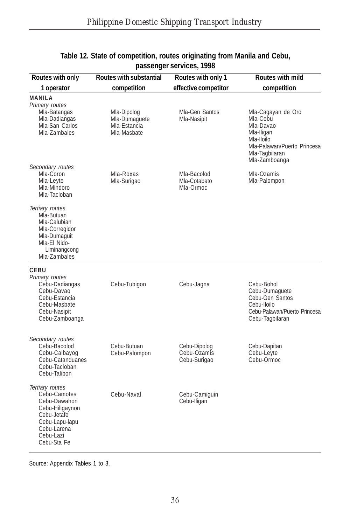| Routes with only                                                                                                                               | <b>Routes with substantial</b>                              | Routes with only 1                          | Routes with mild                                                                                                                          |
|------------------------------------------------------------------------------------------------------------------------------------------------|-------------------------------------------------------------|---------------------------------------------|-------------------------------------------------------------------------------------------------------------------------------------------|
| 1 operator                                                                                                                                     | competition                                                 | effective competitor                        | competition                                                                                                                               |
| MANILA<br>Primary routes<br>Mla-Batangas<br>Mla-Dadiangas<br>Mla-San Carlos<br>Mla-Zambales                                                    | Mla-Dipolog<br>Mla-Dumaquete<br>Mla-Estancia<br>Mla-Masbate | Mla-Gen Santos<br>Mla-Nasipit               | Mla-Cagayan de Oro<br>Mla-Cebu<br>Mla-Davao<br>Mla-Iligan<br>Mla-Iloilo<br>Mla-Palawan/Puerto Princesa<br>Mla-Tagbilaran<br>Mla-Zamboanga |
| Secondary routes<br>Mla-Coron<br>Mla-Leyte<br>Mla-Mindoro<br>Mla-Tacloban                                                                      | Mla-Roxas<br>Mla-Surigao                                    | Mla-Bacolod<br>Mla-Cotabato<br>Mla-Ormoc    | Mla-Ozamis<br>Mla-Palompon                                                                                                                |
| Tertiary routes<br>Mla-Butuan<br>Mla-Calubian<br>Mla-Corregidor<br>Mla-Dumaquit<br>Mla-El Nido-<br>Liminangcong<br>Mla-Zambales                |                                                             |                                             |                                                                                                                                           |
| CEBU<br>Primary routes<br>Cebu-Dadiangas<br>Cebu-Davao<br>Cebu-Estancia<br>Cebu-Masbate<br>Cebu-Nasipit<br>Cebu-Zamboanga                      | Cebu-Tubigon                                                | Cebu-Jagna                                  | Cebu-Bohol<br>Cebu-Dumaquete<br>Cebu-Gen Santos<br>Cebu-Iloilo<br>Cebu-Palawan/Puerto Princesa<br>Cebu-Tagbilaran                         |
| Secondary routes<br>Cebu-Bacolod<br>Cebu-Calbayog<br>Cebu-Catanduanes<br>Cebu-Tacloban<br>Cebu-Talibon                                         | Cebu-Butuan<br>Cebu-Palompon                                | Cebu-Dipolog<br>Cebu-Ozamis<br>Cebu-Surigao | Cebu-Dapitan<br>Cebu-Leyte<br>Cebu-Ormoc                                                                                                  |
| Tertiary routes<br>Cebu-Camotes<br>Cebu-Dawahon<br>Cebu-Hiligaynon<br>Cebu-Jetafe<br>Cebu-Lapu-lapu<br>Cebu-Larena<br>Cebu-Lazi<br>Cebu-Sta Fe | Cebu-Naval                                                  | Cebu-Camiquin<br>Cebu-Iligan                |                                                                                                                                           |

#### **Table 12. State of competition, routes originating from Manila and Cebu, passenger services, 1998**

Source: Appendix Tables 1 to 3.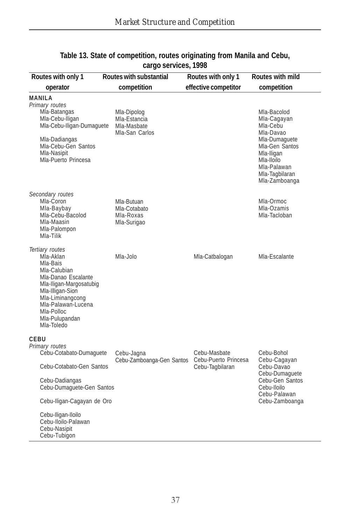| Routes with only 1                                                                                                                                                                                                                      | Routes with substantial                                      | Routes with only 1                                      | Routes with mild                                                                                                                                                     |
|-----------------------------------------------------------------------------------------------------------------------------------------------------------------------------------------------------------------------------------------|--------------------------------------------------------------|---------------------------------------------------------|----------------------------------------------------------------------------------------------------------------------------------------------------------------------|
| operator                                                                                                                                                                                                                                | competition                                                  | effective competitor<br>competition                     |                                                                                                                                                                      |
| MANILA<br>Primary routes<br>Mla-Batangas<br>Mla-Cebu-Iligan<br>Mla-Cebu-Iligan-Dumaguete<br>Mla-Dadiangas<br>Mla-Cebu-Gen Santos<br>Mla-Nasipit<br>Mla-Puerto Princesa                                                                  | Mla-Dipolog<br>Mla-Estancia<br>Mla-Masbate<br>Mla-San Carlos |                                                         | Mla-Bacolod<br>Mla-Cagayan<br>Mla-Cebu<br>Mla-Davao<br>Mla-Dumaquete<br>Mla-Gen Santos<br>Mla-Iligan<br>Mla-Iloilo<br>Mla-Palawan<br>Mla-Tagbilaran<br>Mla-Zamboanga |
| Secondary routes<br>Mla-Coron<br>Mla-Baybay<br>Mla-Cebu-Bacolod<br>Mla-Maasin<br>Mla-Palompon<br>Mla-Tilik                                                                                                                              | Mla-Butuan<br>Mla-Cotabato<br>Mla-Roxas<br>Mla-Surigao       |                                                         | Mla-Ormoc<br>Mla-Ozamis<br>Mla-Tacloban                                                                                                                              |
| Tertiary routes<br>Mla-Aklan<br>Mla-Bais<br>Mla-Calubian<br>Mla-Danao Escalante<br>Mla-Iligan-Margosatubig<br>Mla-Illigan-Sion<br>Mla-Liminangcong<br>Mla-Palawan-Lucena<br>Mla-Polloc<br>Mla-Pulupandan<br>Mla-Toledo                  | Mla-Jolo                                                     | Mla-Catbalogan                                          | Mla-Escalante                                                                                                                                                        |
| CEBU<br>Primary routes<br>Cebu-Cotabato-Dumaguete<br>Cebu-Cotabato-Gen Santos<br>Cebu-Dadiangas<br>Cebu-Dumaquete-Gen Santos<br>Cebu-Iligan-Cagayan de Oro<br>Cebu-Iligan-Iloilo<br>Cebu-Iloilo-Palawan<br>Cebu-Nasipit<br>Cebu-Tubigon | Cebu-Jagna<br>Cebu-Zamboanga-Gen Santos                      | Cebu-Masbate<br>Cebu-Puerto Princesa<br>Cebu-Tagbilaran | Cebu-Bohol<br>Cebu-Cagayan<br>Cebu-Davao<br>Cebu-Dumaquete<br>Cebu-Gen Santos<br>Cebu-Iloilo<br>Cebu-Palawan<br>Cebu-Zamboanga                                       |

#### **Table 13. State of competition, routes originating from Manila and Cebu, cargo services, 1998**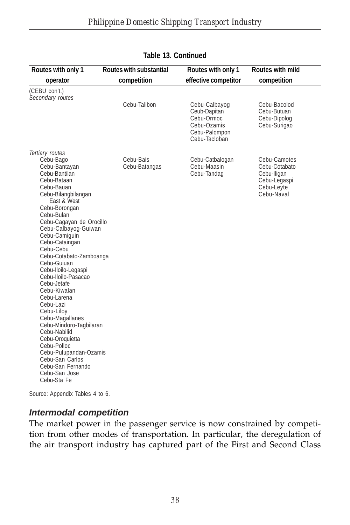| Routes with only 1                                                                                                                                                                                                                                                                                                                                                                                                                                                                                                                                                                                                                      | Routes with substantial    | Routes with only 1                                                                           | Routes with mild                                                                         |
|-----------------------------------------------------------------------------------------------------------------------------------------------------------------------------------------------------------------------------------------------------------------------------------------------------------------------------------------------------------------------------------------------------------------------------------------------------------------------------------------------------------------------------------------------------------------------------------------------------------------------------------------|----------------------------|----------------------------------------------------------------------------------------------|------------------------------------------------------------------------------------------|
| operator                                                                                                                                                                                                                                                                                                                                                                                                                                                                                                                                                                                                                                | competition                | effective competitor                                                                         | competition                                                                              |
| (CEBU con't.)<br>Secondary routes                                                                                                                                                                                                                                                                                                                                                                                                                                                                                                                                                                                                       |                            |                                                                                              |                                                                                          |
|                                                                                                                                                                                                                                                                                                                                                                                                                                                                                                                                                                                                                                         | Cebu-Talibon               | Cebu-Calbayog<br>Ceub-Dapitan<br>Cebu-Ormoc<br>Cebu-Ozamis<br>Cebu-Palompon<br>Cebu-Tacloban | Cebu-Bacolod<br>Cebu-Butuan<br>Cebu-Dipolog<br>Cebu-Surigao                              |
| Tertiary routes<br>Cebu-Bago<br>Cebu-Bantayan<br>Cebu-Bantilan<br>Cebu-Bataan<br>Cebu-Bauan<br>Cebu-Bilangbilangan<br>East & West<br>Cebu-Borongan<br>Cebu-Bulan<br>Cebu-Cagayan de Orocillo<br>Cebu-Calbayog-Guiwan<br>Cebu-Camiquin<br>Cebu-Cataingan<br>Cebu-Cebu<br>Cebu-Cotabato-Zamboanga<br>Cebu-Guiuan<br>Cebu-Iloilo-Legaspi<br>Cebu-Iloilo-Pasacao<br>Cebu-Jetafe<br>Cebu-Kiwalan<br>Cebu-Larena<br>Cebu-Lazi<br>Cebu-Liloy<br>Cebu-Magallanes<br>Cebu-Mindoro-Tagbilaran<br>Cebu-Nabilid<br>Cebu-Oroquietta<br>Cebu-Polloc<br>Cebu-Pulupandan-Ozamis<br>Cebu-San Carlos<br>Cebu-San Fernando<br>Cebu-San Jose<br>Cebu-Sta Fe | Cebu-Bais<br>Cebu-Batangas | Cebu-Catbalogan<br>Cebu-Maasin<br>Cebu-Tandag                                                | Cebu-Camotes<br>Cebu-Cotabato<br>Cebu-Iligan<br>Cebu-Legaspi<br>Cebu-Leyte<br>Cebu-Naval |

#### **Table 13. Continued**

Source: Appendix Tables 4 to 6.

## *Intermodal competition*

The market power in the passenger service is now constrained by competition from other modes of transportation. In particular, the deregulation of the air transport industry has captured part of the First and Second Class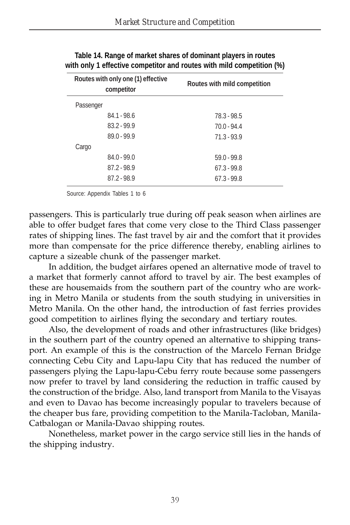| Routes with only one (1) effective<br>competitor | Routes with mild competition |
|--------------------------------------------------|------------------------------|
| Passenger                                        |                              |
| $84.1 - 98.6$                                    | 78.3 - 98.5                  |
| $83.2 - 99.9$                                    | $70.0 - 94.4$                |
| $89.0 - 99.9$                                    | $71.3 - 93.9$                |
| Cargo                                            |                              |
| $84.0 - 99.0$                                    | $59.0 - 99.8$                |
| $87.2 - 98.9$                                    | $67.3 - 99.8$                |
| $87.2 - 98.9$                                    | $67.3 - 99.8$                |
|                                                  |                              |

| Table 14. Range of market shares of dominant players in routes        |
|-----------------------------------------------------------------------|
| with only 1 effective competitor and routes with mild competition (%) |

Source: Appendix Tables 1 to 6

passengers. This is particularly true during off peak season when airlines are able to offer budget fares that come very close to the Third Class passenger rates of shipping lines. The fast travel by air and the comfort that it provides more than compensate for the price difference thereby, enabling airlines to capture a sizeable chunk of the passenger market.

In addition, the budget airfares opened an alternative mode of travel to a market that formerly cannot afford to travel by air. The best examples of these are housemaids from the southern part of the country who are working in Metro Manila or students from the south studying in universities in Metro Manila. On the other hand, the introduction of fast ferries provides good competition to airlines flying the secondary and tertiary routes.

Also, the development of roads and other infrastructures (like bridges) in the southern part of the country opened an alternative to shipping transport. An example of this is the construction of the Marcelo Fernan Bridge connecting Cebu City and Lapu-lapu City that has reduced the number of passengers plying the Lapu-lapu-Cebu ferry route because some passengers now prefer to travel by land considering the reduction in traffic caused by the construction of the bridge. Also, land transport from Manila to the Visayas and even to Davao has become increasingly popular to travelers because of the cheaper bus fare, providing competition to the Manila-Tacloban, Manila-Catbalogan or Manila-Davao shipping routes.

Nonetheless, market power in the cargo service still lies in the hands of the shipping industry.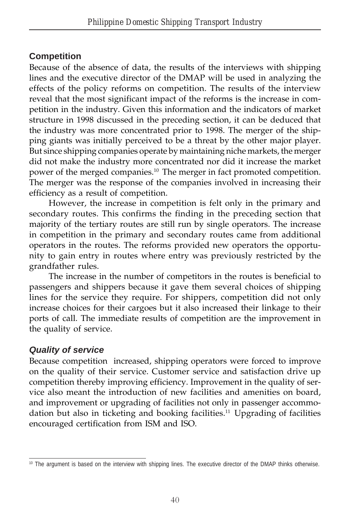## **Competition**

Because of the absence of data, the results of the interviews with shipping lines and the executive director of the DMAP will be used in analyzing the effects of the policy reforms on competition. The results of the interview reveal that the most significant impact of the reforms is the increase in competition in the industry. Given this information and the indicators of market structure in 1998 discussed in the preceding section, it can be deduced that the industry was more concentrated prior to 1998. The merger of the shipping giants was initially perceived to be a threat by the other major player. But since shipping companies operate by maintaining niche markets, the merger did not make the industry more concentrated nor did it increase the market power of the merged companies.10 The merger in fact promoted competition. The merger was the response of the companies involved in increasing their efficiency as a result of competition.

However, the increase in competition is felt only in the primary and secondary routes. This confirms the finding in the preceding section that majority of the tertiary routes are still run by single operators. The increase in competition in the primary and secondary routes came from additional operators in the routes. The reforms provided new operators the opportunity to gain entry in routes where entry was previously restricted by the grandfather rules.

The increase in the number of competitors in the routes is beneficial to passengers and shippers because it gave them several choices of shipping lines for the service they require. For shippers, competition did not only increase choices for their cargoes but it also increased their linkage to their ports of call. The immediate results of competition are the improvement in the quality of service.

## *Quality of service*

Because competition increased, shipping operators were forced to improve on the quality of their service. Customer service and satisfaction drive up competition thereby improving efficiency. Improvement in the quality of service also meant the introduction of new facilities and amenities on board, and improvement or upgrading of facilities not only in passenger accommodation but also in ticketing and booking facilities.<sup>11</sup> Upgrading of facilities encouraged certification from ISM and ISO.

<sup>&</sup>lt;sup>10</sup> The argument is based on the interview with shipping lines. The executive director of the DMAP thinks otherwise.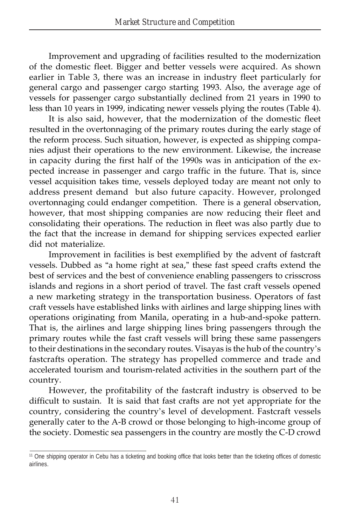Improvement and upgrading of facilities resulted to the modernization of the domestic fleet. Bigger and better vessels were acquired. As shown earlier in Table 3, there was an increase in industry fleet particularly for general cargo and passenger cargo starting 1993. Also, the average age of vessels for passenger cargo substantially declined from 21 years in 1990 to less than 10 years in 1999, indicating newer vessels plying the routes (Table 4).

It is also said, however, that the modernization of the domestic fleet resulted in the overtonnaging of the primary routes during the early stage of the reform process. Such situation, however, is expected as shipping companies adjust their operations to the new environment. Likewise, the increase in capacity during the first half of the 1990s was in anticipation of the expected increase in passenger and cargo traffic in the future. That is, since vessel acquisition takes time, vessels deployed today are meant not only to address present demand but also future capacity. However, prolonged overtonnaging could endanger competition. There is a general observation, however, that most shipping companies are now reducing their fleet and consolidating their operations. The reduction in fleet was also partly due to the fact that the increase in demand for shipping services expected earlier did not materialize.

Improvement in facilities is best exemplified by the advent of fastcraft vessels. Dubbed as "a home right at sea," these fast speed crafts extend the best of services and the best of convenience enabling passengers to crisscross islands and regions in a short period of travel. The fast craft vessels opened a new marketing strategy in the transportation business. Operators of fast craft vessels have established links with airlines and large shipping lines with operations originating from Manila, operating in a hub-and-spoke pattern. That is, the airlines and large shipping lines bring passengers through the primary routes while the fast craft vessels will bring these same passengers to their destinations in the secondary routes. Visayas is the hub of the country's fastcrafts operation. The strategy has propelled commerce and trade and accelerated tourism and tourism-related activities in the southern part of the country.

However, the profitability of the fastcraft industry is observed to be difficult to sustain. It is said that fast crafts are not yet appropriate for the country, considering the country's level of development. Fastcraft vessels generally cater to the A-B crowd or those belonging to high-income group of the society. Domestic sea passengers in the country are mostly the C-D crowd

<sup>&</sup>lt;sup>11</sup> One shipping operator in Cebu has a ticketing and booking office that looks better than the ticketing offices of domestic airlines.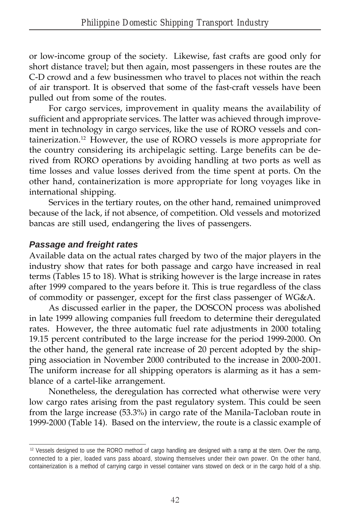or low-income group of the society. Likewise, fast crafts are good only for short distance travel; but then again, most passengers in these routes are the C-D crowd and a few businessmen who travel to places not within the reach of air transport. It is observed that some of the fast-craft vessels have been pulled out from some of the routes.

For cargo services, improvement in quality means the availability of sufficient and appropriate services. The latter was achieved through improvement in technology in cargo services, like the use of RORO vessels and containerization.12 However, the use of RORO vessels is more appropriate for the country considering its archipelagic setting. Large benefits can be derived from RORO operations by avoiding handling at two ports as well as time losses and value losses derived from the time spent at ports. On the other hand, containerization is more appropriate for long voyages like in international shipping.

Services in the tertiary routes, on the other hand, remained unimproved because of the lack, if not absence, of competition. Old vessels and motorized bancas are still used, endangering the lives of passengers.

### *Passage and freight rates*

Available data on the actual rates charged by two of the major players in the industry show that rates for both passage and cargo have increased in real terms (Tables 15 to 18). What is striking however is the large increase in rates after 1999 compared to the years before it. This is true regardless of the class of commodity or passenger, except for the first class passenger of WG&A.

As discussed earlier in the paper, the DOSCON process was abolished in late 1999 allowing companies full freedom to determine their deregulated rates. However, the three automatic fuel rate adjustments in 2000 totaling 19.15 percent contributed to the large increase for the period 1999-2000. On the other hand, the general rate increase of 20 percent adopted by the shipping association in November 2000 contributed to the increase in 2000-2001. The uniform increase for all shipping operators is alarming as it has a semblance of a cartel-like arrangement.

Nonetheless, the deregulation has corrected what otherwise were very low cargo rates arising from the past regulatory system. This could be seen from the large increase (53.3%) in cargo rate of the Manila-Tacloban route in 1999-2000 (Table 14). Based on the interview, the route is a classic example of

<sup>&</sup>lt;sup>12</sup> Vessels designed to use the RORO method of cargo handling are designed with a ramp at the stern. Over the ramp, connected to a pier, loaded vans pass aboard, stowing themselves under their own power. On the other hand, containerization is a method of carrying cargo in vessel container vans stowed on deck or in the cargo hold of a ship.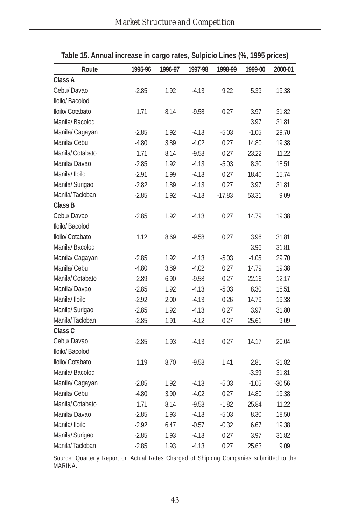| Route           | 1995-96 | 1996-97 | 1997-98 | 1998-99  | 1999-00 | 2000-01  |
|-----------------|---------|---------|---------|----------|---------|----------|
| Class A         |         |         |         |          |         |          |
| Cebu/Davao      | $-2.85$ | 1.92    | $-4.13$ | 9.22     | 5.39    | 19.38    |
| Iloilo/Bacolod  |         |         |         |          |         |          |
| Iloilo/Cotabato | 1.71    | 8.14    | $-9.58$ | 0.27     | 3.97    | 31.82    |
| Manila/Bacolod  |         |         |         |          | 3.97    | 31.81    |
| Manila/ Cagayan | $-2.85$ | 1.92    | $-4.13$ | $-5.03$  | $-1.05$ | 29.70    |
| Manila/Cebu     | $-4.80$ | 3.89    | $-4.02$ | 0.27     | 14.80   | 19.38    |
| Manila/Cotabato | 1.71    | 8.14    | $-9.58$ | 0.27     | 23.22   | 11.22    |
| Manila/Davao    | $-2.85$ | 1.92    | $-4.13$ | $-5.03$  | 8.30    | 18.51    |
| Manila/ Iloilo  | $-2.91$ | 1.99    | $-4.13$ | 0.27     | 18.40   | 15.74    |
| Manila/ Surigao | $-2.82$ | 1.89    | $-4.13$ | 0.27     | 3.97    | 31.81    |
| Manila/Tacloban | $-2.85$ | 1.92    | -4.13   | $-17.83$ | 53.31   | 9.09     |
| Class B         |         |         |         |          |         |          |
| Cebu/Davao      | $-2.85$ | 1.92    | $-4.13$ | 0.27     | 14.79   | 19.38    |
| Iloilo/Bacolod  |         |         |         |          |         |          |
| Iloilo/Cotabato | 1.12    | 8.69    | $-9.58$ | 0.27     | 3.96    | 31.81    |
| Manila/Bacolod  |         |         |         |          | 3.96    | 31.81    |
| Manila/ Cagayan | $-2.85$ | 1.92    | $-4.13$ | $-5.03$  | $-1.05$ | 29.70    |
| Manila/Cebu     | $-4.80$ | 3.89    | $-4.02$ | 0.27     | 14.79   | 19.38    |
| Manila/Cotabato | 2.89    | 6.90    | $-9.58$ | 0.27     | 22.16   | 12.17    |
| Manila/Davao    | $-2.85$ | 1.92    | $-4.13$ | $-5.03$  | 8.30    | 18.51    |
| Manila/Iloilo   | $-2.92$ | 2.00    | $-4.13$ | 0.26     | 14.79   | 19.38    |
| Manila/ Surigao | $-2.85$ | 1.92    | $-4.13$ | 0.27     | 3.97    | 31.80    |
| Manila/Tacloban | $-2.85$ | 1.91    | $-4.12$ | 0.27     | 25.61   | 9.09     |
| Class C         |         |         |         |          |         |          |
| Cebu/Davao      | $-2.85$ | 1.93    | $-4.13$ | 0.27     | 14.17   | 20.04    |
| Iloilo/Bacolod  |         |         |         |          |         |          |
| Iloilo/Cotabato | 1.19    | 8.70    | $-9.58$ | 1.41     | 2.81    | 31.82    |
| Manila/Bacolod  |         |         |         |          | $-3.39$ | 31.81    |
| Manila/ Cagayan | $-2.85$ | 1.92    | $-4.13$ | $-5.03$  | $-1.05$ | $-30.56$ |
| Manila/ Cebu    | $-4.80$ | 3.90    | $-4.02$ | 0.27     | 14.80   | 19.38    |
| Manila/Cotabato | 1.71    | 8.14    | $-9.58$ | $-1.82$  | 25.84   | 11.22    |
| Manila/Davao    | $-2.85$ | 1.93    | $-4.13$ | $-5.03$  | 8.30    | 18.50    |
| Manila/ Iloilo  | $-2.92$ | 6.47    | $-0.57$ | $-0.32$  | 6.67    | 19.38    |
| Manila/ Surigao | $-2.85$ | 1.93    | $-4.13$ | 0.27     | 3.97    | 31.82    |
| Manila/Tacloban | $-2.85$ | 1.93    | $-4.13$ | 0.27     | 25.63   | 9.09     |

### **Table 15. Annual increase in cargo rates, Sulpicio Lines (%, 1995 prices)**

Source: Quarterly Report on Actual Rates Charged of Shipping Companies submitted to the MARINA.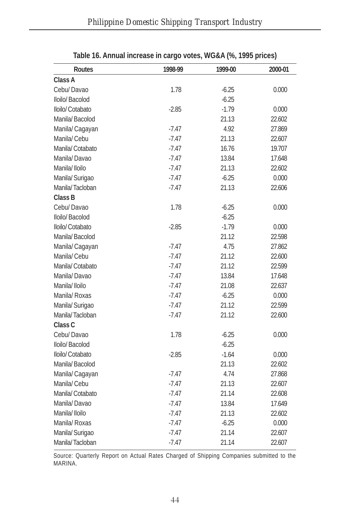| <b>Routes</b>    | 1998-99 | 1999-00 | 2000-01 |
|------------------|---------|---------|---------|
| Class A          |         |         |         |
| Cebu/Davao       | 1.78    | $-6.25$ | 0.000   |
| Iloilo/Bacolod   |         | $-6.25$ |         |
| Iloilo/ Cotabato | $-2.85$ | $-1.79$ | 0.000   |
| Manila/Bacolod   |         | 21.13   | 22.602  |
| Manila/Cagayan   | $-7.47$ | 4.92    | 27.869  |
| Manila/Cebu      | $-7.47$ | 21.13   | 22.607  |
| Manila/Cotabato  | $-7.47$ | 16.76   | 19.707  |
| Manila/Davao     | $-7.47$ | 13.84   | 17.648  |
| Manila/Iloilo    | $-7.47$ | 21.13   | 22.602  |
| Manila/ Surigao  | -7.47   | $-6.25$ | 0.000   |
| Manila/Tacloban  | $-7.47$ | 21.13   | 22.606  |
| Class B          |         |         |         |
| Cebu/Davao       | 1.78    | $-6.25$ | 0.000   |
| Iloilo/Bacolod   |         | $-6.25$ |         |
| Iloilo/ Cotabato | $-2.85$ | $-1.79$ | 0.000   |
| Manila/Bacolod   |         | 21.12   | 22.598  |
| Manila/Cagayan   | $-7.47$ | 4.75    | 27.862  |
| Manila/Cebu      | $-7.47$ | 21.12   | 22.600  |
| Manila/Cotabato  | $-7.47$ | 21.12   | 22.599  |
| Manila/Davao     | $-7.47$ | 13.84   | 17.648  |
| Manila/Iloilo    | $-7.47$ | 21.08   | 22.637  |
| Manila/ Roxas    | $-7.47$ | $-6.25$ | 0.000   |
| Manila/ Surigao  | $-7.47$ | 21.12   | 22.599  |
| Manila/Tacloban  | $-7.47$ | 21.12   | 22.600  |
| Class C          |         |         |         |
| Cebu/Davao       | 1.78    | $-6.25$ | 0.000   |
| Iloilo/Bacolod   |         | $-6.25$ |         |
| Iloilo/ Cotabato | $-2.85$ | $-1.64$ | 0.000   |
| Manila/Bacolod   |         | 21.13   | 22.602  |
| Manila/Cagayan   | $-7.47$ | 4.74    | 27.868  |
| Manila/Cebu      | $-7.47$ | 21.13   | 22.607  |
| Manila/Cotabato  | $-7.47$ | 21.14   | 22.608  |
| Manila/Davao     | $-7.47$ | 13.84   | 17.649  |
| Manila/Iloilo    | $-7.47$ | 21.13   | 22.602  |
| Manila/ Roxas    | -7.47   | $-6.25$ | 0.000   |
| Manila/ Surigao  | -7.47   | 21.14   | 22.607  |
| Manila/Tacloban  | -7.47   | 21.14   | 22.607  |

| Table 16. Annual increase in cargo votes, WG&A (%, 1995 prices) |  |  |  |
|-----------------------------------------------------------------|--|--|--|
|-----------------------------------------------------------------|--|--|--|

Source: Quarterly Report on Actual Rates Charged of Shipping Companies submitted to the MARINA.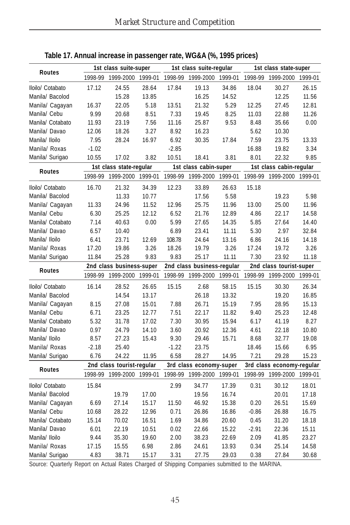| <b>Routes</b>    |         | 1st class suite-super     |         |                            | 1st class suite-regular |         |                         | 1st class state-super     |         |
|------------------|---------|---------------------------|---------|----------------------------|-------------------------|---------|-------------------------|---------------------------|---------|
|                  | 1998-99 | 1999-2000                 | 1999-01 | 1998-99                    | 1999-2000               | 1999-01 | 1998-99                 | 1999-2000                 | 1999-01 |
| Iloilo/ Cotabato | 17.12   | 24.55                     | 28.64   | 17.84                      | 19.13                   | 34.86   | 18.04                   | 30.27                     | 26.15   |
| Manila/ Bacolod  |         | 15.28                     | 13.85   |                            | 16.25                   | 14.52   |                         | 12.25                     | 11.56   |
| Manila/ Cagayan  | 16.37   | 22.05                     | 5.18    | 13.51                      | 21.32                   | 5.29    | 12.25                   | 27.45                     | 12.81   |
| Manila/ Cebu     | 9.99    | 20.68                     | 8.51    | 7.33                       | 19.45                   | 8.25    | 11.03                   | 22.88                     | 11.26   |
| Manila/ Cotabato | 11.93   | 23.19                     | 7.56    | 11.16                      | 25.87                   | 9.53    | 8.48                    | 35.66                     | 0.00    |
| Manila/ Davao    | 12.06   | 18.26                     | 3.27    | 8.92                       | 16.23                   |         | 5.62                    | 10.30                     |         |
| Manila/ Iloilo   | 7.95    | 28.24                     | 16.97   | 6.92                       | 30.35                   | 17.84   | 7.59                    | 23.75                     | 13.33   |
| Manila/ Roxas    | $-1.02$ |                           |         | $-2.85$                    |                         |         | 16.88                   | 19.82                     | 3.34    |
| Manila/ Surigao  | 10.55   | 17.02                     | 3.82    | 10.51                      | 18.41                   | 3.81    | 8.01                    | 22.32                     | 9.85    |
|                  |         | 1st class state-regular   |         |                            | 1st class cabin-super   |         |                         | 1st class cabin-regular   |         |
| <b>Routes</b>    | 1998-99 | 1999-2000                 | 1999-01 | 1998-99                    | 1999-2000               | 1999-01 | 1998-99                 | 1999-2000                 | 1999-01 |
| Iloilo/ Cotabato | 16.70   | 21.32                     | 34.39   | 12.23                      | 33.89                   | 26.63   | 15.18                   |                           |         |
| Manila/ Bacolod  |         | 11.33                     | 10.77   |                            | 17.56                   | 5.58    |                         | 19.23                     | 5.98    |
| Manila/ Cagayan  | 11.33   | 24.96                     | 11.52   | 12.96                      | 25.75                   | 11.96   | 13.00                   | 25.00                     | 11.96   |
| Manila/ Cebu     | 6.30    | 25.25                     | 12.12   | 6.52                       | 21.76                   | 12.89   | 4.86                    | 22.17                     | 14.58   |
| Manila/ Cotabato | 7.14    | 40.63                     | 0.00    | 5.99                       | 27.65                   | 14.35   | 5.85                    | 27.64                     | 14.40   |
| Manila/ Davao    | 6.57    | 10.40                     |         | 6.89                       | 23.41                   | 11.11   | 5.30                    | 2.97                      | 32.84   |
| Manila/ Iloilo   | 6.41    | 23.71                     | 12.69   | 108.78                     | 24.64                   | 13.16   | 6.86                    | 24.16                     | 14.18   |
| Manila/ Roxas    | 17.20   | 19.86                     | 3.26    | 18.26                      | 19.79                   | 3.26    | 17.24                   | 19.72                     | 3.26    |
| Manila/ Surigao  | 11.84   | 25.28                     | 9.83    | 9.83                       | 25.17                   | 11.11   | 7.30                    | 23.92                     | 11.18   |
| <b>Routes</b>    |         | 2nd class business-super  |         | 2nd class business-regular |                         |         | 2nd class tourist-super |                           |         |
|                  | 1998-99 | 1999-2000                 | 1999-01 | 1998-99                    | 1999-2000               | 1999-01 | 1998-99                 | 1999-2000                 | 1999-01 |
| Iloilo/ Cotabato | 16.14   | 28.52                     | 26.65   | 15.15                      | 2.68                    | 58.15   | 15.15                   | 30.30                     | 26.34   |
| Manila/ Bacolod  |         | 14.54                     | 13.17   |                            | 26.18                   | 13.32   |                         | 19.20                     | 16.85   |
| Manila/ Cagayan  | 8.15    | 27.08                     | 15.01   | 7.88                       | 26.71                   | 15.19   | 7.95                    | 28.95                     | 15.13   |
| Manila/ Cebu     | 6.71    | 23.25                     | 12.77   | 7.51                       | 22.17                   | 11.82   | 9.40                    | 25.23                     | 12.48   |
| Manila/ Cotabato | 5.32    | 31.78                     | 17.02   | 7.30                       | 30.95                   | 15.94   | 6.17                    | 41.19                     | 8.27    |
| Manila/ Davao    | 0.97    | 24.79                     | 14.10   | 3.60                       | 20.92                   | 12.36   | 4.61                    | 22.18                     | 10.80   |
| Manila/ Iloilo   | 8.57    | 27.23                     | 15.43   | 9.30                       | 29.46                   | 15.71   | 8.68                    | 32.77                     | 19.08   |
| Manila/ Roxas    | $-2.18$ | 25.40                     |         | $-1.22$                    | 23.75                   |         | 18.46                   | 15.66                     | 6.95    |
| Manila/ Surigao  | 6.76    | 24.22                     | 11.95   | 6.58                       | 28.27                   | 14.95   | 7.21                    | 29.28                     | 15.23   |
| <b>Routes</b>    |         | 2nd class tourist-regular |         |                            | 3rd class economy-super |         |                         | 3rd class economy-regular |         |
|                  | 1998-99 | 1999-2000                 | 1999-01 | 1998-99                    | 1999-2000               | 1999-01 | 1998-99                 | 1999-2000                 | 1999-01 |
| Iloilo/ Cotabato | 15.84   |                           |         | 2.99                       | 34.77                   | 17.39   | 0.31                    | 30.12                     | 18.01   |
| Manila/ Bacolod  |         | 19.79                     | 17.00   |                            | 19.56                   | 16.74   |                         | 20.01                     | 17.18   |
| Manila/ Cagayan  | 6.69    | 27.14                     | 15.17   | 11.50                      | 46.92                   | 15.38   | 0.20                    | 26.51                     | 15.69   |
| Manila/ Cebu     | 10.68   | 28.22                     | 12.96   | 0.71                       | 26.86                   | 16.86   | $-0.86$                 | 26.88                     | 16.75   |
| Manila/ Cotabato | 15.14   | 70.02                     | 16.51   | 1.69                       | 34.86                   | 20.60   | 0.45                    | 31.20                     | 18.18   |
| Manila/ Davao    | 6.01    | 22.19                     | 10.51   | 0.02                       | 22.66                   | 15.22   | $-2.91$                 | 22.36                     | 15.11   |
| Manila/ Iloilo   | 9.44    | 35.30                     | 19.60   | 2.00                       | 38.23                   | 22.69   | 2.09                    | 41.85                     | 23.27   |
| Manila/ Roxas    | 17.15   | 15.55                     | 6.98    | 2.86                       | 24.61                   | 13.93   | 0.34                    | 25.14                     | 14.58   |
| Manila/ Surigao  | 4.83    | 38.71                     | 15.17   | 3.31                       | 27.75                   | 29.03   | 0.38                    | 27.84                     | 30.68   |

**Table 17. Annual increase in passenger rate, WG&A (%, 1995 prices)**

Source: Quarterly Report on Actual Rates Charged of Shipping Companies submitted to the MARINA.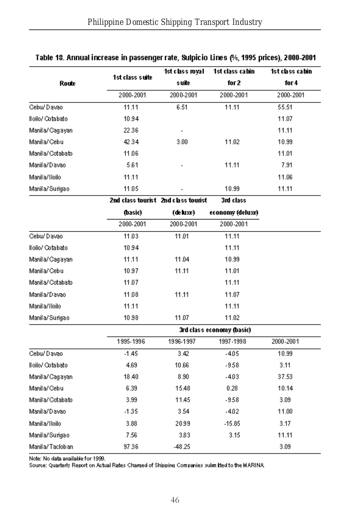|                  |                 | 1st class royal                     | 1st class cabin           | 1st class cabin |  |
|------------------|-----------------|-------------------------------------|---------------------------|-----------------|--|
| Route            | 1st class suite | s uite                              | for 2                     | for 4           |  |
|                  | 2000-2001       | 2000-2001                           | 2000-2001                 | 2000-2001       |  |
| Cebu/Davao       | 11.11           | 6.51                                | 11.11                     | 55.51           |  |
| Hoilo/ Cotabato  | 1094            |                                     |                           | 11.07           |  |
| Manila/Cagayan   | 22.36           |                                     |                           | 11.11           |  |
| Manila/Cebu      | 42.34           | 3.00                                | 11.02                     | 10.99           |  |
| Manila/Cotabato  | 11.06           |                                     |                           | 11.01           |  |
| Manila/Davao     | 5.61            |                                     | 11.11                     | 7.91            |  |
| Manil a/Hoilo    | 11.11           |                                     |                           | 11.06           |  |
| Manila/Surigao   | 11.05           |                                     | 10.99                     | 11.11           |  |
|                  |                 | 2nd class tourist 2nd class tourist | 3rd class                 |                 |  |
|                  | (basic)         | (de luxe)                           | economy (deluxe)          |                 |  |
|                  | 2000-2001       | 2000-2001                           | 2000-2001                 |                 |  |
| Cebu/Davao       | 11.03           | 11.01                               | 11.11                     |                 |  |
| lloilo/ Cotabato | 1094            |                                     | 11.11                     |                 |  |
| Manila/Cagayan   | 11.11           | 11.04                               | 10.99                     |                 |  |
| Manila/Cebu      | 10.97           | 11.11                               | 11.01                     |                 |  |
| Manila/Cotabato  | 11.07           |                                     | 11.11                     |                 |  |
| Manila/Davao     | 11.08           | 11.11                               | 11.07                     |                 |  |
| Manil a/Hoilo    | 11.11           |                                     | 11.11                     |                 |  |
| Manila/Surigao   | 1098            | 11.07                               | 11.02                     |                 |  |
|                  |                 |                                     | 3rd class economy (basic) |                 |  |
|                  | 1995-1996       | 1996-1997                           | 1997-1998                 | 2000-2001       |  |
| Cebu/Davao       | $-1.45$         | 3.42                                | $-405$                    | 10.99           |  |
| Iloilo/ Cotabato | 4.69            | 10.66                               | $-9.58$                   | 3.11            |  |
| Manila/Cagayan   | 18.40           | 8.90                                | $-4.03$                   | 37.53           |  |
| Manila/Cebu      | 6.39            | 15.48                               | 0.28                      | 10.14           |  |
| Manila/Cotabato  | 3.99            | 11.45                               | -958                      | 3.09            |  |
| Manila/Davao     | $-1.35$         | 3.54                                | $-402$                    | 11.00           |  |
| Manil a/Hoilo    | 3.88            | 2099                                | $-15.85$                  | 3.17            |  |
| Manila/Surigao   | 7.56            | 383                                 | 3.15                      | 11.11           |  |
| Manil a/Tacloban | 97.36           | $-48.25$                            |                           | 3.09            |  |

#### Table 18. Annual increase in passenger rate, Sulpicio Lines (%, 1995 prices), 2000-2001

Note: No data available for 1999.

Source: Quarterly Report on Actual Rates Charged of Shipping Companies sukmitted to the MARINA.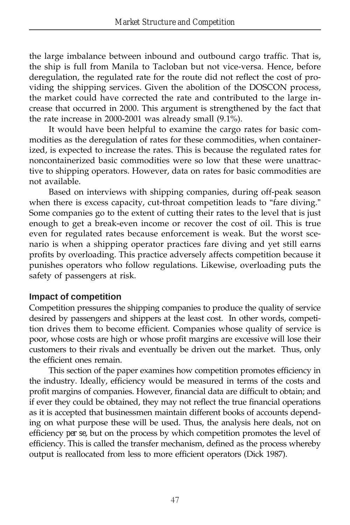the large imbalance between inbound and outbound cargo traffic. That is, the ship is full from Manila to Tacloban but not vice-versa. Hence, before deregulation, the regulated rate for the route did not reflect the cost of providing the shipping services. Given the abolition of the DOSCON process, the market could have corrected the rate and contributed to the large increase that occurred in 2000. This argument is strengthened by the fact that the rate increase in 2000-2001 was already small (9.1%).

It would have been helpful to examine the cargo rates for basic commodities as the deregulation of rates for these commodities, when containerized, is expected to increase the rates. This is because the regulated rates for noncontainerized basic commodities were so low that these were unattractive to shipping operators. However, data on rates for basic commodities are not available.

Based on interviews with shipping companies, during off-peak season when there is excess capacity, cut-throat competition leads to "fare diving." Some companies go to the extent of cutting their rates to the level that is just enough to get a break-even income or recover the cost of oil. This is true even for regulated rates because enforcement is weak. But the worst scenario is when a shipping operator practices fare diving and yet still earns profits by overloading. This practice adversely affects competition because it punishes operators who follow regulations. Likewise, overloading puts the safety of passengers at risk.

#### **Impact of competition**

Competition pressures the shipping companies to produce the quality of service desired by passengers and shippers at the least cost. In other words, competition drives them to become efficient. Companies whose quality of service is poor, whose costs are high or whose profit margins are excessive will lose their customers to their rivals and eventually be driven out the market. Thus, only the efficient ones remain.

This section of the paper examines how competition promotes efficiency in the industry. Ideally, efficiency would be measured in terms of the costs and profit margins of companies. However, financial data are difficult to obtain; and if ever they could be obtained, they may not reflect the true financial operations as it is accepted that businessmen maintain different books of accounts depending on what purpose these will be used. Thus, the analysis here deals, not on efficiency *per se*, but on the process by which competition promotes the level of efficiency. This is called the transfer mechanism, defined as the process whereby output is reallocated from less to more efficient operators (Dick 1987).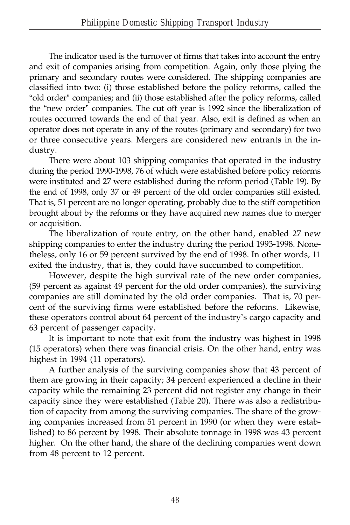The indicator used is the turnover of firms that takes into account the entry and exit of companies arising from competition. Again, only those plying the primary and secondary routes were considered. The shipping companies are classified into two: (i) those established before the policy reforms, called the "old order" companies; and (ii) those established after the policy reforms, called the "new order" companies. The cut off year is 1992 since the liberalization of routes occurred towards the end of that year. Also, exit is defined as when an operator does not operate in any of the routes (primary and secondary) for two or three consecutive years. Mergers are considered new entrants in the industry.

There were about 103 shipping companies that operated in the industry during the period 1990-1998, 76 of which were established before policy reforms were instituted and 27 were established during the reform period (Table 19). By the end of 1998, only 37 or 49 percent of the old order companies still existed. That is, 51 percent are no longer operating, probably due to the stiff competition brought about by the reforms or they have acquired new names due to merger or acquisition.

The liberalization of route entry, on the other hand, enabled 27 new shipping companies to enter the industry during the period 1993-1998. Nonetheless, only 16 or 59 percent survived by the end of 1998. In other words, 11 exited the industry, that is, they could have succumbed to competition.

However, despite the high survival rate of the new order companies, (59 percent as against 49 percent for the old order companies), the surviving companies are still dominated by the old order companies. That is, 70 percent of the surviving firms were established before the reforms. Likewise, these operators control about 64 percent of the industry's cargo capacity and 63 percent of passenger capacity.

It is important to note that exit from the industry was highest in 1998 (15 operators) when there was financial crisis. On the other hand, entry was highest in 1994 (11 operators).

A further analysis of the surviving companies show that 43 percent of them are growing in their capacity; 34 percent experienced a decline in their capacity while the remaining 23 percent did not register any change in their capacity since they were established (Table 20). There was also a redistribution of capacity from among the surviving companies. The share of the growing companies increased from 51 percent in 1990 (or when they were established) to 86 percent by 1998. Their absolute tonnage in 1998 was 43 percent higher. On the other hand, the share of the declining companies went down from 48 percent to 12 percent.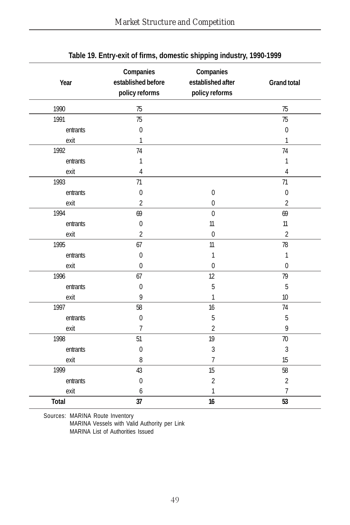| Year         | Companies<br>established before<br>policy reforms | Companies<br>established after<br>policy reforms | <b>Grand total</b> |
|--------------|---------------------------------------------------|--------------------------------------------------|--------------------|
| 1990         | 75                                                |                                                  | 75                 |
| 1991         | 75                                                |                                                  | 75                 |
| entrants     | $\mathbf{0}$                                      |                                                  | $\mathbf{0}$       |
| exit         | 1                                                 |                                                  | 1                  |
| 1992         | 74                                                |                                                  | 74                 |
| entrants     | 1                                                 |                                                  | 1                  |
| exit         | 4                                                 |                                                  | 4                  |
| 1993         | 71                                                |                                                  | 71                 |
| entrants     | $\bf{0}$                                          | $\pmb{0}$                                        | $\mathbf{0}$       |
| exit         | 2                                                 | $\pmb{0}$                                        | $\overline{2}$     |
| 1994         | 69                                                | $\mathbf 0$                                      | 69                 |
| entrants     | $\mathbf 0$                                       | 11                                               | 11                 |
| exit         | $\overline{2}$                                    | $\mathbf 0$                                      | $\overline{c}$     |
| 1995         | 67                                                | 11                                               | 78                 |
| entrants     | $\mathbf 0$                                       | 1                                                | 1                  |
| exit         | $\mathbf 0$                                       | $\mathbf 0$                                      | $\pmb{0}$          |
| 1996         | 67                                                | 12                                               | 79                 |
| entrants     | $\mathbf 0$                                       | 5                                                | 5                  |
| exit         | 9                                                 | 1                                                | 10                 |
| 1997         | 58                                                | 16                                               | 74                 |
| entrants     | $\mathbf 0$                                       | 5                                                | 5                  |
| exit         | $\overline{7}$                                    | $\overline{2}$                                   | 9                  |
| 1998         | 51                                                | 19                                               | 70                 |
| entrants     | $\mathbf{0}$                                      | $\overline{3}$                                   | 3                  |
| exit         | 8                                                 | $\overline{7}$                                   | 15                 |
| 1999         | 43                                                | 15                                               | 58                 |
| entrants     | $\mathbf 0$                                       | $\overline{2}$                                   | $\overline{2}$     |
| exit         | 6                                                 | 1                                                | 7                  |
| <b>Total</b> | 37                                                | 16                                               | 53                 |

### **Table 19. Entry-exit of firms, domestic shipping industry, 1990-1999**

Sources: MARINA Route Inventory MARINA Vessels with Valid Authority per Link MARINA List of Authorities Issued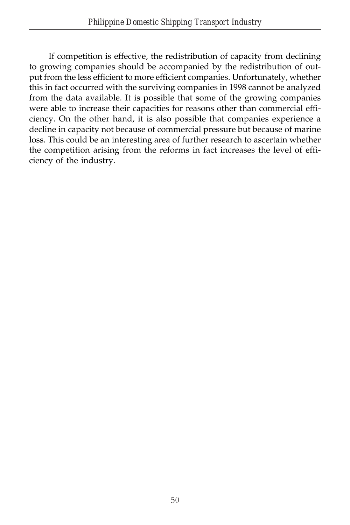If competition is effective, the redistribution of capacity from declining to growing companies should be accompanied by the redistribution of output from the less efficient to more efficient companies. Unfortunately, whether this in fact occurred with the surviving companies in 1998 cannot be analyzed from the data available. It is possible that some of the growing companies were able to increase their capacities for reasons other than commercial efficiency. On the other hand, it is also possible that companies experience a decline in capacity not because of commercial pressure but because of marine loss. This could be an interesting area of further research to ascertain whether the competition arising from the reforms in fact increases the level of efficiency of the industry.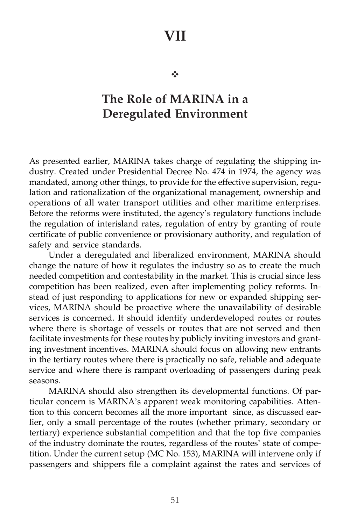# **VII**

 $\frac{1}{2}$ 

# **The Role of MARINA in a Deregulated Environment**

As presented earlier, MARINA takes charge of regulating the shipping industry. Created under Presidential Decree No. 474 in 1974, the agency was mandated, among other things, to provide for the effective supervision, regulation and rationalization of the organizational management, ownership and operations of all water transport utilities and other maritime enterprises. Before the reforms were instituted, the agency's regulatory functions include the regulation of interisland rates, regulation of entry by granting of route certificate of public convenience or provisionary authority, and regulation of safety and service standards.

Under a deregulated and liberalized environment, MARINA should change the nature of how it regulates the industry so as to create the much needed competition and contestability in the market. This is crucial since less competition has been realized, even after implementing policy reforms. Instead of just responding to applications for new or expanded shipping services, MARINA should be proactive where the unavailability of desirable services is concerned. It should identify underdeveloped routes or routes where there is shortage of vessels or routes that are not served and then facilitate investments for these routes by publicly inviting investors and granting investment incentives. MARINA should focus on allowing new entrants in the tertiary routes where there is practically no safe, reliable and adequate service and where there is rampant overloading of passengers during peak seasons.

MARINA should also strengthen its developmental functions. Of particular concern is MARINA's apparent weak monitoring capabilities. Attention to this concern becomes all the more important since, as discussed earlier, only a small percentage of the routes (whether primary, secondary or tertiary) experience substantial competition and that the top five companies of the industry dominate the routes, regardless of the routes' state of competition. Under the current setup (MC No. 153), MARINA will intervene only if passengers and shippers file a complaint against the rates and services of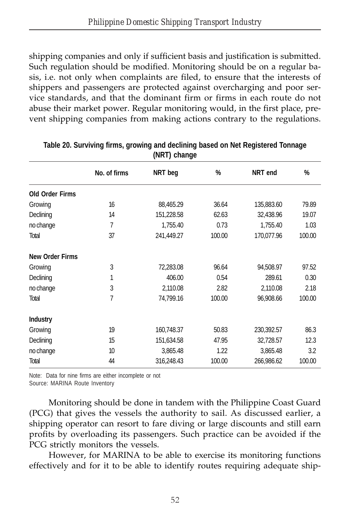shipping companies and only if sufficient basis and justification is submitted. Such regulation should be modified. Monitoring should be on a regular basis, i.e. not only when complaints are filed, to ensure that the interests of shippers and passengers are protected against overcharging and poor service standards, and that the dominant firm or firms in each route do not abuse their market power. Regular monitoring would, in the first place, prevent shipping companies from making actions contrary to the regulations.

|                        | No. of firms | NRT beg    | %      | NRT end    | %      |  |  |  |  |
|------------------------|--------------|------------|--------|------------|--------|--|--|--|--|
| <b>Old Order Firms</b> |              |            |        |            |        |  |  |  |  |
| Growing                | 16           | 88,465.29  | 36.64  | 135,883.60 | 79.89  |  |  |  |  |
| Declining              | 14           | 151,228.58 | 62.63  | 32,438.96  | 19.07  |  |  |  |  |
| no change              | 7            | 1,755.40   | 0.73   | 1,755.40   | 1.03   |  |  |  |  |
| Total                  | 37           | 241,449.27 | 100.00 | 170,077.96 | 100.00 |  |  |  |  |
| <b>New Order Firms</b> |              |            |        |            |        |  |  |  |  |
| Growing                | 3            | 72,283.08  | 96.64  | 94,508.97  | 97.52  |  |  |  |  |
| Declining              | 1            | 406.00     | 0.54   | 289.61     | 0.30   |  |  |  |  |
| no change              | 3            | 2,110.08   | 2.82   | 2,110.08   | 2.18   |  |  |  |  |
| Total                  | 7            | 74,799.16  | 100.00 | 96,908.66  | 100.00 |  |  |  |  |
| <b>Industry</b>        |              |            |        |            |        |  |  |  |  |
| Growing                | 19           | 160,748.37 | 50.83  | 230,392.57 | 86.3   |  |  |  |  |
| Declining              | 15           | 151,634.58 | 47.95  | 32,728.57  | 12.3   |  |  |  |  |
| no change              | 10           | 3,865.48   | 1.22   | 3,865.48   | 3.2    |  |  |  |  |
| Total                  | 44           | 316,248.43 | 100.00 | 266,986.62 | 100.00 |  |  |  |  |

| Table 20. Surviving firms, growing and declining based on Net Registered Tonnage |  |
|----------------------------------------------------------------------------------|--|
| (NRT) change                                                                     |  |

Note: Data for nine firms are either incomplete or not

Source: MARINA Route Inventory

Monitoring should be done in tandem with the Philippine Coast Guard (PCG) that gives the vessels the authority to sail. As discussed earlier, a shipping operator can resort to fare diving or large discounts and still earn profits by overloading its passengers. Such practice can be avoided if the PCG strictly monitors the vessels.

However, for MARINA to be able to exercise its monitoring functions effectively and for it to be able to identify routes requiring adequate ship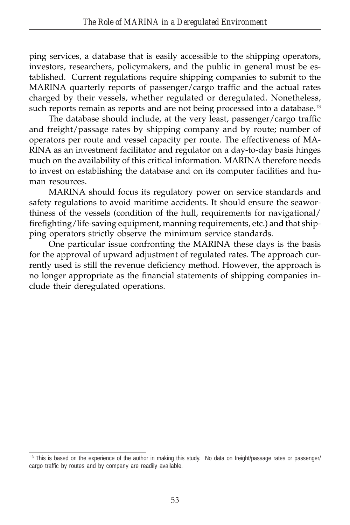ping services, a database that is easily accessible to the shipping operators, investors, researchers, policymakers, and the public in general must be established. Current regulations require shipping companies to submit to the MARINA quarterly reports of passenger/cargo traffic and the actual rates charged by their vessels, whether regulated or deregulated. Nonetheless, such reports remain as reports and are not being processed into a database.<sup>13</sup>

The database should include, at the very least, passenger/cargo traffic and freight/passage rates by shipping company and by route; number of operators per route and vessel capacity per route. The effectiveness of MA-RINA as an investment facilitator and regulator on a day-to-day basis hinges much on the availability of this critical information. MARINA therefore needs to invest on establishing the database and on its computer facilities and human resources.

MARINA should focus its regulatory power on service standards and safety regulations to avoid maritime accidents. It should ensure the seaworthiness of the vessels (condition of the hull, requirements for navigational/ firefighting/life-saving equipment, manning requirements, etc.) and that shipping operators strictly observe the minimum service standards.

One particular issue confronting the MARINA these days is the basis for the approval of upward adjustment of regulated rates. The approach currently used is still the revenue deficiency method. However, the approach is no longer appropriate as the financial statements of shipping companies include their deregulated operations.

<sup>&</sup>lt;sup>13</sup> This is based on the experience of the author in making this study. No data on freight/passage rates or passenger/ cargo traffic by routes and by company are readily available.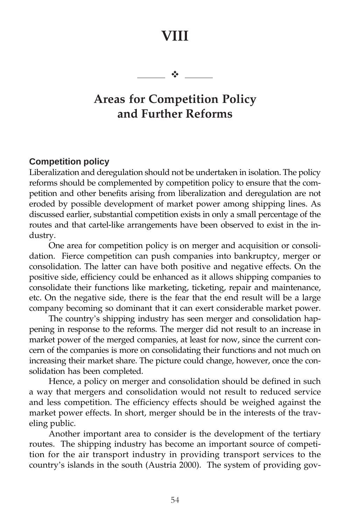# **VIII**

 $-1$ 

# **Areas for Competition Policy and Further Reforms**

#### **Competition policy**

Liberalization and deregulation should not be undertaken in isolation. The policy reforms should be complemented by competition policy to ensure that the competition and other benefits arising from liberalization and deregulation are not eroded by possible development of market power among shipping lines. As discussed earlier, substantial competition exists in only a small percentage of the routes and that cartel-like arrangements have been observed to exist in the industry.

One area for competition policy is on merger and acquisition or consolidation. Fierce competition can push companies into bankruptcy, merger or consolidation. The latter can have both positive and negative effects. On the positive side, efficiency could be enhanced as it allows shipping companies to consolidate their functions like marketing, ticketing, repair and maintenance, etc. On the negative side, there is the fear that the end result will be a large company becoming so dominant that it can exert considerable market power.

The country's shipping industry has seen merger and consolidation happening in response to the reforms. The merger did not result to an increase in market power of the merged companies, at least for now, since the current concern of the companies is more on consolidating their functions and not much on increasing their market share. The picture could change, however, once the consolidation has been completed.

Hence, a policy on merger and consolidation should be defined in such a way that mergers and consolidation would not result to reduced service and less competition. The efficiency effects should be weighed against the market power effects. In short, merger should be in the interests of the traveling public.

Another important area to consider is the development of the tertiary routes. The shipping industry has become an important source of competition for the air transport industry in providing transport services to the country's islands in the south (Austria 2000). The system of providing gov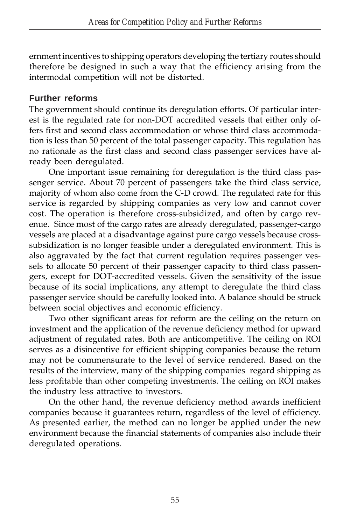ernment incentives to shipping operators developing the tertiary routes should therefore be designed in such a way that the efficiency arising from the intermodal competition will not be distorted.

## **Further reforms**

The government should continue its deregulation efforts. Of particular interest is the regulated rate for non-DOT accredited vessels that either only offers first and second class accommodation or whose third class accommodation is less than 50 percent of the total passenger capacity. This regulation has no rationale as the first class and second class passenger services have already been deregulated.

One important issue remaining for deregulation is the third class passenger service. About 70 percent of passengers take the third class service, majority of whom also come from the C-D crowd. The regulated rate for this service is regarded by shipping companies as very low and cannot cover cost. The operation is therefore cross-subsidized, and often by cargo revenue. Since most of the cargo rates are already deregulated, passenger-cargo vessels are placed at a disadvantage against pure cargo vessels because crosssubsidization is no longer feasible under a deregulated environment. This is also aggravated by the fact that current regulation requires passenger vessels to allocate 50 percent of their passenger capacity to third class passengers, except for DOT-accredited vessels. Given the sensitivity of the issue because of its social implications, any attempt to deregulate the third class passenger service should be carefully looked into. A balance should be struck between social objectives and economic efficiency.

Two other significant areas for reform are the ceiling on the return on investment and the application of the revenue deficiency method for upward adjustment of regulated rates. Both are anticompetitive. The ceiling on ROI serves as a disincentive for efficient shipping companies because the return may not be commensurate to the level of service rendered. Based on the results of the interview, many of the shipping companies regard shipping as less profitable than other competing investments. The ceiling on ROI makes the industry less attractive to investors.

On the other hand, the revenue deficiency method awards inefficient companies because it guarantees return, regardless of the level of efficiency. As presented earlier, the method can no longer be applied under the new environment because the financial statements of companies also include their deregulated operations.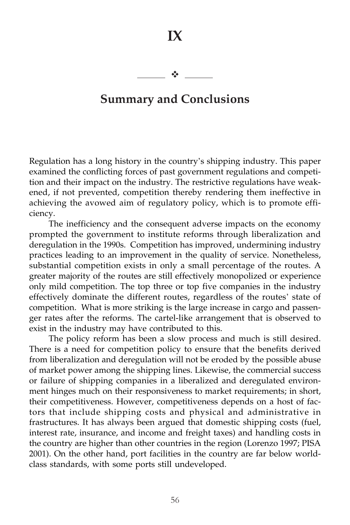$\frac{1}{2}$ 

# **Summary and Conclusions**

Regulation has a long history in the country's shipping industry. This paper examined the conflicting forces of past government regulations and competition and their impact on the industry. The restrictive regulations have weakened, if not prevented, competition thereby rendering them ineffective in achieving the avowed aim of regulatory policy, which is to promote efficiency.

The inefficiency and the consequent adverse impacts on the economy prompted the government to institute reforms through liberalization and deregulation in the 1990s. Competition has improved, undermining industry practices leading to an improvement in the quality of service. Nonetheless, substantial competition exists in only a small percentage of the routes. A greater majority of the routes are still effectively monopolized or experience only mild competition. The top three or top five companies in the industry effectively dominate the different routes, regardless of the routes' state of competition. What is more striking is the large increase in cargo and passenger rates after the reforms. The cartel-like arrangement that is observed to exist in the industry may have contributed to this.

The policy reform has been a slow process and much is still desired. There is a need for competition policy to ensure that the benefits derived from liberalization and deregulation will not be eroded by the possible abuse of market power among the shipping lines. Likewise, the commercial success or failure of shipping companies in a liberalized and deregulated environment hinges much on their responsiveness to market requirements; in short, their competitiveness. However, competitiveness depends on a host of factors that include shipping costs and physical and administrative in frastructures. It has always been argued that domestic shipping costs (fuel, interest rate, insurance, and income and freight taxes) and handling costs in the country are higher than other countries in the region (Lorenzo 1997; PISA 2001). On the other hand, port facilities in the country are far below worldclass standards, with some ports still undeveloped.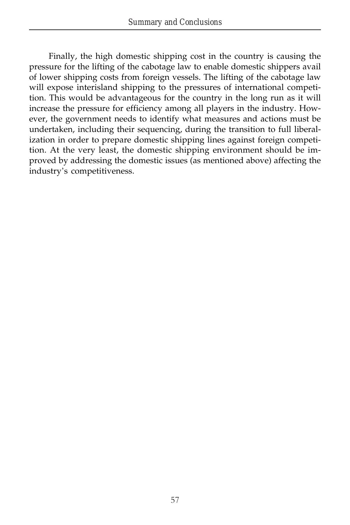Finally, the high domestic shipping cost in the country is causing the pressure for the lifting of the cabotage law to enable domestic shippers avail of lower shipping costs from foreign vessels. The lifting of the cabotage law will expose interisland shipping to the pressures of international competition. This would be advantageous for the country in the long run as it will increase the pressure for efficiency among all players in the industry. However, the government needs to identify what measures and actions must be undertaken, including their sequencing, during the transition to full liberalization in order to prepare domestic shipping lines against foreign competition. At the very least, the domestic shipping environment should be improved by addressing the domestic issues (as mentioned above) affecting the industry's competitiveness.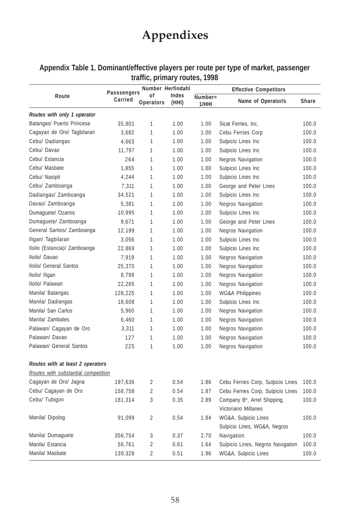# **Appendixes**

| Appendix Table 1. Dominant/effective players per route per type of market, passenger |
|--------------------------------------------------------------------------------------|
| traffic, primary routes, 1998                                                        |

|                                     | Number Herfindahl<br>Passsengers |                        | <b>Effective Competitors</b> |         |                                          |       |
|-------------------------------------|----------------------------------|------------------------|------------------------------|---------|------------------------------------------|-------|
| Route                               | Carried                          | οf<br><b>Operators</b> | Index<br>(HHI)               | Number= | Name of Operator/s                       | Share |
|                                     |                                  |                        |                              | 1/HHI   |                                          |       |
| Routes with only 1 operator         |                                  |                        |                              |         |                                          |       |
| Batangas/ Puerto Princesa           | 35,801                           | 1                      | 1.00                         | 1.00    | Sicat Ferries, Inc.                      | 100.0 |
| Cagayan de Oro/ Tagbilaran          | 3,682                            | 1                      | 1.00                         | 1.00    | Cebu Ferries Corp                        | 100.0 |
| Cebu/ Dadiangas                     | 4,663                            | 1                      | 1.00                         | 1.00    | Sulpicio Lines Inc                       | 100.0 |
| Cebu/ Davao                         | 11,797                           | $\mathbf{1}$           | 1.00                         | 1.00    | Sulpicio Lines Inc                       | 100.0 |
| Cebu/ Estancia                      | 264                              | 1                      | 1.00                         | 1.00    | <b>Negros Navigation</b>                 | 100.0 |
| Cebu/ Masbate                       | 1,855                            | 1                      | 1.00                         | 1.00    | Sulpicio Lines Inc                       | 100.0 |
| Cebu/ Nasipit                       | 4,244                            | 1                      | 1.00                         | 1.00    | Sulpicio Lines Inc                       | 100.0 |
| Cebu/ Zamboanga                     | 7,311                            | 1                      | 1.00                         | 1.00    | George and Peter Lines                   | 100.0 |
| Dadiangas/ Zamboanga                | 34,521                           | 1                      | 1.00                         | 1.00    | Sulpicio Lines Inc                       | 100.0 |
| Davao/ Zamboanga                    | 5,381                            | 1                      | 1.00                         | 1.00    | <b>Negros Navigation</b>                 | 100.0 |
| Dumaguete/ Ozamis                   | 10,995                           | 1                      | 1.00                         | 1.00    | Sulpicio Lines Inc                       | 100.0 |
| Dumaguete/ Zamboanga                | 9,671                            | 1                      | 1.00                         | 1.00    | George and Peter Lines                   | 100.0 |
| General Santos/ Zamboanga           | 12,199                           | 1                      | 1.00                         | 1.00    | Negros Navigation                        | 100.0 |
| Iligan/ Tagbilaran                  | 3,056                            | 1                      | 1.00                         | 1.00    | Sulpicio Lines Inc                       | 100.0 |
| Iloilo (Estancia)/ Zamboanga        | 22,869                           | 1                      | 1.00                         | 1.00    | Sulpicio Lines Inc                       | 100.0 |
| Iloilo/ Davao                       | 7,919                            | 1                      | 1.00                         | 1.00    | <b>Negros Navigation</b>                 | 100.0 |
| Iloilo/ General Santos              | 25,370                           | 1                      | 1.00                         | 1.00    | <b>Negros Navigation</b>                 | 100.0 |
| Iloilo/ Iligan                      | 8,799                            | 1                      | 1.00                         | 1.00    | <b>Negros Navigation</b>                 | 100.0 |
| Iloilo/ Palawan                     | 22,285                           | $\mathbf{1}$           | 1.00                         | 1.00    | <b>Negros Navigation</b>                 | 100.0 |
| Manila/ Batangas                    | 128,225                          | 1                      | 1.00                         | 1.00    | <b>WG&amp;A Philippines</b>              | 100.0 |
| Manila/ Dadiangas                   | 18,608                           | 1                      | 1.00                         | 1.00    | Sulpicio Lines Inc                       | 100.0 |
| Manila/ San Carlos                  | 5,960                            | 1                      | 1.00                         | 1.00    | <b>Negros Navigation</b>                 | 100.0 |
| Manila/ Zambales                    | 6,460                            | 1                      | 1.00                         | 1.00    | <b>Negros Navigation</b>                 | 100.0 |
| Palawan/ Cagayan de Oro             | 3,311                            | 1                      | 1.00                         | 1.00    | <b>Negros Navigation</b>                 | 100.0 |
| Palawan/ Davao                      | 127                              | 1                      | 1.00                         | 1.00    | Negros Navigation                        | 100.0 |
| Palawan/ General Santos             | 225                              | 1                      | 1.00                         | 1.00    | <b>Negros Navigation</b>                 | 100.0 |
| Routes with at least 2 operators    |                                  |                        |                              |         |                                          |       |
| Routes with substantial competition |                                  |                        |                              |         |                                          |       |
| Cagayan de Oro/ Jagna               | 197,636                          | 2                      | 0.54                         | 1.86    | Cebu Ferries Corp, Sulpicio Lines        | 100.0 |
| Cebu/ Cagayan de Oro                | 158,758                          | $\overline{2}$         | 0.54                         | 1.87    | Cebu Ferries Corp, Sulpicio Lines        | 100.0 |
| Cebu/ Tubigon                       | 181,314                          | 3                      | 0.35                         | 2.89    | Company B <sup>*</sup> , Arrel Shipping, | 100.0 |
|                                     |                                  |                        |                              |         | Victoriano Millanes                      |       |
| Manila/Dipolog                      | 91,099                           | $\overline{2}$         | 0.54                         | 1.84    | WG&A, Sulpicio Lines                     | 100.0 |
|                                     |                                  |                        |                              |         | Sulpicio Lines, WG&A, Negros             |       |
| Manila/ Dumaguete                   | 356,754                          | 3                      | 0.37                         | 2.70    | Navigation                               | 100.0 |
| Manila/ Estancia                    | 56,761                           | $\overline{2}$         | 0.61                         | 1.64    | Sulpicio Lines, Negros Navigation        | 100.0 |
| Manila/ Masbate                     | 139,328                          | $\overline{2}$         | 0.51                         | 1.96    | WG&A, Sulpicio Lines                     | 100.0 |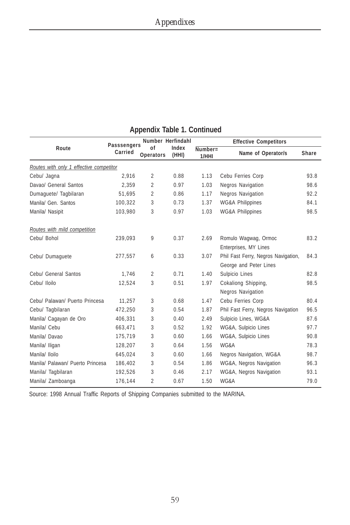|                                         | Passsengers |                 | Number Herfindahl | <b>Effective Competitors</b> |                                                               |              |  |
|-----------------------------------------|-------------|-----------------|-------------------|------------------------------|---------------------------------------------------------------|--------------|--|
| Route                                   | Carried     | of<br>Operators | Index<br>(HHI)    | $Number =$<br>1/HHI          | Name of Operator/s                                            | <b>Share</b> |  |
| Routes with only 1 effective competitor |             |                 |                   |                              |                                                               |              |  |
| Cebu/ Jagna                             | 2.916       | 2               | 0.88              | 1.13                         | Cebu Ferries Corp                                             | 93.8         |  |
| Davao/ General Santos                   | 2.359       | $\overline{2}$  | 0.97              | 1.03                         | Negros Navigation                                             | 98.6         |  |
| Dumaguete/ Tagbilaran                   | 51,695      | $\overline{2}$  | 0.86              | 1.17                         | <b>Negros Navigation</b>                                      | 92.2         |  |
| Manila/ Gen. Santos                     | 100,322     | 3               | 0.73              | 1.37                         | <b>WG&amp;A Philippines</b>                                   | 84.1         |  |
| Manila/ Nasipit                         | 103,980     | 3               | 0.97              | 1.03                         | <b>WG&amp;A Philippines</b>                                   | 98.5         |  |
| Routes with mild competition            |             |                 |                   |                              |                                                               |              |  |
| Cebu/ Bohol                             | 239,093     | 9               | 0.37              | 2.69                         | Romulo Wagwag, Ormoc<br>Enterprises, MY Lines                 | 83.2         |  |
| Cebu/ Dumaquete                         | 277,557     | 6               | 0.33              | 3.07                         | Phil Fast Ferry, Negros Navigation,<br>George and Peter Lines | 84.3         |  |
| Cebu/ General Santos                    | 1,746       | $\overline{2}$  | 0.71              | 1.40                         | Sulpicio Lines                                                | 82.8         |  |
| Cebu/ Iloilo                            | 12,524      | 3               | 0.51              | 1.97                         | Cokaliong Shipping,<br><b>Negros Navigation</b>               | 98.5         |  |
| Cebu/ Palawan/ Puerto Princesa          | 11.257      | 3               | 0.68              | 1.47                         | Cebu Ferries Corp                                             | 80.4         |  |
| Cebu/ Tagbilaran                        | 472,250     | 3               | 0.54              | 1.87                         | Phil Fast Ferry, Negros Navigation                            | 96.5         |  |
| Manila/ Cagayan de Oro                  | 406,331     | 3               | 0.40              | 2.49                         | Sulpicio Lines, WG&A                                          | 87.6         |  |
| Manila/ Cebu                            | 663.471     | 3               | 0.52              | 1.92                         | WG&A, Sulpicio Lines                                          | 97.7         |  |
| Manila/Davao                            | 175.719     | 3               | 0.60              | 1.66                         | WG&A, Sulpicio Lines                                          | 90.8         |  |
| Manila/ Iligan                          | 128,207     | 3               | 0.64              | 1.56                         | WG&A                                                          | 78.3         |  |
| Manila/ Iloilo                          | 645,024     | 3               | 0.60              | 1.66                         | Negros Navigation, WG&A                                       | 98.7         |  |
| Manila/ Palawan/ Puerto Princesa        | 186,402     | 3               | 0.54              | 1.86                         | WG&A, Negros Navigation                                       | 96.3         |  |
| Manila/ Tagbilaran                      | 192,526     | 3               | 0.46              | 2.17                         | WG&A, Negros Navigation                                       | 93.1         |  |
| Manila/ Zamboanga                       | 176,144     | 2               | 0.67              | 1.50                         | WG&A                                                          | 79.0         |  |

#### **Appendix Table 1. Continued**

Source: 1998 Annual Traffic Reports of Shipping Companies submitted to the MARINA.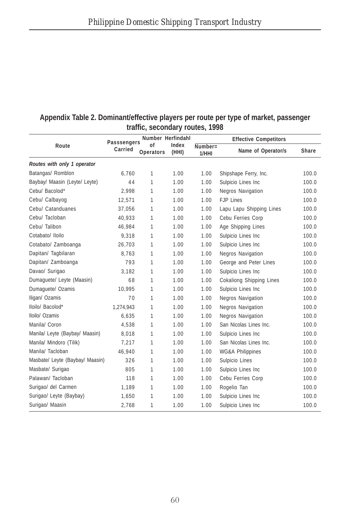|                                 | $\mathbf u$ anic, scubilual y Tuulcs, 1770 |                        |                   |                     |                                 |              |  |  |  |
|---------------------------------|--------------------------------------------|------------------------|-------------------|---------------------|---------------------------------|--------------|--|--|--|
|                                 |                                            |                        | Number Herfindahl |                     | <b>Effective Competitors</b>    |              |  |  |  |
| Route                           | Passsengers<br>Carried                     | οf<br><b>Operators</b> | Index<br>(HHI)    | $Number =$<br>1/HHI | Name of Operator/s              | <b>Share</b> |  |  |  |
| Routes with only 1 operator     |                                            |                        |                   |                     |                                 |              |  |  |  |
| Batangas/ Romblon               | 6,760                                      | 1                      | 1.00              | 1.00                | Shipshape Ferry, Inc.           | 100.0        |  |  |  |
| Baybay/ Maasin (Leyte/ Leyte)   | 44                                         | 1                      | 1.00              | 1.00                | Sulpicio Lines Inc              | 100.0        |  |  |  |
| Cebu/ Bacolod*                  | 2,998                                      | 1                      | 1.00              | 1.00                | Negros Navigation               | 100.0        |  |  |  |
| Cebu/ Calbayog                  | 12,571                                     | 1                      | 1.00              | 1.00                | <b>FJP Lines</b>                | 100.0        |  |  |  |
| Cebu/ Catanduanes               | 37,056                                     | 1                      | 1.00              | 1.00                | Lapu Lapu Shipping Lines        | 100.0        |  |  |  |
| Cebu/ Tacloban                  | 40,933                                     | 1                      | 1.00              | 1.00                | Cebu Ferries Corp               | 100.0        |  |  |  |
| Cebu/ Talibon                   | 46,984                                     | 1                      | 1.00              | 1.00                | Age Shipping Lines              | 100.0        |  |  |  |
| Cotabato/ Iloilo                | 9,318                                      | 1                      | 1.00              | 1.00                | Sulpicio Lines Inc              | 100.0        |  |  |  |
| Cotabato/ Zamboanga             | 26,703                                     | 1                      | 1.00              | 1.00                | Sulpicio Lines Inc              | 100.0        |  |  |  |
| Dapitan/ Tagbilaran             | 8,763                                      | 1                      | 1.00              | 1.00                | Negros Navigation               | 100.0        |  |  |  |
| Dapitan/ Zamboanga              | 793                                        | 1                      | 1.00              | 1.00                | George and Peter Lines          | 100.0        |  |  |  |
| Davao/ Surigao                  | 3,182                                      | 1                      | 1.00              | 1.00                | Sulpicio Lines Inc              | 100.0        |  |  |  |
| Dumaguete/ Leyte (Maasin)       | 68                                         | 1                      | 1.00              | 1.00                | <b>Cokaliong Shipping Lines</b> | 100.0        |  |  |  |
| Dumaquete/ Ozamis               | 10,995                                     | 1                      | 1.00              | 1.00                | Sulpicio Lines Inc              | 100.0        |  |  |  |
| Iligan/ Ozamis                  | 70                                         | 1                      | 1.00              | 1.00                | Negros Navigation               | 100.0        |  |  |  |
| Iloilo/ Bacolod*                | 1,274,943                                  | 1                      | 1.00              | 1.00                | Negros Navigation               | 100.0        |  |  |  |
| Iloilo/ Ozamis                  | 6,635                                      | 1                      | 1.00              | 1.00                | Negros Navigation               | 100.0        |  |  |  |
| Manila/ Coron                   | 4,538                                      | 1                      | 1.00              | 1.00                | San Nicolas Lines Inc.          | 100.0        |  |  |  |
| Manila/ Leyte (Baybay/ Maasin)  | 8,018                                      | 1                      | 1.00              | 1.00                | Sulpicio Lines Inc              | 100.0        |  |  |  |
| Manila/ Mindoro (Tilik)         | 7,217                                      | 1                      | 1.00              | 1.00                | San Nicolas Lines Inc.          | 100.0        |  |  |  |
| Manila/ Tacloban                | 46.940                                     | 1                      | 1.00              | 1.00                | <b>WG&amp;A Philippines</b>     | 100.0        |  |  |  |
| Masbate/ Leyte (Baybay/ Maasin) | 326                                        | 1                      | 1.00              | 1.00                | Sulpicio Lines                  | 100.0        |  |  |  |
| Masbate/ Surigao                | 805                                        | 1                      | 1.00              | 1.00                | Sulpicio Lines Inc              | 100.0        |  |  |  |
| Palawan/ Tacloban               | 118                                        | 1                      | 1.00              | 1.00                | Cebu Ferries Corp               | 100.0        |  |  |  |
| Surigao/ del Carmen             | 1,189                                      | 1                      | 1.00              | 1.00                | Rogelio Tan                     | 100.0        |  |  |  |
| Surigao/ Leyte (Baybay)         | 1,650                                      | 1                      | 1.00              | 1.00                | Sulpicio Lines Inc              | 100.0        |  |  |  |
| Surigao/ Maasin                 | 2,768                                      | 1                      | 1.00              | 1.00                | Sulpicio Lines Inc              | 100.0        |  |  |  |

#### **Appendix Table 2. Dominant/effective players per route per type of market, passenger traffic, secondary routes, 1998**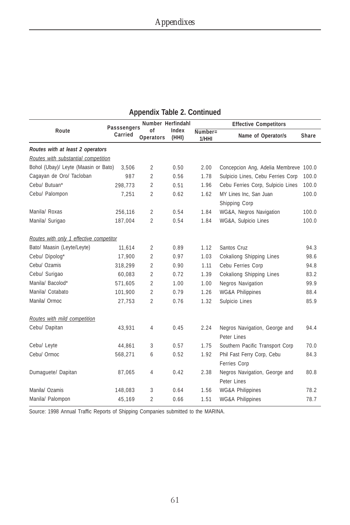|                                         | Passsengers<br>Carried | Number Herfindahl      | Index<br>(HHI) | <b>Effective Competitors</b> |                                              |       |
|-----------------------------------------|------------------------|------------------------|----------------|------------------------------|----------------------------------------------|-------|
| Route                                   |                        | of<br><b>Operators</b> |                | Number=<br>1/HHI             | Name of Operator/s                           | Share |
| Routes with at least 2 operators        |                        |                        |                |                              |                                              |       |
| Routes with substantial competition     |                        |                        |                |                              |                                              |       |
| Bohol (Ubay)/ Leyte (Maasin or Bato)    | 3,506                  | $\overline{2}$         | 0.50           | 2.00                         | Concepcion Ang, Adelia Membreve 100.0        |       |
| Cagayan de Oro/ Tacloban                | 987                    | $\overline{2}$         | 0.56           | 1.78                         | Sulpicio Lines, Cebu Ferries Corp            | 100.0 |
| Cebu/ Butuan*                           | 298,773                | 2                      | 0.51           | 1.96                         | Cebu Ferries Corp, Sulpicio Lines            | 100.0 |
| Cebu/ Palompon                          | 7.251                  | $\overline{2}$         | 0.62           | 1.62                         | MY Lines Inc. San Juan<br>Shipping Corp      | 100.0 |
| Manila/ Roxas                           | 256,116                | $\overline{2}$         | 0.54           | 1.84                         | WG&A, Negros Navigation                      | 100.0 |
| Manila/ Surigao                         | 187,004                | 2                      | 0.54           | 1.84                         | WG&A, Sulpicio Lines                         | 100.0 |
| Routes with only 1 effective competitor |                        |                        |                |                              |                                              |       |
| Bato/ Maasin (Leyte/Leyte)              | 11.614                 | $\overline{2}$         | 0.89           | 1.12                         | Santos Cruz                                  | 94.3  |
| Cebu/ Dipolog*                          | 17,900                 | $\overline{2}$         | 0.97           | 1.03                         | <b>Cokaliong Shipping Lines</b>              | 98.6  |
| Cebu/ Ozamis                            | 318,299                | $\overline{2}$         | 0.90           | 1.11                         | Cebu Ferries Corp                            | 94.8  |
| Cebu/ Surigao                           | 60,083                 | $\overline{2}$         | 0.72           | 1.39                         | Cokaliong Shipping Lines                     | 83.2  |
| Manila/ Bacolod*                        | 571,605                | 2                      | 1.00           | 1.00                         | Negros Navigation                            | 99.9  |
| Manila/ Cotabato                        | 101,900                | $\overline{2}$         | 0.79           | 1.26                         | <b>WG&amp;A Philippines</b>                  | 88.4  |
| Manila/ Ormoc                           | 27,753                 | $\overline{2}$         | 0.76           | 1.32                         | Sulpicio Lines                               | 85.9  |
| Routes with mild competition            |                        |                        |                |                              |                                              |       |
| Cebu/ Dapitan                           | 43,931                 | $\overline{4}$         | 0.45           | 2.24                         | Negros Navigation, George and<br>Peter Lines | 94.4  |
| Cebu/ Leyte                             | 44,861                 | 3                      | 0.57           | 1.75                         | Southern Pacific Transport Corp              | 70.0  |
| Cebu/ Ormoc                             | 568,271                | 6                      | 0.52           | 1.92                         | Phil Fast Ferry Corp, Cebu<br>Ferries Corp   | 84.3  |
| Dumaquete/ Dapitan                      | 87,065                 | 4                      | 0.42           | 2.38                         | Negros Navigation, George and<br>Peter Lines | 80.8  |
| Manila/ Ozamis                          | 148,083                | 3                      | 0.64           | 1.56                         | <b>WG&amp;A Philippines</b>                  | 78.2  |
| Manila/ Palompon                        | 45,169                 | 2                      | 0.66           | 1.51                         | <b>WG&amp;A Philippines</b>                  | 78.7  |

#### **Appendix Table 2. Continued**

Source: 1998 Annual Traffic Reports of Shipping Companies submitted to the MARINA.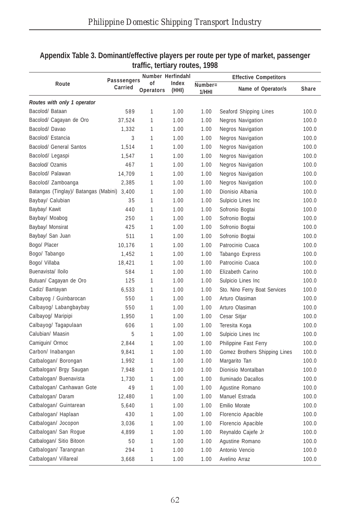|                                             | <b>Passsengers</b> | Number Herfindahl |                | <b>Effective Competitors</b> |                               |       |  |
|---------------------------------------------|--------------------|-------------------|----------------|------------------------------|-------------------------------|-------|--|
| Route                                       | Carried            | 0f<br>Operators   | Index<br>(HHI) | $Number =$<br>1/HHI          | Name of Operator/s            | Share |  |
| Routes with only 1 operator                 |                    |                   |                |                              |                               |       |  |
| Bacolod/ Bataan                             | 589                | 1                 | 1.00           | 1.00                         | Seaford Shipping Lines        | 100.0 |  |
| Bacolod/ Cagayan de Oro                     | 37,524             | 1                 | 1.00           | 1.00                         | Negros Navigation             | 100.0 |  |
| Bacolod/Davao                               | 1,332              | 1                 | 1.00           | 1.00                         | <b>Negros Navigation</b>      | 100.0 |  |
| Bacolod/ Estancia                           | 3                  | 1                 | 1.00           | 1.00                         | <b>Negros Navigation</b>      | 100.0 |  |
| Bacolod/ General Santos                     | 1,514              | 1                 | 1.00           | 1.00                         | Negros Navigation             | 100.0 |  |
| Bacolod/ Legaspi                            | 1,547              | 1                 | 1.00           | 1.00                         | <b>Negros Navigation</b>      | 100.0 |  |
| Bacolod/ Ozamis                             | 467                | 1                 | 1.00           | 1.00                         | <b>Negros Navigation</b>      | 100.0 |  |
| Bacolod/ Palawan                            | 14,709             | 1                 | 1.00           | 1.00                         | Negros Navigation             | 100.0 |  |
| Bacolod/ Zamboanga                          | 2,385              | 1                 | 1.00           | 1.00                         | <b>Negros Navigation</b>      | 100.0 |  |
| Batangas (Tinglay)/ Batangas (Mabini) 3,400 |                    | 1                 | 1.00           | 1.00                         | Dionisio Albania              | 100.0 |  |
| Baybay/ Calubian                            | 35                 | 1                 | 1.00           | 1.00                         | Sulpicio Lines Inc            | 100.0 |  |
| Baybay/ Kawit                               | 440                | 1                 | 1.00           | 1.00                         | Sofronio Bogtai               | 100.0 |  |
| Baybay/ Moabog                              | 250                | 1                 | 1.00           | 1.00                         | Sofronio Bogtai               | 100.0 |  |
| Baybay/ Monsirat                            | 425                | 1                 | 1.00           | 1.00                         | Sofronio Bogtai               | 100.0 |  |
| Baybay/ San Juan                            | 511                | 1                 | 1.00           | 1.00                         | Sofronio Bogtai               | 100.0 |  |
| Bogo/ Placer                                | 10,176             | 1                 | 1.00           | 1.00                         | Patrocinio Cuaca              | 100.0 |  |
| Bogo/ Tabango                               | 1,452              | 1                 | 1.00           | 1.00                         | Tabango Express               | 100.0 |  |
| Bogo/ Villaba                               | 18,421             | 1                 | 1.00           | 1.00                         | Patrocinio Cuaca              | 100.0 |  |
| Buenavista/ Iloilo                          | 584                | 1                 | 1.00           | 1.00                         | Elizabeth Carino              | 100.0 |  |
| Butuan/ Cagayan de Oro                      | 125                | 1                 | 1.00           | 1.00                         | Sulpicio Lines Inc            | 100.0 |  |
| Cadiz/ Bantayan                             | 6,533              | 1                 | 1.00           | 1.00                         | Sto. Nino Ferry Boat Services | 100.0 |  |
| Calbayog / Guinbarocan                      | 550                | 1                 | 1.00           | 1.00                         | Arturo Olasiman               | 100.0 |  |
| Calbayog/ Labangbaybay                      | 550                | 1                 | 1.00           | 1.00                         | Arturo Olasiman               | 100.0 |  |
| Calbayog/ Maripipi                          | 1.950              | 1                 | 1.00           | 1.00                         | Cesar Sitjar                  | 100.0 |  |
| Calbayog/ Tagapulaan                        | 606                | 1                 | 1.00           | 1.00                         | Teresita Koga                 | 100.0 |  |
| Calubian/ Maasin                            | 5                  | 1                 | 1.00           | 1.00                         | Sulpicio Lines Inc            | 100.0 |  |
| Camiguin/ Ormoc                             | 2,844              | 1                 | 1.00           | 1.00                         | Philippine Fast Ferry         | 100.0 |  |
| Carbon/ Inabangan                           | 9,841              | 1                 | 1.00           | 1.00                         | Gomez Brothers Shipping Lines | 100.0 |  |
| Catbalogan/ Borongan                        | 1,992              | 1                 | 1.00           | 1.00                         | Margarito Tan                 | 100.0 |  |
| Catbalogan/ Brgy Saugan                     | 7,948              | 1                 | 1.00           | 1.00                         | Dionisio Montalban            | 100.0 |  |
| Catbalogan/ Buenavista                      | 1,730              | 1                 | 1.00           | 1.00                         | Iluminado Dacallos            | 100.0 |  |
| Catbalogan/ Canhawan Gote                   | 49                 | 1                 | 1.00           | 1.00                         | Agustine Romano               | 100.0 |  |
| Catbalogan/ Daram                           | 12,480             | 1                 | 1.00           | 1.00                         | Manuel Estrada                | 100.0 |  |
| Catbalogan/ Guintarean                      | 5,640              | 1                 | 1.00           | 1.00                         | Emilio Morate                 | 100.0 |  |
| Catbalogan/ Haplaan                         | 430                | 1                 | 1.00           | 1.00                         | Florencio Apacible            | 100.0 |  |
| Catbalogan/ Jocopon                         | 3,036              | 1                 | 1.00           | 1.00                         | Florencio Apacible            | 100.0 |  |
| Catbalogan/ San Rogue                       | 4,899              | 1                 | 1.00           | 1.00                         | Reynaldo Cajefe Jr            | 100.0 |  |
| Catbalogan/ Sitio Bitoon                    | 50                 | 1                 | 1.00           | 1.00                         | Agustine Romano               | 100.0 |  |
| Catbalogan/ Tarangnan                       | 294                | 1                 | 1.00           | 1.00                         | Antonio Vencio                | 100.0 |  |
| Catbalogan/ Villareal                       | 3,668              | 1                 | 1.00           | 1.00                         | Avelino Arraz                 | 100.0 |  |

#### **Appendix Table 3. Dominant/effective players per route per type of market, passenger traffic, tertiary routes, 1998**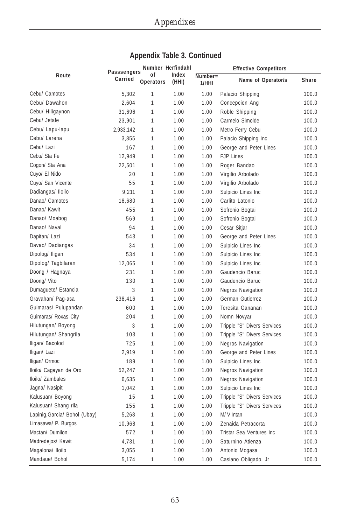|                               |                        | Number Herfindahl |                |                     | <b>Effective Competitors</b> |       |
|-------------------------------|------------------------|-------------------|----------------|---------------------|------------------------------|-------|
| Route                         | Passsengers<br>Carried | of<br>Operators   | Index<br>(HHI) | $Number =$<br>1/HHI | Name of Operator/s           | Share |
| Cebu/ Camotes                 | 5,302                  | 1                 | 1.00           | 1.00                | Palacio Shipping             | 100.0 |
| Cebu/ Dawahon                 | 2,604                  | 1                 | 1.00           | 1.00                | Concepcion Ang               | 100.0 |
| Cebu/ Hiligaynon              | 31,696                 | 1                 | 1.00           | 1.00                | Roble Shipping               | 100.0 |
| Cebu/ Jetafe                  | 23,901                 | $\mathbf{1}$      | 1.00           | 1.00                | Carmelo Simolde              | 100.0 |
| Cebu/ Lapu-lapu               | 2,933,142              | 1                 | 1.00           | 1.00                | Metro Ferry Cebu             | 100.0 |
| Cebu/ Larena                  | 3,855                  | 1                 | 1.00           | 1.00                | Palacio Shipping Inc         | 100.0 |
| Cebu/ Lazi                    | 167                    | $\mathbf{1}$      | 1.00           | 1.00                | George and Peter Lines       | 100.0 |
| Cebu/ Sta Fe                  | 12,949                 | 1                 | 1.00           | 1.00                | <b>FJP Lines</b>             | 100.0 |
| Cogon/ Sta Ana                | 22,501                 | 1                 | 1.00           | 1.00                | Roger Bandao                 | 100.0 |
| Cuyo/ El Nido                 | 20                     | 1                 | 1.00           | 1.00                | Virgilio Arbolado            | 100.0 |
| Cuyo/ San Vicente             | 55                     | 1                 | 1.00           | 1.00                | Virgilio Arbolado            | 100.0 |
| Dadiangas/ Iloilo             | 9,211                  | 1                 | 1.00           | 1.00                | Sulpicio Lines Inc           | 100.0 |
| Danao/ Camotes                | 18,680                 | 1                 | 1.00           | 1.00                | Carlito Latonio              | 100.0 |
| Danao/ Kawit                  | 455                    | 1                 | 1.00           | 1.00                | Sofronio Bogtai              | 100.0 |
| Danao/ Moabog                 | 569                    | 1                 | 1.00           | 1.00                | Sofronio Bogtai              | 100.0 |
| Danao/ Naval                  | 94                     | 1                 | 1.00           | 1.00                | Cesar Sitjar                 | 100.0 |
| Dapitan/ Lazi                 | 543                    | 1                 | 1.00           | 1.00                | George and Peter Lines       | 100.0 |
| Davao/ Dadiangas              | 34                     | $\mathbf{1}$      | 1.00           | 1.00                | Sulpicio Lines Inc           | 100.0 |
| Dipolog/ Iligan               | 534                    | 1                 | 1.00           | 1.00                | Sulpicio Lines Inc           | 100.0 |
| Dipolog/ Tagbilaran           | 12,065                 | 1                 | 1.00           | 1.00                | Sulpicio Lines Inc           | 100.0 |
| Doong / Hagnaya               | 231                    | 1                 | 1.00           | 1.00                | Gaudencio Baruc              | 100.0 |
| Doong/ Vito                   | 130                    | 1                 | 1.00           | 1.00                | Gaudencio Baruc              | 100.0 |
| Dumaguete/ Estancia           | 3                      | 1                 | 1.00           | 1.00                | <b>Negros Navigation</b>     | 100.0 |
| Gravahan/ Pag-asa             | 238,416                | $\mathbf{1}$      | 1.00           | 1.00                | German Gutierrez             | 100.0 |
| Guimaras/ Pulupandan          | 600                    | 1                 | 1.00           | 1.00                | Teresita Gananan             | 100.0 |
| Guimaras/ Roxas City          | 204                    | 1                 | 1.00           | 1.00                | Nomn Novyar                  | 100.0 |
| Hilutungan/ Boyong            | 3                      | 1                 | 1.00           | 1.00                | Tripple "S" Divers Services  | 100.0 |
| Hilutungan/ Shangrila         | 103                    | 1                 | 1.00           | 1.00                | Tripple "S" Divers Services  | 100.0 |
| Iligan/ Bacolod               | 725                    | 1                 | 1.00           | 1.00                | <b>Negros Navigation</b>     | 100.0 |
| Iligan/ Lazi                  | 2,919                  | $\mathbf{1}$      | 1.00           | 1.00                | George and Peter Lines       | 100.0 |
| Iligan/ Ormoc                 | 189                    | 1                 | 1.00           | 1.00                | Sulpicio Lines Inc           | 100.0 |
| Iloilo/ Cagayan de Oro        | 52,247                 | 1                 | 1.00           | 1.00                | <b>Negros Navigation</b>     | 100.0 |
| Iloilo/ Zambales              | 6,635                  | 1                 | 1.00           | 1.00                | <b>Negros Navigation</b>     | 100.0 |
| Jagna/ Nasipit                | 1,042                  | 1                 | 1.00           | 1.00                | Sulpicio Lines Inc           | 100.0 |
| Kalusuan/ Boyong              | 15                     | 1                 | 1.00           | 1.00                | Tripple "S" Divers Services  | 100.0 |
| Kalusuan/ Shang rila          | 155                    | $\mathbf{1}$      | 1.00           | 1.00                | Tripple "S" Divers Services  | 100.0 |
| Lapinig, Garcia/ Bohol (Ubay) | 5,268                  | 1                 | 1.00           | 1.00                | M/V Intan                    | 100.0 |
| Limasawa/ P. Burgos           | 10,968                 | 1                 | 1.00           | 1.00                | Zenaida Petracorta           | 100.0 |
| Mactan/ Dumilon               | 572                    | $\mathbf{1}$      | 1.00           | 1.00                | Tristar Sea Ventures Inc     | 100.0 |
| Madredejos/ Kawit             | 4,731                  | 1                 | 1.00           | 1.00                | Saturnino Atienza            | 100.0 |
| Magalona/ Iloilo              | 3,055                  | $\mathbf{1}$      | 1.00           | 1.00                | Antonio Mogasa               | 100.0 |
| Mandaue/ Bohol                | 5,174                  | $\mathbf{1}$      | 1.00           | 1.00                | Casiano Obligado, Jr         | 100.0 |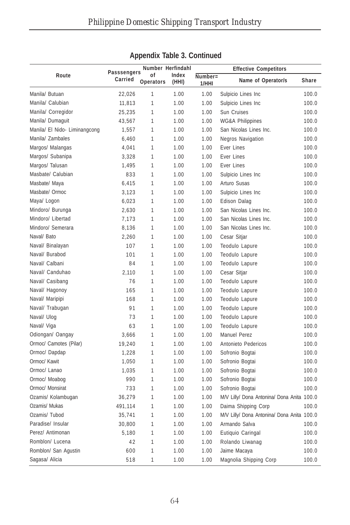|                               |                        | Number Herfindahl |                | <b>Effective Competitors</b> |                                            |       |  |
|-------------------------------|------------------------|-------------------|----------------|------------------------------|--------------------------------------------|-------|--|
| Route                         | Passsengers<br>Carried | οf<br>Operators   | Index<br>(HHI) | Number=<br>1/HHI             | Name of Operator/s                         | Share |  |
| Manila/ Butuan                | 22,026                 | 1                 | 1.00           | 1.00                         | Sulpicio Lines Inc                         | 100.0 |  |
| Manila/ Calubian              | 11,813                 | $\mathbf{1}$      | 1.00           | 1.00                         | Sulpicio Lines Inc                         | 100.0 |  |
| Manila/ Corregidor            | 25,235                 | 1                 | 1.00           | 1.00                         | Sun Cruises                                | 100.0 |  |
| Manila/ Dumaguit              | 43,567                 | 1                 | 1.00           | 1.00                         | <b>WG&amp;A Philippines</b>                | 100.0 |  |
| Manila/ El Nido- Liminangcong | 1,557                  | 1                 | 1.00           | 1.00                         | San Nicolas Lines Inc.                     | 100.0 |  |
| Manila/ Zambales              | 6,460                  | 1                 | 1.00           | 1.00                         | <b>Negros Navigation</b>                   | 100.0 |  |
| Margos/ Malangas              | 4,041                  | 1                 | 1.00           | 1.00                         | Ever Lines                                 | 100.0 |  |
| Margos/ Subanipa              | 3,328                  | 1                 | 1.00           | 1.00                         | Ever Lines                                 | 100.0 |  |
| Margos/ Talusan               | 1,495                  | 1                 | 1.00           | 1.00                         | Ever Lines                                 | 100.0 |  |
| Masbate/ Calubian             | 833                    | 1                 | 1.00           | 1.00                         | Sulpicio Lines Inc                         | 100.0 |  |
| Masbate/ Maya                 | 6,415                  | 1                 | 1.00           | 1.00                         | Arturo Susas                               | 100.0 |  |
| Masbate/ Ormoc                | 3,123                  | 1                 | 1.00           | 1.00                         | Sulpicio Lines Inc                         | 100.0 |  |
| Maya/ Logon                   | 6,023                  | 1                 | 1.00           | 1.00                         | <b>Edison Dalag</b>                        | 100.0 |  |
| Mindoro/ Burunga              | 2,630                  | 1                 | 1.00           | 1.00                         | San Nicolas Lines Inc.                     | 100.0 |  |
| Mindoro/ Libertad             | 7,173                  | 1                 | 1.00           | 1.00                         | San Nicolas Lines Inc.                     | 100.0 |  |
| Mindoro/ Semerara             | 8,136                  | 1                 | 1.00           | 1.00                         | San Nicolas Lines Inc.                     | 100.0 |  |
| Naval/ Bato                   | 2,260                  | 1                 | 1.00           | 1.00                         | Cesar Sitjar                               | 100.0 |  |
| Naval/ Binalayan              | 107                    | 1                 | 1.00           | 1.00                         | Teodulo Lapure                             | 100.0 |  |
| Naval/ Burabod                | 101                    | 1                 | 1.00           | 1.00                         | Teodulo Lapure                             | 100.0 |  |
| Naval/ Calbani                | 84                     | 1                 | 1.00           | 1.00                         | Teodulo Lapure                             | 100.0 |  |
| Naval/ Canduhao               | 2,110                  | 1                 | 1.00           | 1.00                         | Cesar Sitjar                               | 100.0 |  |
| Naval/ Casibang               | 76                     | 1                 | 1.00           | 1.00                         | Teodulo Lapure                             | 100.0 |  |
| Naval/ Hagonoy                | 165                    | 1                 | 1.00           | 1.00                         | Teodulo Lapure                             | 100.0 |  |
| Naval/ Maripipi               | 168                    | 1                 | 1.00           | 1.00                         | Teodulo Lapure                             | 100.0 |  |
| Naval/ Trabugan               | 91                     | $\mathbf{1}$      | 1.00           | 1.00                         | Teodulo Lapure                             | 100.0 |  |
| Naval/ Ulog                   | 73                     | 1                 | 1.00           | 1.00                         | Teodulo Lapure                             | 100.0 |  |
| Naval/ Viga                   | 63                     | 1                 | 1.00           | 1.00                         | Teodulo Lapure                             | 100.0 |  |
| Odiongan/ Oangay              | 3,666                  | 1                 | 1.00           | 1.00                         | Manuel Perez                               | 100.0 |  |
| Ormoc/ Camotes (Pilar)        | 19,240                 | 1                 | 1.00           | 1.00                         | Antonieto Pedericos                        | 100.0 |  |
| Ormoc/ Dapdap                 | 1,228                  | 1                 | 1.00           | 1.00                         | Sofronio Bogtai                            | 100.0 |  |
| Ormoc/ Kawit                  | 1,050                  | 1                 | 1.00           | 1.00                         | Sofronio Bogtai                            | 100.0 |  |
| Ormoc/ Lanao                  | 1,035                  | 1                 | 1.00           | 1.00                         | Sofronio Bogtai                            | 100.0 |  |
| Ormoc/ Moabog                 | 990                    | 1                 | 1.00           | 1.00                         | Sofronio Bogtai                            | 100.0 |  |
| Ormoc/ Monsirat               | 733                    | 1                 | 1.00           | 1.00                         | Sofronio Bogtai                            | 100.0 |  |
| Ozamis/ Kolambugan            | 36,279                 | 1                 | 1.00           | 1.00                         | M/V Lilly/ Dona Antonina/ Dona Anita 100.0 |       |  |
| Ozamis/ Mukas                 | 491,114                | 1                 | 1.00           | 1.00                         | Daima Shipping Corp                        | 100.0 |  |
| Ozamis/Tubod                  | 35,741                 | 1                 | 1.00           | 1.00                         | M/V Lilly/ Dona Antonina/ Dona Anita 100.0 |       |  |
| Paradise/Insular              | 30,800                 | 1                 | 1.00           | 1.00                         | Armando Salva                              | 100.0 |  |
| Perez/ Antimonan              | 5,180                  | 1                 | 1.00           | 1.00                         | Eutiquio Caringal                          | 100.0 |  |
| Romblon/ Lucena               | 42                     | 1                 | 1.00           | 1.00                         | Rolando Liwanag                            | 100.0 |  |
| Romblon/ San Agustin          | 600                    | 1                 | 1.00           | 1.00                         | Jaime Macaya                               | 100.0 |  |
| Sagasa/ Alicia                | 518                    | 1                 | 1.00           | 1.00                         | Magnolia Shipping Corp                     | 100.0 |  |

## **Appendix Table 3. Continued**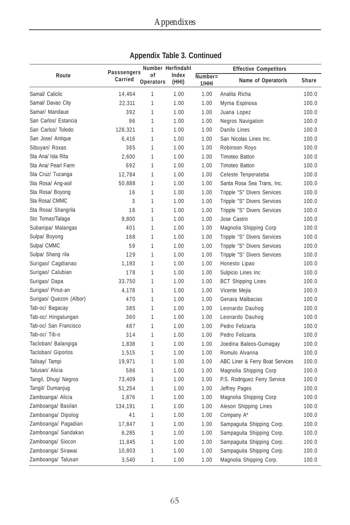| Route                   | Passsengers | Number Herfindahl      |                | <b>Effective Competitors</b> |                                 |       |
|-------------------------|-------------|------------------------|----------------|------------------------------|---------------------------------|-------|
|                         | Carried     | 0f<br><b>Operators</b> | Index<br>(HHI) | Number=<br>1/HHI             | Name of Operator/s              | Share |
| Samal/ Caliclic         | 14.464      | 1                      | 1.00           | 1.00                         | Analita Richa                   | 100.0 |
| Samal/ Davao City       | 22,311      | 1                      | 1.00           | 1.00                         | Myrna Espinosa                  | 100.0 |
| Samar/ Mandaue          | 392         | 1                      | 1.00           | 1.00                         | Juana Lopez                     | 100.0 |
| San Carlos/ Estancia    | 96          | 1                      | 1.00           | 1.00                         | <b>Negros Navigation</b>        | 100.0 |
| San Carlos/ Toledo      | 128,321     | 1                      | 1.00           | 1.00                         | Danilo Lines                    | 100.0 |
| San Jose/ Antique       | 6,416       | 1                      | 1.00           | 1.00                         | San Nicolas Lines Inc.          | 100.0 |
| Sibuyan/ Roxas          | 365         | $\mathbf{1}$           | 1.00           | 1.00                         | Robinson Royo                   | 100.0 |
| Sta Ana/ Isla Rita      | 2.600       | $\mathbf{1}$           | 1.00           | 1.00                         | <b>Timoteo Batton</b>           | 100.0 |
| Sta Ana/ Pearl Farm     | 692         | 1                      | 1.00           | 1.00                         | Timoteo Batton                  | 100.0 |
| Sta Cruz/Tucanga        | 12,784      | 1                      | 1.00           | 1.00                         | Celeste Tenperateba             | 100.0 |
| Sta Rosa/Ang-asil       | 50,888      | 1                      | 1.00           | 1.00                         | Santa Rosa Sea Trans, Inc.      | 100.0 |
| Sta Rosa/ Boyong        | 16          | 1                      | 1.00           | 1.00                         | Tripple "S" Divers Services     | 100.0 |
| Sta Rosa/ CMMC          | 3           | 1                      | 1.00           | 1.00                         | Tripple "S" Divers Services     | 100.0 |
| Sta Rosa/ Shangrila     | 18          | $\mathbf{1}$           | 1.00           | 1.00                         | Tripple "S" Divers Services     | 100.0 |
| Sto Tomas/Talaga        | 9,800       | 1                      | 1.00           | 1.00                         | Jose Castro                     | 100.0 |
| Subanipa/ Malangas      | 401         | 1                      | 1.00           | 1.00                         | Magnolia Shipping Corp          | 100.0 |
| Sulpa/ Boyong           | 168         | 1                      | 1.00           | 1.00                         | Tripple "S" Divers Services     | 100.0 |
| Sulpa/ CMMC             | 59          | 1                      | 1.00           | 1.00                         | Tripple "S" Divers Services     | 100.0 |
| Sulpa/ Shang rila       | 129         | 1                      | 1.00           | 1.00                         | Tripple "S" Divers Services     | 100.0 |
| Surigao/ Cagdianao      | 1,193       | 1                      | 1.00           | 1.00                         | Honesto Lipao                   | 100.0 |
| Surigao/ Calubian       | 178         | 1                      | 1.00           | 1.00                         | Sulpicio Lines Inc              | 100.0 |
| Surigao/ Dapa           | 33,750      | 1                      | 1.00           | 1.00                         | <b>BCT Shipping Lines</b>       | 100.0 |
| Surigao/ Pinut-an       | 4,178       | 1                      | 1.00           | 1.00                         | Vicente Mejia                   | 100.0 |
| Surigao/ Quezon (Albor) | 470         | 1                      | 1.00           | 1.00                         | Genara Malbacias                | 100.0 |
| Tab-oc/ Bagacay         | 385         | 1                      | 1.00           | 1.00                         | Leonardo Dauhog                 | 100.0 |
| Tab-oc/ Hingatungan     | 360         | 1                      | 1.00           | 1.00                         | Leonardo Dauhog                 | 100.0 |
| Tab-oc/ San Francisco   | 487         | $\mathbf{1}$           | 1.00           | 1.00                         | Pedro Felizarta                 | 100.0 |
| Tab-oc/Tib-o            | 314         | 1                      | 1.00           | 1.00                         | Pedro Felizarta                 | 100.0 |
| Tacloban/ Balangiga     | 1,838       | 1                      | 1.00           | 1.00                         | Joedina Baleos-Gumagay          | 100.0 |
| Tacloban/ Giporlos      | 1,515       | $\mathbf{1}$           | 1.00           | 1.00                         | Romulo Alvarina                 | 100.0 |
| Talisay/ Tampi          | 19,971      | 1                      | 1.00           | 1.00                         | ABC Liner & Ferry Boat Services | 100.0 |
| Talusan/ Alicia         | 586         | 1                      | 1.00           | 1.00                         | Magnolia Shipping Corp          | 100.0 |
| Tangil, Dhug/ Negros    | 73,409      | 1                      | 1.00           | 1.00                         | P.S. Rodriguez Ferry Service    | 100.0 |
| Tangil/ Dumanjug        | 51,254      | 1                      | 1.00           | 1.00                         | Jeffrey Pages                   | 100.0 |
| Zamboanga/ Alicia       | 1,876       | 1                      | 1.00           | 1.00                         | Magnolia Shipping Corp          | 100.0 |
| Zamboanga/ Basilan      | 134,191     | 1                      | 1.00           | 1.00                         | Aleson Shipping Lines           | 100.0 |
| Zamboanga/ Dipolog      | 41          | 1                      | 1.00           | 1.00                         | Company A*                      | 100.0 |
| Zamboanga/ Pagadian     | 17,847      | 1                      | 1.00           | 1.00                         | Sampaguita Shipping Corp.       | 100.0 |
| Zamboanga/ Sandakan     | 6,285       | 1                      | 1.00           | 1.00                         | Sampaguita Shipping Corp.       | 100.0 |
| Zamboanga/ Siocon       | 11,845      | $\mathbf{1}$           | 1.00           | 1.00                         | Sampaguita Shipping Corp.       | 100.0 |
| Zamboanga/ Sirawai      | 10,803      | 1                      | 1.00           | 1.00                         | Sampaguita Shipping Corp.       | 100.0 |
| Zamboanga/ Talusan      | 3,540       | 1                      | 1.00           | 1.00                         | Magnolia Shipping Corp.         | 100.0 |

**Appendix Table 3. Continued**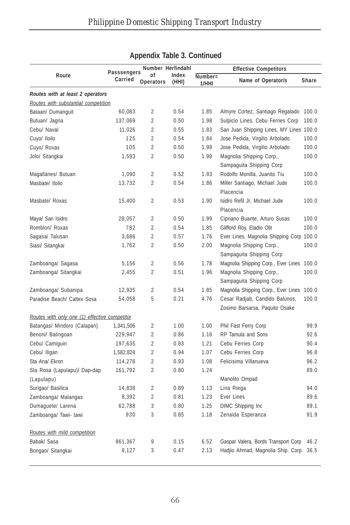|                                               | <b>Passsengers</b> | Number Herfindahl      |                |                     | <b>Effective Competitors</b>                                     |              |
|-----------------------------------------------|--------------------|------------------------|----------------|---------------------|------------------------------------------------------------------|--------------|
| Route                                         | Carried            | of<br><b>Operators</b> | Index<br>(HHI) | $Number =$<br>1/HHI | Name of Operator/s                                               | <b>Share</b> |
| Routes with at least 2 operators              |                    |                        |                |                     |                                                                  |              |
| Routes with substantial competition           |                    |                        |                |                     |                                                                  |              |
| Bataan/ Dumanquit                             | 60,083             | 2                      | 0.54           | 1.85                | Almyre Cortez, Santiago Regalado                                 | 100.0        |
| Butuan/ Jagna                                 | 137,069            | $\overline{2}$         | 0.50           | 1.98                | Sulpicio Lines, Cebu Ferries Corp                                | 100.0        |
| Cebu/ Naval                                   | 11,026             | $\overline{2}$         | 0.55           | 1.83                | San Juan Shipping Lines, MY Lines 100.0                          |              |
| Cuyo/ Iloilo                                  | 125                | $\overline{2}$         | 0.54           | 1.84                | Jose Pedida, Virgilio Arbolado                                   | 100.0        |
| Cuyo/ Roxas                                   | 105                | $\overline{2}$         | 0.50           | 1.99                | Jose Pedida, Virgilio Arbolado                                   | 100.0        |
| Jolo/ Sitangkai                               | 1,593              | $\overline{2}$         | 0.50           | 1.99                | Magnolia Shipping Corp.,<br>Sampaguita Shipping Corp             | 100.0        |
| Magallanes/ Butuan                            | 1,090              | $\overline{2}$         | 0.52           | 1.93                | Rodolfo Monilla, Juanito Tiu                                     | 100.0        |
| Masbate/ Iloilo                               | 13,732             | $\overline{2}$         | 0.54           | 1.86                | Miller Santiago, Michael Jude<br>Placencia                       | 100.0        |
| Masbate/ Roxas                                | 15,400             | $\overline{2}$         | 0.53           | 1.90                | Isidro Refil Jr, Michael Jude<br>Placencia                       | 100.0        |
| Maya/ San Isidro                              | 28,057             | $\overline{2}$         | 0.50           | 1.99                | Cipriano Buante, Arturo Susas                                    | 100.0        |
| Romblon/ Roxas                                | 782                | $\overline{2}$         | 0.54           | 1.85                | Glifford Roy, Eladio Olit                                        | 100.0        |
| Sagasa/Talusan                                | 3,686              | $\overline{2}$         | 0.57           | 1.76                | Ever Lines, Magnolia Shipping Corp 100.0                         |              |
| Siasi/ Sitangkai                              | 1,762              | $\overline{2}$         | 0.50           | 2.00                | Magnolia Shipping Corp.,<br>Sampaguita Shipping Corp             | 100.0        |
| Zamboanga/ Sagasa                             | 5,156              | $\overline{2}$         | 0.56           | 1.78                | Magnolia Shipping Corp., Ever Lines                              | 100.0        |
| Zamboanga/ Sitangkai                          | 2,455              | $\overline{2}$         | 0.51           | 1.96                | Magnolia Shipping Corp.,<br>Sampaguita Shipping Corp             | 100.0        |
| Zamboanga/ Subanipa                           | 12,935             | $\overline{2}$         | 0.54           | 1.85                | Magnolia Shipping Corp., Ever Lines                              | 100.0        |
| Paradise Beach/ Caltex Sosa                   | 54,058             | 5                      | 0.21           | 4.76                | Cesar Radjab, Candido Balunos,<br>Zosimo Barsarsa, Paquito Osake | 100.0        |
| Routes with only one (1) effective competitor |                    |                        |                |                     |                                                                  |              |
| Batangas/ Mindoro (Calapan)                   | 1,341,506          | 2                      | 1.00           | 1.00                | Phil Fast Ferry Corp                                             | 99.9         |
| Benoni/ Balingoan                             | 229,947            | $\overline{2}$         | 0.86           | 1.16                | RP Tamula and Sons                                               | 92.6         |
| Cebu/ Camiguin                                | 197,635            | $\overline{2}$         | 0.83           | 1.21                | Cebu Ferries Corp                                                | 90.4         |
| Cebu/ Iligan                                  | 1,582,824          | $\overline{2}$         | 0.94           | 1.07                | Cebu Ferries Corp                                                | 96.8         |
| Sta Ana/ Ekron                                | 114,276            | $\overline{2}$         | 0.93           | 1.08                | Felicisima Villanueva                                            | 96.2         |
| Sta Rosa (Lapulapu)/ Dap-dap<br>(Lapulapu)    | 161,792            | $\overline{2}$         | 0.80           | 1.24                | Manolito Ompad                                                   | 89.0         |
| Surigao/ Basilica                             | 14,838             | $\overline{2}$         | 0.89           | 1.13                | Lina Riega                                                       | 94.0         |
| Zamboanga/ Malangas                           | 8,392              | $\overline{2}$         | 0.81           | 1.23                | Ever Lines                                                       | 89.6         |
| Dumaquete/ Larena                             | 62,788             | 3                      | 0.80           | 1.25                | DIMC Shipping Inc                                                | 89.1         |
| Zamboanga/ Tawi- tawi                         | 930                | 3                      | 0.85           | 1.18                | Zenaida Esperanza                                                | 91.9         |
| Routes with mild competition                  |                    |                        |                |                     |                                                                  |              |
| Babak/ Sasa                                   | 861,367            | 9                      | 0.15           | 6.52                | Gaspar Valera, Bords Transport Corp                              | 46.2         |
| Bongao/ Sitangkai                             | 8,127              | 3                      | 0.47           | 2.13                | Hadjio Ahmad, Magnolia Ship. Corp. 36.5                          |              |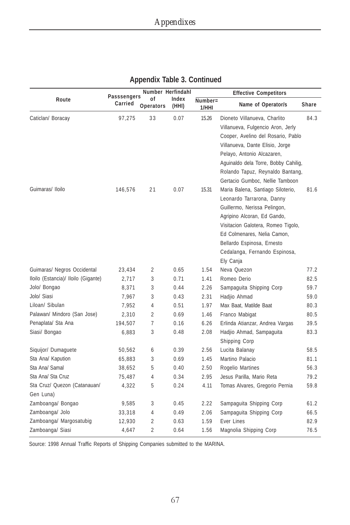|                                           |                               | Number Herfindahl |                |                     | <b>Effective Competitors</b>                                                                                                                                                                                                                                                            |       |
|-------------------------------------------|-------------------------------|-------------------|----------------|---------------------|-----------------------------------------------------------------------------------------------------------------------------------------------------------------------------------------------------------------------------------------------------------------------------------------|-------|
| Route                                     | <b>Passsengers</b><br>Carried | 0f<br>Operators   | Index<br>(HHI) | $Number =$<br>1/HHI | Name of Operator/s                                                                                                                                                                                                                                                                      | Share |
| Caticlan/ Boracay                         | 97,275                        | 33                | 0.07           | 15.26               | Dioneto Villanueva, Charlito<br>Villanueva, Fulgencio Aron, Jerly<br>Cooper, Avelino del Rosario, Pablo<br>Villanueva, Dante Elisio, Jorge<br>Pelayo, Antonio Alcazaren,<br>Aguinaldo dela Torre, Bobby Cahilig,<br>Rolando Tapuz, Reynaldo Bantang,<br>Gertacio Gumboc, Nellie Tamboon | 84.3  |
| Guimaras/ Iloilo                          | 146,576                       | 21                | 0.07           | 15.31               | Maria Balena, Santiago Siloterio,<br>Leonardo Tarrarona, Danny<br>Guillermo, Nerissa Pelingon,<br>Agripino Alcoran, Ed Gando,<br>Visitacion Galotera, Romeo Tigolo,<br>Ed Colmenares, Nelia Camon,<br>Bellardo Espinosa, Ernesto<br>Cedalanga, Fernando Espinosa,<br>Ely Canja          | 81.6  |
| Guimaras/ Negros Occidental               | 23,434                        | 2                 | 0.65           | 1.54                | Neva Quezon                                                                                                                                                                                                                                                                             | 77.2  |
| Iloilo (Estancia)/ Iloilo (Gigante)       | 2,717                         | 3                 | 0.71           | 1.41                | Romeo Derio                                                                                                                                                                                                                                                                             | 82.5  |
| Jolo/ Bongao                              | 8,371                         | 3                 | 0.44           | 2.26                | Sampaguita Shipping Corp                                                                                                                                                                                                                                                                | 59.7  |
| Jolo/ Siasi                               | 7,967                         | 3                 | 0.43           | 2.31                | Hadjio Ahmad                                                                                                                                                                                                                                                                            | 59.0  |
| Liloan/ Sibulan                           | 7,952                         | 4                 | 0.51           | 1.97                | Max Baat, Matilde Baat                                                                                                                                                                                                                                                                  | 80.3  |
| Palawan/ Mindoro (San Jose)               | 2,310                         | $\overline{2}$    | 0.69           | 1.46                | Franco Mabigat                                                                                                                                                                                                                                                                          | 80.5  |
| Penaplata/ Sta Ana                        | 194,507                       | $\overline{7}$    | 0.16           | 6.26                | Erlinda Atianzar, Andrea Vargas                                                                                                                                                                                                                                                         | 39.5  |
| Siasi/ Bongao                             | 6,883                         | 3                 | 0.48           | 2.08                | Hadjio Ahmad, Sampaguita<br>Shipping Corp                                                                                                                                                                                                                                               | 83.3  |
| Siquijor/ Dumaguete                       | 50,562                        | 6                 | 0.39           | 2.56                | Lucita Balanay                                                                                                                                                                                                                                                                          | 58.5  |
| Sta Ana/ Kapution                         | 65,883                        | 3                 | 0.69           | 1.45                | Martino Palacio                                                                                                                                                                                                                                                                         | 81.1  |
| Sta Ana/ Samal                            | 38,652                        | 5                 | 0.40           | 2.50                | Rogelio Martines                                                                                                                                                                                                                                                                        | 56.3  |
| Sta Ana/ Sta Cruz                         | 75,487                        | $\overline{4}$    | 0.34           | 2.95                | Jesus Parilla, Mario Reta                                                                                                                                                                                                                                                               | 79.2  |
| Sta Cruz/ Quezon (Catanauan/<br>Gen Luna) | 4,322                         | 5                 | 0.24           | 4.11                | Tomas Alvares, Gregorio Pernia                                                                                                                                                                                                                                                          | 59.8  |
| Zamboanga/ Bongao                         | 9,585                         | 3                 | 0.45           | 2.22                | Sampaguita Shipping Corp                                                                                                                                                                                                                                                                | 61.2  |
| Zamboanga/ Jolo                           | 33,318                        | 4                 | 0.49           | 2.06                | Sampaguita Shipping Corp                                                                                                                                                                                                                                                                | 66.5  |
| Zamboanga/ Margosatubig                   | 12,930                        | $\overline{2}$    | 0.63           | 1.59                | <b>Ever Lines</b>                                                                                                                                                                                                                                                                       | 82.9  |
| Zamboanga/ Siasi                          | 4,647                         | $\overline{a}$    | 0.64           | 1.56                | Magnolia Shipping Corp                                                                                                                                                                                                                                                                  | 76.5  |

Source: 1998 Annual Traffic Reports of Shipping Companies submitted to the MARINA.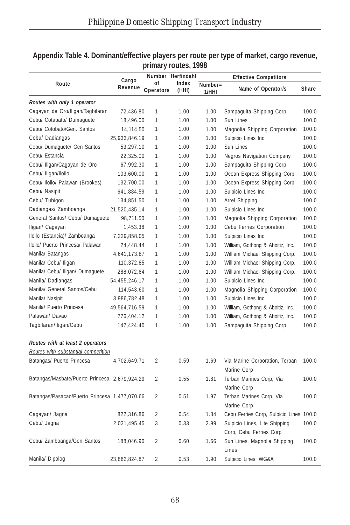|                                               |                  |           | Number Herfindahl |         | <b>Effective Competitors</b>                  |       |
|-----------------------------------------------|------------------|-----------|-------------------|---------|-----------------------------------------------|-------|
| Route                                         | Cargo<br>Revenue | οf        | Index             | Number= |                                               |       |
|                                               |                  | Operators | (HHI)             | 1/HHI   | Name of Operator/s                            | Share |
| Routes with only 1 operator                   |                  |           |                   |         |                                               |       |
| Cagayan de Oro/Iligan/Tagbilaran              | 72,436.80        | 1         | 1.00              | 1.00    | Sampaguita Shipping Corp.                     | 100.0 |
| Cebu/ Cotabato/ Dumaquete                     | 18,496.00        | 1         | 1.00              | 1.00    | Sun Lines                                     | 100.0 |
| Cebu/ Cotobato/Gen. Santos                    | 14,114.50        | 1         | 1.00              | 1.00    | Magnolia Shipping Corporation                 | 100.0 |
| Cebu/ Dadiangas                               | 25,933,846.19    | 1         | 1.00              | 1.00    | Sulpicio Lines Inc.                           | 100.0 |
| Cebu/ Dumaguete/ Gen Santos                   | 53,297.10        | 1         | 1.00              | 1.00    | Sun Lines                                     | 100.0 |
| Cebu/ Estancia                                | 22,325.00        | 1         | 1.00              | 1.00    | <b>Negros Navigation Company</b>              | 100.0 |
| Cebu/ Iligan/Cagayan de Oro                   | 67,992.30        | 1         | 1.00              | 1.00    | Sampaguita Shipping Corp.                     | 100.0 |
| Cebu/ Iligan/Iloilo                           | 103,600.00       | 1         | 1.00              | 1.00    | Ocean Express Shipping Corp                   | 100.0 |
| Cebu/ Iloilo/ Palawan (Brookes)               | 132,700.00       | 1         | 1.00              | 1.00    | Ocean Express Shipping Corp                   | 100.0 |
| Cebu/ Nasipit                                 | 641,884.59       | 1         | 1.00              | 1.00    | Sulpicio Lines Inc.                           | 100.0 |
| Cebu/ Tubigon                                 | 134,851.50       | 1         | 1.00              | 1.00    | Arrel Shipping                                | 100.0 |
| Dadiangas/ Zamboanga                          | 21,520,435.14    | 1         | 1.00              | 1.00    | Sulpicio Lines Inc.                           | 100.0 |
| General Santos/ Cebu/ Dumaguete               | 98,711.50        | 1         | 1.00              | 1.00    | Magnolia Shipping Corporation                 | 100.0 |
| Iligan/ Cagayan                               | 1,453.38         | 1         | 1.00              | 1.00    | Cebu Ferries Corporation                      | 100.0 |
| Iloilo (Estancia)/ Zamboanga                  | 7,229,858.05     | 1         | 1.00              | 1.00    | Sulpicio Lines Inc.                           | 100.0 |
| Iloilo/ Puerto Princesa/ Palawan              | 24,448.44        | 1         | 1.00              | 1.00    | William, Gothong & Aboitiz, Inc.              | 100.0 |
| Manila/ Batangas                              | 4,641,173.87     | 1         | 1.00              | 1.00    | William Michael Shipping Corp.                | 100.0 |
| Manila/ Cebu/ Iligan                          | 110,372.85       | 1         | 1.00              | 1.00    | William Michael Shipping Corp.                | 100.0 |
| Manila/ Cebu/ Iligan/ Dumaguete               | 288,072.64       | 1         | 1.00              | 1.00    | William Michael Shipping Corp.                | 100.0 |
| Manila/ Dadiangas                             | 54,455,246.17    | 1         | 1.00              | 1.00    | Sulpicio Lines Inc.                           | 100.0 |
| Manila/ General Santos/Cebu                   | 114,543.60       | 1         | 1.00              | 1.00    | Magnolia Shipping Corporation                 | 100.0 |
| Manila/ Nasipit                               | 3,986,782.48     | 1         | 1.00              | 1.00    | Sulpicio Lines Inc.                           | 100.0 |
| Manila/ Puerto Princesa                       | 49,564,716.59    | 1         | 1.00              | 1.00    | William, Gothong & Aboitiz, Inc.              | 100.0 |
| Palawan/ Davao                                | 776,404.12       | 1         | 1.00              | 1.00    | William, Gothong & Aboitiz, Inc.              | 100.0 |
| Tagbilaran/Iligan/Cebu                        | 147,424.40       | 1         | 1.00              | 1.00    | Sampaguita Shipping Corp.                     | 100.0 |
| Routes with at least 2 operators              |                  |           |                   |         |                                               |       |
| Routes with substantial competition           |                  |           |                   |         |                                               |       |
| Batangas/ Puerto Princesa                     | 4,702,649.71     | 2         | 0.59              | 1.69    | Via Marine Corporation, Terban<br>Marine Corp | 100.0 |
| Batangas/Masbate/Puerto Princesa 2,679,924.29 |                  | 2         | 0.55              | 1.81    | Terban Marines Corp, Via<br>Marine Corp       | 100.0 |
| Batangas/Pasacao/Puerto Princesa 1,477,070.66 |                  | 2         | 0.51              | 1.97    | Terban Marines Corp, Via<br>Marine Corp       | 100.0 |
| Cagayan/ Jagna                                | 822,316.86       | 2         | 0.54              | 1.84    | Cebu Ferries Corp, Sulpicio Lines 100.0       |       |
| Cebu/ Jagna                                   | 2,031,495.45     | 3         | 0.33              | 2.99    | Sulpicio Lines, Lite Shipping                 | 100.0 |
|                                               |                  |           |                   |         | Corp, Cebu Ferries Corp                       |       |
| Cebu/ Zamboanga/Gen Santos                    | 188,046.90       | 2         | 0.60              | 1.66    | Sun Lines, Magnolia Shipping<br>Lines         | 100.0 |
| Manila/ Dipolog                               | 23,882,824.87    | 2         | 0.53              | 1.90    | Sulpicio Lines, WG&A                          | 100.0 |

#### **Appendix Table 4. Dominant/effective players per route per type of market, cargo revenue, primary routes, 1998**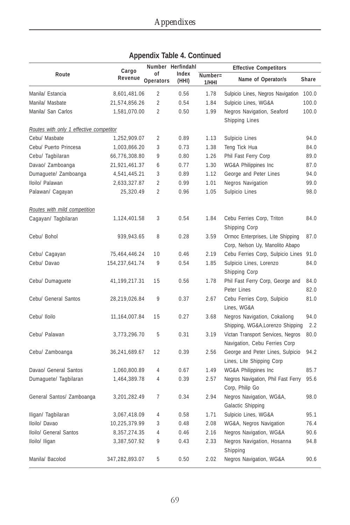|                                         | Cargo           |                 | Number Herfindahl |                  | <b>Effective Competitors</b>                                        |              |
|-----------------------------------------|-----------------|-----------------|-------------------|------------------|---------------------------------------------------------------------|--------------|
| Route                                   | Revenue         | οf<br>Operators | Index<br>(HHI)    | Number=<br>1/HHI | Name of Operator/s                                                  | Share        |
| Manila/ Estancia                        | 8,601,481.06    | $\overline{2}$  | 0.56              | 1.78             | Sulpicio Lines, Negros Navigation                                   | 100.0        |
| Manila/ Masbate                         | 21,574,856.26   | $\overline{2}$  | 0.54              | 1.84             | Sulpicio Lines, WG&A                                                | 100.0        |
| Manila/ San Carlos                      | 1,581,070.00    | $\overline{2}$  | 0.50              | 1.99             | Negros Navigation, Seaford<br><b>Shipping Lines</b>                 | 100.0        |
| Routes with only 1 effective competitor |                 |                 |                   |                  |                                                                     |              |
| Cebu/ Masbate                           | 1,252,909.07    | $\overline{2}$  | 0.89              | 1.13             | Sulpicio Lines                                                      | 94.0         |
| Cebu/ Puerto Princesa                   | 1,003,866.20    | 3               | 0.73              | 1.38             | Teng Tick Hua                                                       | 84.0         |
| Cebu/ Tagbilaran                        | 66,776,308.80   | 9               | 0.80              | 1.26             | Phil Fast Ferry Corp                                                | 89.0         |
| Davao/ Zamboanga                        | 21,921,461.37   | 6               | 0.77              | 1.30             | WG&A Philippines Inc                                                | 87.0         |
| Dumaguete/ Zamboanga                    | 4,541,445.21    | 3               | 0.89              | 1.12             | George and Peter Lines                                              | 94.0         |
| Iloilo/ Palawan                         | 2,633,327.87    | $\overline{2}$  | 0.99              | 1.01             | <b>Negros Navigation</b>                                            | 99.0         |
| Palawan/ Cagayan                        | 25,320.49       | $\overline{2}$  | 0.96              | 1.05             | Sulpicio Lines                                                      | 98.0         |
| Routes with mild competition            |                 |                 |                   |                  |                                                                     |              |
| Cagayan/ Tagbilaran                     | 1,124,401.58    | 3               | 0.54              | 1.84             | Cebu Ferries Corp, Triton<br>Shipping Corp                          | 84.0         |
| Cebu/ Bohol                             | 939,943.65      | 8               | 0.28              | 3.59             | Ormoc Enterprises, Lite Shipping<br>Corp, Nelson Uy, Manolito Abapo | 87.0         |
| Cebu/ Cagayan                           | 75,464,446.24   | 10              | 0.46              | 2.19             | Cebu Ferries Corp, Sulpicio Lines                                   | 91.0         |
| Cebu/ Davao                             | 154,237,641.74  | 9               | 0.54              | 1.85             | Sulpicio Lines, Lorenzo<br>Shipping Corp                            | 84.0         |
| Cebu/ Dumaguete                         | 41,199,217.31   | 15              | 0.56              | 1.78             | Phil Fast Ferry Corp, George and<br>Peter Lines                     | 84.0<br>82.0 |
| Cebu/ General Santos                    | 28,219,026.84   | 9               | 0.37              | 2.67             | Cebu Ferries Corp, Sulpicio<br>Lines, WG&A                          | 81.0         |
| Cebu/ Iloilo                            | 11, 164, 007.84 | 15              | 0.27              | 3.68             | Negros Navigation, Cokaliong<br>Shipping, WG&A, Lorenzo Shipping    | 94.0<br>2.2  |
| Cebu/ Palawan                           | 3,773,296.70    | 5               | 0.31              | 3.19             | Victan Transport Services, Negros<br>Navigation, Cebu Ferries Corp  | 80.0         |
| Cebu/ Zamboanga                         | 36,241,689.67   | 12              | 0.39              | 2.56             | George and Peter Lines, Sulpicio<br>Lines, Lite Shipping Corp       | 94.2         |
| Davao/ General Santos                   | 1,060,800.89    | 4               | 0.67              | 1.49             | WG&A Philippines Inc                                                | 85.7         |
| Dumaguete/ Tagbilaran                   | 1,464,389.78    | 4               | 0.39              | 2.57             | Negros Navigation, Phil Fast Ferry<br>Corp, Philip Go               | 95.6         |
| General Santos/ Zamboanga               | 3,201,282.49    | $\overline{7}$  | 0.34              | 2.94             | Negros Navigation, WG&A,<br>Galactic Shipping                       | 98.0         |
| Iligan/ Tagbilaran                      | 3,067,418.09    | 4               | 0.58              | 1.71             | Sulpicio Lines, WG&A                                                | 95.1         |
| Iloilo/ Davao                           | 10,225,379.99   | 3               | 0.48              | 2.08             | WG&A, Negros Navigation                                             | 76.4         |
| Iloilo/ General Santos                  | 8,357,274.35    | 4               | 0.46              | 2.16             | Negros Navigation, WG&A                                             | 90.6         |
| Iloilo/ Iligan                          | 3,387,507.92    | 9               | 0.43              | 2.33             | Negros Navigation, Hosanna<br>Shipping                              | 94.8         |
| Manila/ Bacolod                         | 347,282,893.07  | 5               | 0.50              | 2.02             | Negros Navigation, WG&A                                             | 90.6         |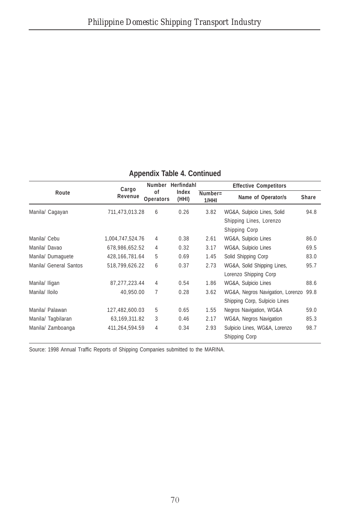|                        | Cargo            | Number                 | Herfindahl     |                     | <b>Effective Competitors</b>     |              |
|------------------------|------------------|------------------------|----------------|---------------------|----------------------------------|--------------|
| Route                  | Revenue          | 0f<br><b>Operators</b> | Index<br>(HHI) | $Number =$<br>1/HHI | Name of Operator/s               | <b>Share</b> |
| Manila/ Cagayan        | 711,473,013.28   | 6                      | 0.26           | 3.82                | WG&A, Sulpicio Lines, Solid      | 94.8         |
|                        |                  |                        |                |                     | Shipping Lines, Lorenzo          |              |
|                        |                  |                        |                |                     | Shipping Corp                    |              |
| Manila/ Cebu           | 1,004,747,524.76 | 4                      | 0.38           | 2.61                | WG&A, Sulpicio Lines             | 86.0         |
| Manila/ Davao          | 678.986.652.52   | 4                      | 0.32           | 3.17                | WG&A, Sulpicio Lines             | 69.5         |
| Manila/Dumaquete       | 428.166.781.64   | 5                      | 0.69           | 1.45                | Solid Shipping Corp              | 83.0         |
| Manila/ General Santos | 518,799,626.22   | 6                      | 0.37           | 2.73                | WG&A, Solid Shipping Lines,      | 95.7         |
|                        |                  |                        |                |                     | Lorenzo Shipping Corp            |              |
| Manila/ Iligan         | 87, 277, 223.44  | 4                      | 0.54           | 1.86                | WG&A, Sulpicio Lines             | 88.6         |
| Manila/ Iloilo         | 40.950.00        | 7                      | 0.28           | 3.62                | WG&A, Negros Navigation, Lorenzo | 99.8         |
|                        |                  |                        |                |                     | Shipping Corp, Sulpicio Lines    |              |
| Manila/ Palawan        | 127,482,600.03   | 5                      | 0.65           | 1.55                | Negros Navigation, WG&A          | 59.0         |
| Manila/Tagbilaran      | 63, 169, 311.82  | 3                      | 0.46           | 2.17                | WG&A, Negros Navigation          | 85.3         |
| Manila/ Zamboanga      | 411,264,594.59   | 4                      | 0.34           | 2.93                | Sulpicio Lines, WG&A, Lorenzo    | 98.7         |
|                        |                  |                        |                |                     | Shipping Corp                    |              |

Source: 1998 Annual Traffic Reports of Shipping Companies submitted to the MARINA.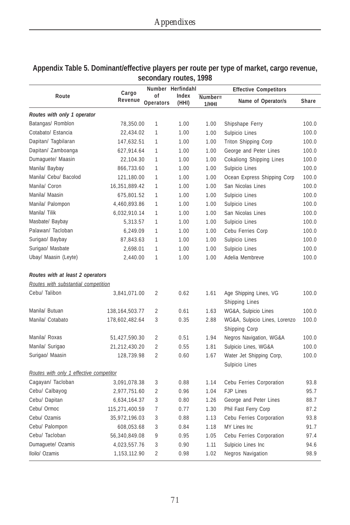|                                         |                   |                | Number Herfindahl |         | <b>Effective Competitors</b>                    |       |
|-----------------------------------------|-------------------|----------------|-------------------|---------|-------------------------------------------------|-------|
| Route                                   | Cargo<br>Revenue  | οf             | Index             | Number= | Name of Operator/s                              | Share |
|                                         |                   | Operators      | (HHI)             | 1/HHI   |                                                 |       |
| Routes with only 1 operator             |                   |                |                   |         |                                                 |       |
| Batangas/ Romblon                       | 78,350.00         | 1              | 1.00              | 1.00    | Shipshape Ferry                                 | 100.0 |
| Cotabato/ Estancia                      | 22,434.02         | $\mathbf{1}$   | 1.00              | 1.00    | Sulpicio Lines                                  | 100.0 |
| Dapitan/Tagbilaran                      | 147,632.51        | $\mathbf{1}$   | 1.00              | 1.00    | <b>Triton Shipping Corp</b>                     | 100.0 |
| Dapitan/ Zamboanga                      | 627,914.64        | $\mathbf{1}$   | 1.00              | 1.00    | George and Peter Lines                          | 100.0 |
| Dumaguete/ Maasin                       | 22,104.30         | 1              | 1.00              | 1.00    | <b>Cokaliong Shipping Lines</b>                 | 100.0 |
| Manila/ Baybay                          | 866,733.60        | $\mathbf{1}$   | 1.00              | 1.00    | Sulpicio Lines                                  | 100.0 |
| Manila/ Cebu/ Bacolod                   | 121,180.00        | 1              | 1.00              | 1.00    | Ocean Express Shipping Corp                     | 100.0 |
| Manila/ Coron                           | 16,351,889.42     | $\mathbf{1}$   | 1.00              | 1.00    | San Nicolas Lines                               | 100.0 |
| Manila/ Maasin                          | 675,801.52        | $\mathbf{1}$   | 1.00              | 1.00    | Sulpicio Lines                                  | 100.0 |
| Manila/ Palompon                        | 4,460,893.86      | $\mathbf{1}$   | 1.00              | 1.00    | Sulpicio Lines                                  | 100.0 |
| Manila/ Tilik                           | 6,032,910.14      | $\mathbf{1}$   | 1.00              | 1.00    | San Nicolas Lines                               | 100.0 |
| Masbate/ Baybay                         | 5,313.57          | $\mathbf{1}$   | 1.00              | 1.00    | Sulpicio Lines                                  | 100.0 |
| Palawan/ Tacloban                       | 6,249.09          | $\mathbf{1}$   | 1.00              | 1.00    | Cebu Ferries Corp                               | 100.0 |
| Surigao/ Baybay                         | 87,843.63         | 1              | 1.00              | 1.00    | Sulpicio Lines                                  | 100.0 |
| Surigao/ Masbate                        | 2,698.01          | $\mathbf{1}$   | 1.00              | 1.00    | Sulpicio Lines                                  | 100.0 |
| Ubay/ Maasin (Leyte)                    | 2,440.00          | $\mathbf{1}$   | 1.00              | 1.00    | Adelia Membreve                                 | 100.0 |
| Routes with at least 2 operators        |                   |                |                   |         |                                                 |       |
| Routes with substantial competition     |                   |                |                   |         |                                                 |       |
| Cebu/ Talibon                           | 3,841,071.00      | 2              | 0.62              | 1.61    | Age Shipping Lines, VG<br><b>Shipping Lines</b> | 100.0 |
| Manila/ Butuan                          | 138, 164, 503. 77 | $\overline{2}$ | 0.61              | 1.63    | WG&A, Sulpicio Lines                            | 100.0 |
| Manila/ Cotabato                        | 178,602,482.64    | 3              | 0.35              | 2.88    | WG&A, Sulpicio Lines, Lorenzo                   | 100.0 |
|                                         |                   |                |                   |         | Shipping Corp                                   |       |
| Manila/ Roxas                           | 51,427,590.30     | 2              | 0.51              | 1.94    | Negros Navigation, WG&A                         | 100.0 |
| Manila/ Surigao                         | 21,212,430.20     | $\overline{2}$ | 0.55              | 1.81    | Sulpicio Lines, WG&A                            | 100.0 |
| Surigao/ Maasin                         | 128,739.98        | $\overline{2}$ | 0.60              | 1.67    | Water Jet Shipping Corp,                        | 100.0 |
| Routes with only 1 effective competitor |                   |                |                   |         | Sulpicio Lines                                  |       |
| Cagayan/ Tacloban                       | 3,091,078.38      | 3              | 0.88              | 1.14    | Cebu Ferries Corporation                        | 93.8  |
| Cebu/ Calbayog                          | 2,977,751.60      | $\overline{2}$ | 0.96              | 1.04    | <b>FJP Lines</b>                                | 95.7  |
| Cebu/ Dapitan                           | 6,634,164.37      | 3              | 0.80              | 1.26    | George and Peter Lines                          | 88.7  |
| Cebu/ Ormoc                             | 115,271,400.59    | $\overline{7}$ | 0.77              | 1.30    | Phil Fast Ferry Corp                            | 87.2  |
| Cebu/ Ozamis                            | 35,972,196.03     | 3              | 0.88              | 1.13    | Cebu Ferries Corporation                        | 93.8  |
| Cebu/ Palompon                          | 608,053.68        | 3              | 0.84              | 1.18    | MY Lines Inc                                    | 91.7  |
| Cebu/ Tacloban                          | 56,340,849.08     | 9              | 0.95              | 1.05    | Cebu Ferries Corporation                        | 97.4  |
| Dumaguete/ Ozamis                       | 4,023,557.76      | 3              | 0.90              | 1.11    | Sulpicio Lines Inc                              | 94.6  |
| Iloilo/ Ozamis                          | 1,153,112.90      | $\overline{2}$ | 0.98              | 1.02    | <b>Negros Navigation</b>                        | 98.9  |

#### **Appendix Table 5. Dominant/effective players per route per type of market, cargo revenue, secondary routes, 1998**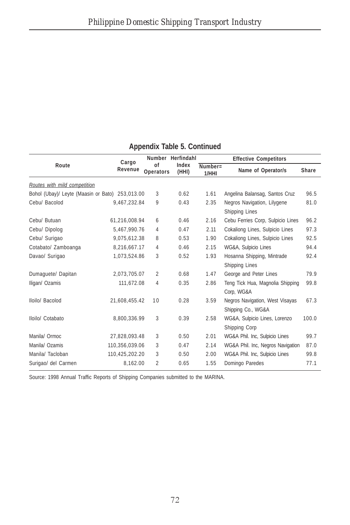|                                                 | Cargo          |                        | Number Herfindahl |                     | <b>Effective Competitors</b>                          |              |  |
|-------------------------------------------------|----------------|------------------------|-------------------|---------------------|-------------------------------------------------------|--------------|--|
| Route                                           | Revenue        | of<br><b>Operators</b> | Index<br>(HHI)    | $Number =$<br>1/HHI | Name of Operator/s                                    | <b>Share</b> |  |
| Routes with mild competition                    |                |                        |                   |                     |                                                       |              |  |
| Bohol (Ubay)/ Leyte (Maasin or Bato) 253,013.00 |                | 3                      | 0.62              | 1.61                | Angelina Balansag, Santos Cruz                        | 96.5         |  |
| Cebu/ Bacolod                                   | 9,467,232.84   | 9                      | 0.43              | 2.35                | Negros Navigation, Lilygene<br>Shipping Lines         | 81.0         |  |
| Cebu/ Butuan                                    | 61,216,008.94  | 6                      | 0.46              | 2.16                | Cebu Ferries Corp, Sulpicio Lines                     | 96.2         |  |
| Cebu/ Dipolog                                   | 5.467.990.76   | 4                      | 0.47              | 2.11                | Cokaliong Lines, Sulpicio Lines                       | 97.3         |  |
| Cebu/ Surigao                                   | 9.075.612.38   | 8                      | 0.53              | 1.90                | Cokaliong Lines, Sulpicio Lines                       | 92.5         |  |
| Cotabato/ Zamboanga                             | 8,216,667.17   | 4                      | 0.46              | 2.15                | WG&A, Sulpicio Lines                                  | 94.4         |  |
| Davao/ Surigao                                  | 1.073.524.86   | 3                      | 0.52              | 1.93                | Hosanna Shipping, Mintrade<br>Shipping Lines          | 92.4         |  |
| Dumaguete/ Dapitan                              | 2,073,705.07   | $\overline{2}$         | 0.68              | 1.47                | George and Peter Lines                                | 79.9         |  |
| Iligan/ Ozamis                                  | 111,672.08     | 4                      | 0.35              | 2.86                | Teng Tick Hua, Magnolia Shipping<br>Corp, WG&A        | 99.8         |  |
| Iloilo/ Bacolod                                 | 21,608,455.42  | 10                     | 0.28              | 3.59                | Negros Navigation, West Visayas<br>Shipping Co., WG&A | 67.3         |  |
| Iloilo/ Cotabato                                | 8,800,336.99   | 3                      | 0.39              | 2.58                | WG&A, Sulpicio Lines, Lorenzo<br>Shipping Corp        | 100.0        |  |
| Manila/ Ormoc                                   | 27,828,093.48  | 3                      | 0.50              | 2.01                | WG&A Phil. Inc, Sulpicio Lines                        | 99.7         |  |
| Manila/ Ozamis                                  | 110,356,039.06 | 3                      | 0.47              | 2.14                | WG&A Phil. Inc, Negros Navigation                     | 87.0         |  |
| Manila/ Tacloban                                | 110,425,202.20 | 3                      | 0.50              | 2.00                | WG&A Phil. Inc, Sulpicio Lines                        | 99.8         |  |
| Surigao/ del Carmen                             | 8,162.00       | $\overline{2}$         | 0.65              | 1.55                | Domingo Paredes                                       | 77.1         |  |

Source: 1998 Annual Traffic Reports of Shipping Companies submitted to the MARINA.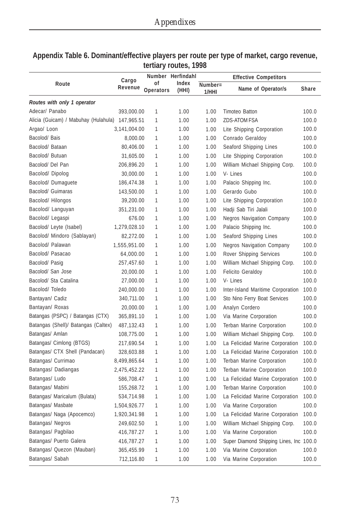|                                                 | Cargo        |                 | Number Herfindahl |                     | <b>Effective Competitors</b>            |       |
|-------------------------------------------------|--------------|-----------------|-------------------|---------------------|-----------------------------------------|-------|
| Route                                           | Revenue      | οf<br>Operators | Index<br>(HHI)    | $Number =$<br>1/HHI | Name of Operator/s                      | Share |
| Routes with only 1 operator                     |              |                 |                   |                     |                                         |       |
| Adecar/ Panabo                                  | 393,000.00   | 1               | 1.00              | 1.00                | Timoteo Batton                          | 100.0 |
| Alicia (Guicam) / Mabuhay (Hulahula) 147,965.51 |              | 1               | 1.00              | 1.00                | <b>ZDS-ATOM FSA</b>                     | 100.0 |
| Argao/ Loon                                     | 3,141,004.00 | 1               | 1.00              | 1.00                | Lite Shipping Corporation               | 100.0 |
| Bacolod/ Bais                                   | 8,000.00     | 1               | 1.00              | 1.00                | Conrado Geraldoy                        | 100.0 |
| Bacolod/ Bataan                                 | 80,406.00    | 1               | 1.00              | 1.00                | Seaford Shipping Lines                  | 100.0 |
| Bacolod/ Butuan                                 | 31,605.00    | 1               | 1.00              | 1.00                | Lite Shipping Corporation               | 100.0 |
| Bacolod/ Del Pan                                | 206,896.20   | 1               | 1.00              | 1.00                | William Michael Shipping Corp.          | 100.0 |
| Bacolod/Dipolog                                 | 30,000.00    | 1               | 1.00              | 1.00                | V-Lines                                 | 100.0 |
| Bacolod/ Dumaguete                              | 186,474.38   | 1               | 1.00              | 1.00                | Palacio Shipping Inc.                   | 100.0 |
| Bacolod/ Guimaras                               | 143,500.00   | 1               | 1.00              | 1.00                | Gerardo Gubo                            | 100.0 |
| Bacolod/ Hilongos                               | 39,200.00    | 1               | 1.00              | 1.00                | Lite Shipping Corporation               | 100.0 |
| Bacolod/ Languyan                               | 351,231.00   | 1               | 1.00              | 1.00                | Hadji Sab Tiri Jalali                   | 100.0 |
| Bacolod/ Legaspi                                | 676.00       | 1               | 1.00              | 1.00                | <b>Negros Navigation Company</b>        | 100.0 |
| Bacolod/ Leyte (Isabel)                         | 1,279,028.10 | 1               | 1.00              | 1.00                | Palacio Shipping Inc.                   | 100.0 |
| Bacolod/ Mindoro (Sablayan)                     | 82,272.00    | 1               | 1.00              | 1.00                | Seaford Shipping Lines                  | 100.0 |
| Bacolod/ Palawan                                | 1,555,951.00 | 1               | 1.00              | 1.00                | <b>Negros Navigation Company</b>        | 100.0 |
| Bacolod/ Pasacao                                | 64,000.00    | 1               | 1.00              | 1.00                | Rover Shipping Services                 | 100.0 |
| Bacolod/ Pasig                                  | 257,457.60   | 1               | 1.00              | 1.00                | William Michael Shipping Corp.          | 100.0 |
| Bacolod/ San Jose                               | 20,000.00    | 1               | 1.00              | 1.00                | <b>Felicito Geraldoy</b>                | 100.0 |
| Bacolod/ Sta Catalina                           | 27,000.00    | 1               | 1.00              | 1.00                | V-Lines                                 | 100.0 |
| Bacolod/Toledo                                  | 240,000.00   | 1               | 1.00              | 1.00                | Inter-Island Maritime Corporation       | 100.0 |
| Bantayan/ Cadiz                                 | 340,711.00   | 1               | 1.00              | 1.00                | Sto Nino Ferry Boat Services            | 100.0 |
| Bantayan/ Roxas                                 | 20,000.00    | 1               | 1.00              | 1.00                | Analyn Cordero                          | 100.0 |
| Batangas (PSPC) / Batangas (CTX)                | 365,891.10   | 1               | 1.00              | 1.00                | Via Marine Corporation                  | 100.0 |
| Batangas (Shell)/ Batangas (Caltex)             | 487,132.43   | 1               | 1.00              | 1.00                | Terban Marine Corporation               | 100.0 |
| Batangas/ Amlan                                 | 108,775.00   | 1               | 1.00              | 1.00                | William Michael Shipping Corp.          | 100.0 |
| Batangas/ Cimlong (BTGS)                        | 217,690.54   | 1               | 1.00              | 1.00                | La Felicidad Marine Corporation         | 100.0 |
| Batangas/ CTX Shell (Pandacan)                  | 328,603.88   | 1               | 1.00              | 1.00                | La Felicidad Marine Corporation         | 100.0 |
| Batangas/ Currimao                              | 8,499,865.64 | 1               | 1.00              | 1.00                | <b>Terban Marine Corporation</b>        | 100.0 |
| Batangas/ Dadiangas                             | 2,475,452.22 | 1               | 1.00              | 1.00                | Terban Marine Corporation               | 100.0 |
| Batangas/ Ludo                                  | 586,708.47   | 1               | 1.00              | 1.00                | La Felicidad Marine Corporation         | 100.0 |
| Batangas/ Mabini                                | 155,268.72   | 1               | 1.00              | 1.00                | <b>Terban Marine Corporation</b>        | 100.0 |
| Batangas/ Maricalum (Bulata)                    | 534,714.98   | 1               | 1.00              | 1.00                | La Felicidad Marine Corporation         | 100.0 |
| Batangas/ Masbate                               | 1,504,926.77 | 1               | 1.00              | 1.00                | Via Marine Corporation                  | 100.0 |
| Batangas/ Naga (Apocemco)                       | 1,920,341.98 | 1               | 1.00              | 1.00                | La Felicidad Marine Corporation         | 100.0 |
| Batangas/ Negros                                | 249,602.50   | 1               | 1.00              | 1.00                | William Michael Shipping Corp.          | 100.0 |
| Batangas/ Pagbilao                              | 416,787.27   | 1               | 1.00              | 1.00                | Via Marine Corporation                  | 100.0 |
| Batangas/ Puerto Galera                         | 416,787.27   | 1               | 1.00              | 1.00                | Super Diamond Shipping Lines, Inc 100.0 |       |
| Batangas/ Quezon (Mauban)                       | 365,455.99   | 1               | 1.00              | 1.00                | Via Marine Corporation                  | 100.0 |
| Batangas/ Sabah                                 | 712,116.80   | 1               | 1.00              | 1.00                | Via Marine Corporation                  | 100.0 |

#### **Appendix Table 6. Dominant/effective players per route per type of market, cargo revenue, tertiary routes, 1998**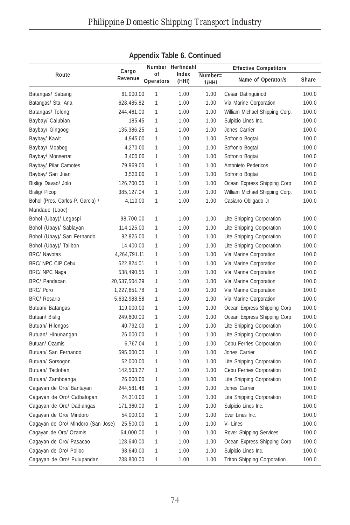|                                    |               |              | Number Herfindahl |         |                                    |       |
|------------------------------------|---------------|--------------|-------------------|---------|------------------------------------|-------|
| Route                              | Cargo         | οf           | Index             | Number= | <b>Effective Competitors</b>       |       |
|                                    | Revenue       | Operators    | (HHI)             | 1/HHI   | Name of Operator/s                 | Share |
| Batangas/ Sabang                   | 61,000.00     | 1            | 1.00              | 1.00    | Cesar Datinguinod                  | 100.0 |
| Batangas/ Sta. Ana                 | 628,485.82    | 1            | 1.00              | 1.00    | Via Marine Corporation             | 100.0 |
| Batangas/ Tolong                   | 244,461.00    | 1            | 1.00              | 1.00    | William Michael Shipping Corp.     | 100.0 |
| Baybay/ Calubian                   | 185.45        | 1            | 1.00              | 1.00    | Sulpicio Lines Inc.                | 100.0 |
| Baybay/ Gingoog                    | 135,386.25    | 1            | 1.00              | 1.00    | Jones Carrier                      | 100.0 |
| Baybay/ Kawit                      | 4,945.00      | 1            | 1.00              | 1.00    | Sofronio Bogtai                    | 100.0 |
| Baybay/ Moabog                     | 4,270.00      | 1            | 1.00              | 1.00    | Sofronio Bogtai                    | 100.0 |
| Baybay/ Monserrat                  | 3,400.00      | 1            | 1.00              | 1.00    | Sofronio Bogtai                    | 100.0 |
| Baybay/ Pilar Camotes              | 79,969.00     | 1            | 1.00              | 1.00    | Antonieto Pedericos                | 100.0 |
| Baybay/ San Juan                   | 3,530.00      | 1            | 1.00              | 1.00    | Sofronio Bogtai                    | 100.0 |
| Bislig/ Davao/ Jolo                | 126,700.00    | $\mathbf{1}$ | 1.00              | 1.00    | Ocean Express Shipping Corp        | 100.0 |
| Bislig/ Picop                      | 385,127.04    | 1            | 1.00              | 1.00    | William Michael Shipping Corp.     | 100.0 |
| Bohol (Pres. Carlos P. Garcia) /   | 4,110.00      | 1            | 1.00              | 1.00    | Casiano Obligado Jr                | 100.0 |
| Mandaue (Looc)                     |               |              |                   |         |                                    |       |
| Bohol (Ubay)/ Legaspi              | 98,700.00     | 1            | 1.00              | 1.00    | Lite Shipping Corporation          | 100.0 |
| Bohol (Ubay)/ Sablayan             | 114,125.00    | 1            | 1.00              | 1.00    | Lite Shipping Corporation          | 100.0 |
| Bohol (Ubay)/ San Fernando         | 92,825.00     | 1            | 1.00              | 1.00    | Lite Shipping Corporation          | 100.0 |
| Bohol (Ubay)/ Talibon              | 14,400.00     | 1            | 1.00              | 1.00    | Lite Shipping Corporation          | 100.0 |
| <b>BRC/ Navotas</b>                | 4,264,791.11  | 1            | 1.00              | 1.00    | Via Marine Corporation             | 100.0 |
| BRC/ NPC CIP Cebu                  | 522,824.01    | 1            | 1.00              | 1.00    | Via Marine Corporation             | 100.0 |
| BRC/ NPC Naga                      | 538,490.55    | 1            | 1.00              | 1.00    | Via Marine Corporation             | 100.0 |
| BRC/ Pandacan                      | 20,537,504.29 | 1            | 1.00              | 1.00    | Via Marine Corporation             | 100.0 |
| <b>BRC/Poro</b>                    | 1,227,651.78  | 1            | 1.00              | 1.00    | Via Marine Corporation             | 100.0 |
| <b>BRC/ Rosario</b>                | 5,632,988.58  | 1            | 1.00              | 1.00    | Via Marine Corporation             | 100.0 |
| Butuan/ Batangas                   | 119,000.00    | $\mathbf{1}$ | 1.00              | 1.00    | Ocean Express Shipping Corp        | 100.0 |
| Butuan/ Bislig                     | 249,600.00    | 1            | 1.00              | 1.00    | Ocean Express Shipping Corp        | 100.0 |
| Butuan/ Hilongos                   | 40,792.00     | 1            | 1.00              | 1.00    | Lite Shipping Corporation          | 100.0 |
| Butuan/ Hinunangan                 | 26,000.00     | 1            | 1.00              | 1.00    | Lite Shipping Corporation          | 100.0 |
| Butuan/ Ozamis                     | 6,767.04      | 1            | 1.00              | 1.00    | Cebu Ferries Corporation           | 100.0 |
| Butuan/ San Fernando               | 595,000.00    | 1            | 1.00              | 1.00    | Jones Carrier                      | 100.0 |
| Butuan/ Sorsogon                   | 52,000.00     | 1            | 1.00              | 1.00    | Lite Shipping Corporation          | 100.0 |
| Butuan/Tacloban                    | 142,503.27    | 1            | 1.00              | 1.00    | Cebu Ferries Corporation           | 100.0 |
| Butuan/ Zamboanga                  | 26,000.00     | 1            | 1.00              | 1.00    | Lite Shipping Corporation          | 100.0 |
| Cagayan de Oro/ Bantayan           | 244,581.46    | 1            | 1.00              | 1.00    | Jones Carrier                      | 100.0 |
| Cagayan de Oro/ Catbalogan         | 24,310.00     | $\mathbf{1}$ | 1.00              | 1.00    | Lite Shipping Corporation          | 100.0 |
| Cagayan de Oro/ Dadiangas          | 171,360.00    | 1            | 1.00              | 1.00    | Sulpicio Lines Inc.                | 100.0 |
| Cagayan de Oro/ Mindoro            | 54,000.00     | 1            | 1.00              | 1.00    | Ever Lines Inc.                    | 100.0 |
| Cagayan de Oro/ Mindoro (San Jose) | 25,500.00     | $\mathbf{1}$ | 1.00              | 1.00    | V-Lines                            | 100.0 |
| Cagayan de Oro/ Ozamis             | 64,000.00     | $\mathbf{1}$ | 1.00              | 1.00    | Rover Shipping Services            | 100.0 |
| Cagayan de Oro/ Pasacao            | 128,640.00    | $\mathbf{1}$ | 1.00              | 1.00    | Ocean Express Shipping Corp        | 100.0 |
| Cagayan de Oro/ Polloc             | 98,640.00     | 1            | 1.00              | 1.00    | Sulpicio Lines Inc.                | 100.0 |
| Cagayan de Oro/ Pulupandan         | 238,800.00    | $\mathbf{1}$ | 1.00              | 1.00    | <b>Triton Shipping Corporation</b> | 100.0 |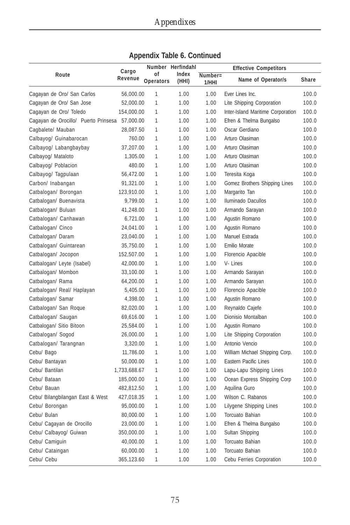|                                      | Cargo        |                 | Number Herfindahl |                     | <b>Effective Competitors</b>      |       |
|--------------------------------------|--------------|-----------------|-------------------|---------------------|-----------------------------------|-------|
| Route                                | Revenue      | οf<br>Operators | Index<br>(HHI)    | $Number =$<br>1/HHI | Name of Operator/s                | Share |
| Cagayan de Oro/ San Carlos           | 56,000.00    | 1               | 1.00              | 1.00                | Ever Lines Inc.                   | 100.0 |
| Cagayan de Oro/ San Jose             | 52,000.00    | 1               | 1.00              | 1.00                | Lite Shipping Corporation         | 100.0 |
| Cagayan de Oro/ Toledo               | 154,000.00   | 1               | 1.00              | 1.00                | Inter-Island Maritime Corporation | 100.0 |
| Cagayan de Orocillo/ Puerto Prinsesa | 57,000.00    | 1               | 1.00              | 1.00                | Efren & Thelma Bungalso           | 100.0 |
| Cagbalete/ Mauban                    | 28,087.50    | 1               | 1.00              | 1.00                | Oscar Gerdiano                    | 100.0 |
| Calbayog/ Guinabarocan               | 760.00       | 1               | 1.00              | 1.00                | Arturo Olasiman                   | 100.0 |
| Calbayog/ Labangbaybay               | 37,207.00    | 1               | 1.00              | 1.00                | Arturo Olasiman                   | 100.0 |
| Calbayog/ Mataloto                   | 1,305.00     | 1               | 1.00              | 1.00                | Arturo Olasiman                   | 100.0 |
| Calbayog/ Poblacion                  | 480.00       | 1               | 1.00              | 1.00                | Arturo Olasiman                   | 100.0 |
| Calbayog/ Tagpulaan                  | 56,472.00    | 1               | 1.00              | 1.00                | Teresita Koga                     | 100.0 |
| Carbon/ Inabangan                    | 91,321.00    | 1               | 1.00              | 1.00                | Gomez Brothers Shipping Lines     | 100.0 |
| Catbalogan/ Borongan                 | 123,910.00   | 1               | 1.00              | 1.00                | Margarito Tan                     | 100.0 |
| Catbalogan/ Buenavista               | 9,799.00     | 1               | 1.00              | 1.00                | <b>Iluminado Dacullos</b>         | 100.0 |
| Catbalogan/ Buluan                   | 41,248.00    | 1               | 1.00              | 1.00                | Armando Sarayan                   | 100.0 |
| Catbalogan/ Canhawan                 | 6,721.00     | 1               | 1.00              | 1.00                | Agustin Romano                    | 100.0 |
| Catbalogan/ Cinco                    | 24,041.00    | 1               | 1.00              | 1.00                | Agustin Romano                    | 100.0 |
| Catbalogan/ Daram                    | 23,040.00    | 1               | 1.00              | 1.00                | Manuel Estrada                    | 100.0 |
| Catbalogan/ Guintarean               | 35,750.00    | 1               | 1.00              | 1.00                | Emilio Morate                     | 100.0 |
| Catbalogan/ Jocopon                  | 152,507.00   | 1               | 1.00              | 1.00                | Florencio Apacible                | 100.0 |
| Catbalogan/ Leyte (Isabel)           | 42,000.00    | 1               | 1.00              | 1.00                | V-Lines                           | 100.0 |
| Catbalogan/ Mombon                   | 33,100.00    | 1               | 1.00              | 1.00                | Armando Sarayan                   | 100.0 |
| Catbalogan/ Rama                     | 64,200.00    | 1               | 1.00              | 1.00                | Armando Sarayan                   | 100.0 |
| Catbalogan/ Real/ Haplayan           | 5,405.00     | 1               | 1.00              | 1.00                | Florencio Apacible                | 100.0 |
| Catbalogan/ Samar                    | 4,398.00     | 1               | 1.00              | 1.00                | Agustin Romano                    | 100.0 |
| Catbalogan/ San Roque                | 82,020.00    | 1               | 1.00              | 1.00                | Reynaldo Cajefe                   | 100.0 |
| Catbalogan/ Saugan                   | 69,616.00    | 1               | 1.00              | 1.00                | Dionisio Montalban                | 100.0 |
| Catbalogan/ Sitio Bitoon             | 25,584.00    | 1               | 1.00              | 1.00                | Agustin Romano                    | 100.0 |
| Catbalogan/ Sogod                    | 26,000.00    | 1               | 1.00              | 1.00                | Lite Shipping Corporation         | 100.0 |
| Catbalogan/ Tarangnan                | 3,320.00     | 1               | 1.00              | 1.00                | Antonio Vencio                    | 100.0 |
| Cebu/ Bago                           | 11,786.00    | 1               | 1.00              | 1.00                | William Michael Shipping Corp.    | 100.0 |
| Cebu/ Bantayan                       | 50,000.00    | 1               | 1.00              | 1.00                | <b>Eastern Pacific Lines</b>      | 100.0 |
| Cebu/ Bantilan                       | 1,733,688.67 | 1               | 1.00              | 1.00                | Lapu-Lapu Shipping Lines          | 100.0 |
| Cebu/ Bataan                         | 185,000.00   | 1               | 1.00              | 1.00                | Ocean Express Shipping Corp       | 100.0 |
| Cebu/ Bauan                          | 482,812.50   | 1               | 1.00              | 1.00                | Aquilina Guro                     | 100.0 |
| Cebu/ Bilangbilangan East & West     | 427,018.35   | 1               | 1.00              | 1.00                | Wilson C. Rabanos                 | 100.0 |
| Cebu/ Borongan                       | 95,000.00    | 1               | 1.00              | 1.00                | Lilygene Shipping Lines           | 100.0 |
| Cebu/ Bulan                          | 80,000.00    | 1               | 1.00              | 1.00                | Torcuato Bahian                   | 100.0 |
| Cebu/ Cagayan de Orocillo            | 23,000.00    | 1               | 1.00              | 1.00                | Efren & Thelma Bungalso           | 100.0 |
| Cebu/ Calbayog/ Guiwan               | 350,000.00   | 1               | 1.00              | 1.00                | Sultan Shipping                   | 100.0 |
| Cebu/ Camiguin                       | 40,000.00    | 1               | 1.00              | 1.00                | Torcuato Bahian                   | 100.0 |
| Cebu/ Cataingan                      | 60,000.00    | 1               | 1.00              | 1.00                | Torcuato Bahian                   | 100.0 |
| Cebu/ Cebu                           | 365,123.60   | 1               | 1.00              | 1.00                | Cebu Ferries Corporation          | 100.0 |

|  |  | <b>Appendix Table 6. Continued</b> |
|--|--|------------------------------------|
|--|--|------------------------------------|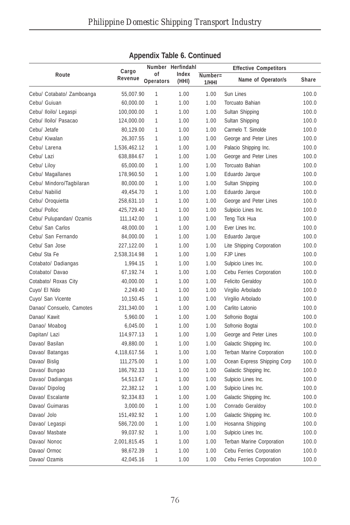|                           |              |              | Number Herfindahl |         |                              |              |
|---------------------------|--------------|--------------|-------------------|---------|------------------------------|--------------|
| Route                     | Cargo        | οf           | Index             | Number= | <b>Effective Competitors</b> |              |
|                           | Revenue      | Operators    | (HHI)             | 1/HHI   | Name of Operator/s           | <b>Share</b> |
| Cebu/ Cotabato/ Zamboanga | 55,007.90    | 1            | 1.00              | 1.00    | Sun Lines                    | 100.0        |
| Cebu/ Guiuan              | 60,000.00    | 1            | 1.00              | 1.00    | Torcuato Bahian              | 100.0        |
| Cebu/ Iloilo/ Legaspi     | 100,000.00   | 1            | 1.00              | 1.00    | Sultan Shipping              | 100.0        |
| Cebu/ Iloilo/ Pasacao     | 124,000.00   | 1            | 1.00              | 1.00    | Sultan Shipping              | 100.0        |
| Cebu/ Jetafe              | 80,129.00    | 1            | 1.00              | 1.00    | Carmelo T. Simolde           | 100.0        |
| Cebu/ Kiwalan             | 26,307.55    | 1            | 1.00              | 1.00    | George and Peter Lines       | 100.0        |
| Cebu/ Larena              | 1,536,462.12 | 1            | 1.00              | 1.00    | Palacio Shipping Inc.        | 100.0        |
| Cebu/ Lazi                | 638,884.67   | 1            | 1.00              | 1.00    | George and Peter Lines       | 100.0        |
| Cebu/ Liloy               | 65,000.00    | 1            | 1.00              | 1.00    | Torcuato Bahian              | 100.0        |
| Cebu/ Magallanes          | 178,960.50   | 1            | 1.00              | 1.00    | Eduardo Jarque               | 100.0        |
| Cebu/ Mindoro/Tagbilaran  | 80,000.00    | 1            | 1.00              | 1.00    | Sultan Shipping              | 100.0        |
| Cebu/ Nabilid             | 49,454.70    | 1            | 1.00              | 1.00    | Eduardo Jarque               | 100.0        |
| Cebu/ Oroquietta          | 258,631.10   | 1            | 1.00              | 1.00    | George and Peter Lines       | 100.0        |
| Cebu/ Polloc              | 425,729.40   | 1            | 1.00              | 1.00    | Sulpicio Lines Inc.          | 100.0        |
| Cebu/ Pulupandan/ Ozamis  | 111,142.00   | 1            | 1.00              | 1.00    | Teng Tick Hua                | 100.0        |
| Cebu/ San Carlos          | 48,000.00    | 1            | 1.00              | 1.00    | Ever Lines Inc.              | 100.0        |
| Cebu/ San Fernando        | 84,000.00    | 1            | 1.00              | 1.00    | Eduardo Jarque               | 100.0        |
| Cebu/ San Jose            | 227,122.00   | 1            | 1.00              | 1.00    | Lite Shipping Corporation    | 100.0        |
| Cebu/ Sta Fe              | 2,538,314.98 | 1            | 1.00              | 1.00    | <b>FJP Lines</b>             | 100.0        |
| Cotabato/ Dadiangas       | 1,994.15     | $\mathbf{1}$ | 1.00              | 1.00    | Sulpicio Lines Inc.          | 100.0        |
| Cotabato/ Davao           | 67,192.74    | 1            | 1.00              | 1.00    | Cebu Ferries Corporation     | 100.0        |
| Cotabato/ Roxas City      | 40,000.00    | 1            | 1.00              | 1.00    | <b>Felicito Geraldoy</b>     | 100.0        |
| Cuyo/ El Nido             | 2,249.40     | 1            | 1.00              | 1.00    | Virgilio Arbolado            | 100.0        |
| Cuyo/ San Vicente         | 10,150.45    | 1            | 1.00              | 1.00    | Virgilio Arbolado            | 100.0        |
| Danao/ Consuelo, Camotes  | 231,340.00   | 1            | 1.00              | 1.00    | Carlito Latonio              | 100.0        |
| Danao/ Kawit              | 5,960.00     | 1            | 1.00              | 1.00    | Sofronio Bogtai              | 100.0        |
| Danao/ Moabog             | 6,045.00     | $\mathbf{1}$ | 1.00              | 1.00    | Sofronio Bogtai              | 100.0        |
| Dapitan/ Lazi             | 114,977.13   | 1            | 1.00              | 1.00    | George and Peter Lines       | 100.0        |
| Davao/ Basilan            | 49,880.00    | 1            | 1.00              | 1.00    | Galactic Shipping Inc.       | 100.0        |
| Davao/ Batangas           | 4,118,617.56 | 1            | 1.00              | 1.00    | Terban Marine Corporation    | 100.0        |
| Davao/ Bislig             | 111,275.00   | $\mathbf{1}$ | 1.00              | 1.00    | Ocean Express Shipping Corp  | 100.0        |
| Davao/ Bungao             | 186,792.33   | 1            | 1.00              | 1.00    | Galactic Shipping Inc.       | 100.0        |
| Davao/ Dadiangas          | 54,513.67    | 1            | 1.00              | 1.00    | Sulpicio Lines Inc.          | 100.0        |
| Davao/ Dipolog            | 22,382.12    | $\mathbf{1}$ | 1.00              | 1.00    | Sulpicio Lines Inc.          | 100.0        |
| Davao/ Escalante          | 92,334.83    | 1            | 1.00              | 1.00    | Galactic Shipping Inc.       | 100.0        |
| Davao/ Guimaras           | 3,000.00     | 1            | 1.00              | 1.00    | Conrado Geraldoy             | 100.0        |
| Davao/ Jolo               | 151,492.92   | 1            | 1.00              | 1.00    | Galactic Shipping Inc.       | 100.0        |
| Davao/ Legaspi            | 586,720.00   | 1            | 1.00              | 1.00    | Hosanna Shipping             | 100.0        |
| Davao/ Masbate            | 99,037.92    | $\mathbf{1}$ | 1.00              | 1.00    | Sulpicio Lines Inc.          | 100.0        |
| Davao/ Nonoc              | 2,001,815.45 | $\mathbf{1}$ | 1.00              | 1.00    | Terban Marine Corporation    | 100.0        |
| Davao/ Ormoc              | 98,672.39    | 1            | 1.00              | 1.00    | Cebu Ferries Corporation     | 100.0        |
| Davao/ Ozamis             | 42,045.16    | 1            | 1.00              | 1.00    | Cebu Ferries Corporation     | 100.0        |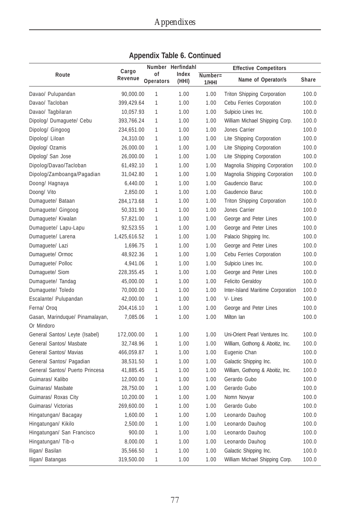|                                 |                  |                 | Number Herfindahl |                     | <b>Effective Competitors</b>       |              |
|---------------------------------|------------------|-----------------|-------------------|---------------------|------------------------------------|--------------|
| Route                           | Cargo<br>Revenue | οf<br>Operators | Index<br>(HHI)    | $Number =$<br>1/HHI | Name of Operator/s                 | <b>Share</b> |
| Davao/ Pulupandan               | 90,000.00        | 1               | 1.00              | 1.00                | <b>Triton Shipping Corporation</b> | 100.0        |
| Davao/ Tacloban                 | 399,429.64       | $\mathbf{1}$    | 1.00              | 1.00                | Cebu Ferries Corporation           | 100.0        |
| Davao/ Tagbilaran               | 10,057.93        | 1               | 1.00              | 1.00                | Sulpicio Lines Inc.                | 100.0        |
| Dipolog/ Dumaguete/ Cebu        | 393,766.24       | $\mathbf{1}$    | 1.00              | 1.00                | William Michael Shipping Corp.     | 100.0        |
| Dipolog/ Gingoog                | 234,651.00       | 1               | 1.00              | 1.00                | Jones Carrier                      | 100.0        |
| Dipolog/ Liloan                 | 24,310.00        | 1               | 1.00              | 1.00                | Lite Shipping Corporation          | 100.0        |
| Dipolog/ Ozamis                 | 26,000.00        | 1               | 1.00              | 1.00                | Lite Shipping Corporation          | 100.0        |
| Dipolog/ San Jose               | 26,000.00        | $\mathbf{1}$    | 1.00              | 1.00                | Lite Shipping Corporation          | 100.0        |
| Dipolog/Davao/Tacloban          | 61,492.10        | 1               | 1.00              | 1.00                | Magnolia Shipping Corporation      | 100.0        |
| Dipolog/Zamboanga/Pagadian      | 31,042.80        | 1               | 1.00              | 1.00                | Magnolia Shipping Corporation      | 100.0        |
| Doong/ Hagnaya                  | 6,440.00         | 1               | 1.00              | 1.00                | Gaudencio Baruc                    | 100.0        |
| Doong/ Vito                     | 2,850.00         | 1               | 1.00              | 1.00                | Gaudencio Baruc                    | 100.0        |
| Dumaguete/ Bataan               | 284,173.68       | 1               | 1.00              | 1.00                | Triton Shipping Corporation        | 100.0        |
| Dumaguete/ Gingoog              | 50,331.90        | 1               | 1.00              | 1.00                | Jones Carrier                      | 100.0        |
| Dumaguete/ Kiwalan              | 57,821.00        | 1               | 1.00              | 1.00                | George and Peter Lines             | 100.0        |
| Dumaguete/ Lapu-Lapu            | 92,523.55        | 1               | 1.00              | 1.00                | George and Peter Lines             | 100.0        |
| Dumaguete/ Larena               | 1,425,616.52     | 1               | 1.00              | 1.00                | Palacio Shipping Inc.              | 100.0        |
| Dumaguete/ Lazi                 | 1,696.75         | 1               | 1.00              | 1.00                | George and Peter Lines             | 100.0        |
| Dumaquete/ Ormoc                | 48,922.36        | 1               | 1.00              | 1.00                | Cebu Ferries Corporation           | 100.0        |
| Dumaquete/ Polloc               | 4,941.06         | 1               | 1.00              | 1.00                | Sulpicio Lines Inc.                | 100.0        |
| Dumaguete/ Siom                 | 228,355.45       | 1               | 1.00              | 1.00                | George and Peter Lines             | 100.0        |
| Dumaguete/ Tandag               | 45,000.00        | 1               | 1.00              | 1.00                | <b>Felicito Geraldoy</b>           | 100.0        |
| Dumaguete/ Toledo               | 70,000.00        | 1               | 1.00              | 1.00                | Inter-Island Maritime Corporation  | 100.0        |
| Escalante/ Pulupandan           | 42,000.00        | 1               | 1.00              | 1.00                | V-Lines                            | 100.0        |
| Ferna/Orog                      | 204,416.10       | $\mathbf{1}$    | 1.00              | 1.00                | George and Peter Lines             | 100.0        |
| Gasan, Marinduque/ Pinamalayan, | 7,085.06         | 1               | 1.00              | 1.00                | Milton Ian                         | 100.0        |
| Or Mindoro                      |                  |                 |                   |                     |                                    |              |
| General Santos/ Leyte (Isabel)  | 172,000.00       | 1               | 1.00              | 1.00                | Uni-Orient Pearl Ventures Inc.     | 100.0        |
| General Santos/ Masbate         | 32,748.96        | 1               | 1.00              | 1.00                | William, Gothong & Aboitiz, Inc.   | 100.0        |
| General Santos/ Mavias          | 466,059.87       | 1               | 1.00              | 1.00                | Eugenio Chan                       | 100.0        |
| General Santos/ Pagadian        | 38,531.50        | 1               | 1.00              | 1.00                | Galactic Shipping Inc.             | 100.0        |
| General Santos/ Puerto Princesa | 41,885.45        | 1               | 1.00              | 1.00                | William, Gothong & Aboitiz, Inc.   | 100.0        |
| Guimaras/ Kalibo                | 12,000.00        | 1               | 1.00              | 1.00                | Gerardo Gubo                       | 100.0        |
| Guimaras/ Masbate               | 28,750.00        | 1               | 1.00              | 1.00                | Gerardo Gubo                       | 100.0        |
| Guimaras/ Roxas City            | 10,200.00        | 1               | 1.00              | 1.00                | Nomn Novyar                        | 100.0        |
| Guimaras/ Victorias             | 269,600.00       | 1               | 1.00              | 1.00                | Gerardo Gubo                       | 100.0        |
| Hingatungan/ Bacagay            | 1,600.00         | $\mathbf{1}$    | 1.00              | 1.00                | Leonardo Dauhog                    | 100.0        |
| Hingatungan/ Kikilo             | 2,500.00         | 1               | 1.00              | 1.00                | Leonardo Dauhog                    | 100.0        |
| Hingatungan/ San Francisco      | 900.00           | 1               | 1.00              | 1.00                | Leonardo Dauhog                    | 100.0        |
| Hingatungan/ Tib-o              | 8,000.00         | 1               | 1.00              | 1.00                | Leonardo Dauhog                    | 100.0        |
| Iligan/ Basilan                 | 35,566.50        | 1               | 1.00              | 1.00                | Galactic Shipping Inc.             | 100.0        |
| Iligan/ Batangas                | 319,500.00       | 1               | 1.00              | 1.00                | William Michael Shipping Corp.     | 100.0        |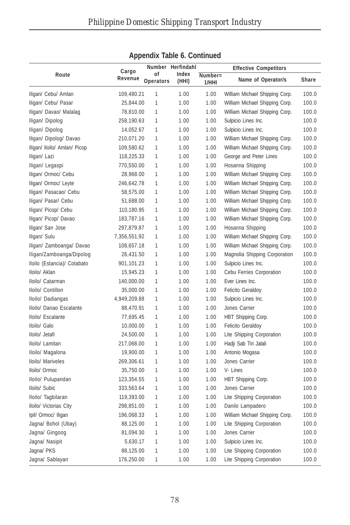|                              |                  |                  | Number Herfindahl |         | <b>Effective Competitors</b>   |       |
|------------------------------|------------------|------------------|-------------------|---------|--------------------------------|-------|
| Route                        | Cargo<br>Revenue | οf               | Index             | Number= |                                |       |
|                              |                  | <b>Operators</b> | (HHI)             | 1/HHI   | Name of Operator/s             | Share |
| Iligan/ Cebu/ Amlan          | 109,480.21       | 1                | 1.00              | 1.00    | William Michael Shipping Corp. | 100.0 |
| Iligan/ Cebu/ Pasar          | 25,844.00        | 1                | 1.00              | 1.00    | William Michael Shipping Corp. | 100.0 |
| Iligan/ Davao/ Malalag       | 78,810.00        | 1                | 1.00              | 1.00    | William Michael Shipping Corp. | 100.0 |
| Iligan/ Dipolog              | 258,190.63       | 1                | 1.00              | 1.00    | Sulpicio Lines Inc.            | 100.0 |
| Iligan/ Dipolog              | 14,052.67        | 1                | 1.00              | 1.00    | Sulpicio Lines Inc.            | 100.0 |
| Iligan/ Dipolog/ Davao       | 210,071.20       | 1                | 1.00              | 1.00    | William Michael Shipping Corp. | 100.0 |
| Iligan/ Iloilo/ Amlan/ Picop | 109,580.62       | 1                | 1.00              | 1.00    | William Michael Shipping Corp. | 100.0 |
| Iligan/ Lazi                 | 118,225.33       | 1                | 1.00              | 1.00    | George and Peter Lines         | 100.0 |
| Iligan/ Legaspi              | 770,550.00       | 1                | 1.00              | 1.00    | Hosanna Shipping               | 100.0 |
| Iligan/ Ormoc/ Cebu          | 28,968.00        | 1                | 1.00              | 1.00    | William Michael Shipping Corp. | 100.0 |
| Iligan/ Ormoc/ Leyte         | 246,642.78       | 1                | 1.00              | 1.00    | William Michael Shipping Corp. | 100.0 |
| Iligan/ Pasacao/ Cebu        | 58,575.00        | 1                | 1.00              | 1.00    | William Michael Shipping Corp. | 100.0 |
| Iligan/ Pasar/ Cebu          | 51,688.00        | 1                | 1.00              | 1.00    | William Michael Shipping Corp. | 100.0 |
| Iligan/ Picop/ Cebu          | 110,180.95       | $\mathbf{1}$     | 1.00              | 1.00    | William Michael Shipping Corp. | 100.0 |
| Iligan/ Picop/ Davao         | 183,787.16       | 1                | 1.00              | 1.00    | William Michael Shipping Corp. | 100.0 |
| Iligan/ San Jose             | 297,879.87       | 1                | 1.00              | 1.00    | Hosanna Shipping               | 100.0 |
| Iligan/ Sulu                 | 7,356,551.92     | 1                | 1.00              | 1.00    | William Michael Shipping Corp. | 100.0 |
| Iligan/ Zamboanga/ Davao     | 108,657.18       | 1                | 1.00              | 1.00    | William Michael Shipping Corp. | 100.0 |
| Iligan/Zamboanga/Dipolog     | 26,431.50        | 1                | 1.00              | 1.00    | Magnolia Shipping Corporation  | 100.0 |
| Iloilo (Estancia)/ Cotabato  | 901,101.23       | 1                | 1.00              | 1.00    | Sulpicio Lines Inc.            | 100.0 |
| Iloilo/ Aklan                | 15,945.23        | 1                | 1.00              | 1.00    | Cebu Ferries Corporation       | 100.0 |
| Iloilo/ Catarman             | 140,000.00       | 1                | 1.00              | 1.00    | Ever Lines Inc.                | 100.0 |
| Iloilo/ Contillon            | 35,000.00        | 1                | 1.00              | 1.00    | <b>Felicito Geraldoy</b>       | 100.0 |
| Iloilo/ Dadiangas            | 4,949,209.88     | 1                | 1.00              | 1.00    | Sulpicio Lines Inc.            | 100.0 |
| Iloilo/ Danao Escalante      | 88,470.91        | 1                | 1.00              | 1.00    | Jones Carrier                  | 100.0 |
| Iloilo/ Escalante            | 77,695.45        | $\mathbf{1}$     | 1.00              | 1.00    | HBT Shipping Corp.             | 100.0 |
| Iloilo/ Galo                 | 10,000.00        | 1                | 1.00              | 1.00    | <b>Felicito Geraldoy</b>       | 100.0 |
| lloilo/ Jetafi               | 24,500.00        | 1                | 1.00              | 1.00    | Lite Shipping Corporation      | 100.0 |
| Iloilo/ Lamitan              | 217,068.00       | 1                | 1.00              | 1.00    | Hadji Sab Tiri Jalali          | 100.0 |
| Iloilo/ Magalona             | 19,900.00        | 1                | 1.00              | 1.00    | Antonio Mogasa                 | 100.0 |
| Iloilo/ Mariveles            | 269,306.61       | 1                | 1.00              | 1.00    | Jones Carrier                  | 100.0 |
| Iloilo/ Ormoc                | 35,750.00        | $\mathbf{1}$     | 1.00              | 1.00    | V-Lines                        | 100.0 |
| Iloilo/ Pulupandan           | 123,354.55       | 1                | 1.00              | 1.00    | HBT Shipping Corp.             | 100.0 |
| Iloilo/ Subic                | 333,563.64       | 1                | 1.00              | 1.00    | Jones Carrier                  | 100.0 |
| Iloilo/ Tagbilaran           | 119,393.00       | $\mathbf{1}$     | 1.00              | 1.00    | Lite Shipping Corporation      | 100.0 |
| Iloilo/ Victorias City       | 298,851.00       | $\mathbf{1}$     | 1.00              | 1.00    | Danilo Lampadero               | 100.0 |
| Ipil/ Ormoc/ Iligan          | 196,068.33       | $\mathbf{1}$     | 1.00              | 1.00    | William Michael Shipping Corp. | 100.0 |
| Jagna/ Bohol (Ubay)          | 88,125.00        | 1                | 1.00              | 1.00    | Lite Shipping Corporation      | 100.0 |
| Jagna/ Gingoog               | 81,094.30        | $\mathbf{1}$     | 1.00              | 1.00    | Jones Carrier                  | 100.0 |
| Jagna/ Nasipit               | 5,630.17         | $\mathbf{1}$     | 1.00              | 1.00    | Sulpicio Lines Inc.            | 100.0 |
| Jagna/ PKS                   | 88,125.00        | $\mathbf{1}$     | 1.00              | 1.00    | Lite Shipping Corporation      | 100.0 |
| Jagna/ Sablayan              | 176,250.00       | $\mathbf{1}$     | 1.00              | 1.00    | Lite Shipping Corporation      | 100.0 |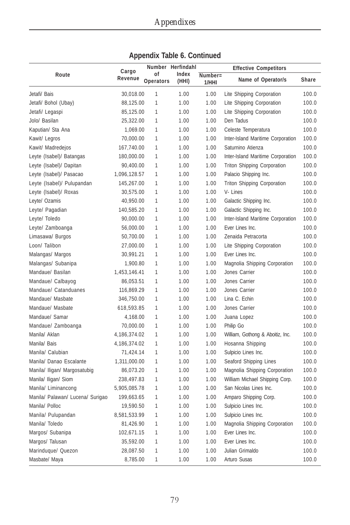|                                  | Cargo        |                 | Number Herfindahl | <b>Effective Competitors</b> |                                    |       |
|----------------------------------|--------------|-----------------|-------------------|------------------------------|------------------------------------|-------|
| Route                            | Revenue      | οf<br>Operators | Index<br>(HHI)    | Number=<br>1/HHI             | Name of Operator/s                 | Share |
| Jetafi/ Bais                     | 30,018.00    | 1               | 1.00              | 1.00                         | Lite Shipping Corporation          | 100.0 |
| Jetafi/ Bohol (Ubay)             | 88,125.00    | $\mathbf{1}$    | 1.00              | 1.00                         | Lite Shipping Corporation          | 100.0 |
| Jetafi/ Legaspi                  | 85,125.00    | $\mathbf{1}$    | 1.00              | 1.00                         | Lite Shipping Corporation          | 100.0 |
| Jolo/ Basilan                    | 25,322.00    | $\mathbf{1}$    | 1.00              | 1.00                         | Den Tadus                          | 100.0 |
| Kaputian/ Sta Ana                | 1,069.00     | $\mathbf{1}$    | 1.00              | 1.00                         | Celeste Temperatura                | 100.0 |
| Kawit/ Legros                    | 70,000.00    | 1               | 1.00              | 1.00                         | Inter-Island Maritime Corporation  | 100.0 |
| Kawit/ Madredejos                | 167,740.00   | 1               | 1.00              | 1.00                         | Saturnino Atienza                  | 100.0 |
| Leyte (Isabel)/ Batangas         | 180,000.00   | $\mathbf{1}$    | 1.00              | 1.00                         | Inter-Island Maritime Corporation  | 100.0 |
| Leyte (Isabel)/ Dapitan          | 90,400.00    | 1               | 1.00              | 1.00                         | <b>Triton Shipping Corporation</b> | 100.0 |
| Leyte (Isabel)/ Pasacao          | 1,096,128.57 | 1               | 1.00              | 1.00                         | Palacio Shipping Inc.              | 100.0 |
| Leyte (Isabel)/ Pulupandan       | 145,267.00   | $\mathbf{1}$    | 1.00              | 1.00                         | Triton Shipping Corporation        | 100.0 |
| Leyte (Isabel)/ Roxas            | 30,575.00    | 1               | 1.00              | 1.00                         | V-Lines                            | 100.0 |
| Leyte/ Ozamis                    | 40,950.00    | 1               | 1.00              | 1.00                         | Galactic Shipping Inc.             | 100.0 |
| Leyte/ Pagadian                  | 140,585.20   | 1               | 1.00              | 1.00                         | Galactic Shipping Inc.             | 100.0 |
| Leyte/ Toledo                    | 90,000.00    | 1               | 1.00              | 1.00                         | Inter-Island Maritime Corporation  | 100.0 |
| Leyte/ Zamboanga                 | 56,000.00    | 1               | 1.00              | 1.00                         | Ever Lines Inc.                    | 100.0 |
| Limasawa/ Burgos                 | 50,700.00    | 1               | 1.00              | 1.00                         | Zenaida Petracorta                 | 100.0 |
| Loon/ Talibon                    | 27,000.00    | 1               | 1.00              | 1.00                         | Lite Shipping Corporation          | 100.0 |
| Malangas/ Margos                 | 30,991.21    | $\mathbf{1}$    | 1.00              | 1.00                         | Ever Lines Inc.                    | 100.0 |
| Malangas/ Subanipa               | 1,900.80     | $\mathbf{1}$    | 1.00              | 1.00                         | Magnolia Shipping Corporation      | 100.0 |
| Mandaue/ Basilan                 | 1,453,146.41 | 1               | 1.00              | 1.00                         | Jones Carrier                      | 100.0 |
| Mandaue/ Calbayog                | 86,053.51    | $\mathbf{1}$    | 1.00              | 1.00                         | Jones Carrier                      | 100.0 |
| Mandaue/ Catanduanes             | 116,869.29   | $\mathbf{1}$    | 1.00              | 1.00                         | Jones Carrier                      | 100.0 |
| Mandaue/ Masbate                 | 346,750.00   | 1               | 1.00              | 1.00                         | Lina C. Echin                      | 100.0 |
| Mandaue/ Masbate                 | 618,593.85   | 1               | 1.00              | 1.00                         | Jones Carrier                      | 100.0 |
| Mandaue/ Samar                   | 4,168.00     | 1               | 1.00              | 1.00                         | Juana Lopez                        | 100.0 |
| Mandaue/ Zamboanga               | 70,000.00    | 1               | 1.00              | 1.00                         | Philip Go                          | 100.0 |
| Manila/ Aklan                    | 4,186,374.02 | 1               | 1.00              | 1.00                         | William, Gothong & Aboitiz, Inc.   | 100.0 |
| Manila/ Bais                     | 4,186,374.02 | 1               | 1.00              | 1.00                         | Hosanna Shipping                   | 100.0 |
| Manila/ Calubian                 | 71,424.14    | 1               | 1.00              | 1.00                         | Sulpicio Lines Inc.                | 100.0 |
| Manila/ Danao Escalante          | 1,311,000.00 | 1               | 1.00              | 1.00                         | Seaford Shipping Lines             | 100.0 |
| Manila/ Iligan/ Margosatubig     | 86,073.20    | 1               | 1.00              | 1.00                         | Magnolia Shipping Corporation      | 100.0 |
| Manila/ Iligan/ Siom             | 238,497.83   | 1               | 1.00              | 1.00                         | William Michael Shipping Corp.     | 100.0 |
| Manila/ Liminancong              | 5,905,085.78 | 1               | 1.00              | 1.00                         | San Nicolas Lines Inc.             | 100.0 |
| Manila/ Palawan/ Lucena/ Surigao | 199,663.65   | 1               | 1.00              | 1.00                         | Amparo Shipping Corp.              | 100.0 |
| Manila/ Polloc                   | 19,590.50    | 1               | 1.00              | 1.00                         | Sulpicio Lines Inc.                | 100.0 |
| Manila/ Pulupandan               | 8,581,533.99 | 1               | 1.00              | 1.00                         | Sulpicio Lines Inc.                | 100.0 |
| Manila/Toledo                    | 81,426.90    | 1               | 1.00              | 1.00                         | Magnolia Shipping Corporation      | 100.0 |
| Margos/ Subanipa                 | 102,671.15   | 1               | 1.00              | 1.00                         | Ever Lines Inc.                    | 100.0 |
| Margos/Talusan                   | 35,592.00    | 1               | 1.00              | 1.00                         | Ever Lines Inc.                    | 100.0 |
| Marinduque/ Quezon               | 28,087.50    | 1               | 1.00              | 1.00                         | Julian Grimaldo                    | 100.0 |
| Masbate/ Maya                    | 8,785.00     | 1               | 1.00              | 1.00                         | Arturo Susas                       | 100.0 |

| Appendix Table 6. Continued |
|-----------------------------|
|-----------------------------|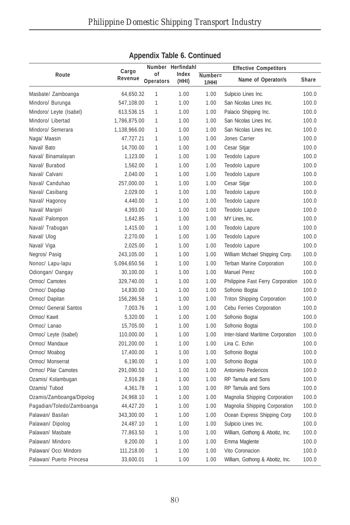|                           |              |                  | Number Herfindahl |         |                                    |              |
|---------------------------|--------------|------------------|-------------------|---------|------------------------------------|--------------|
| Route                     | Cargo        | οf               | Index             | Number= | <b>Effective Competitors</b>       |              |
|                           | Revenue      | <b>Operators</b> | (HHI)             | 1/HHI   | Name of Operator/s                 | <b>Share</b> |
| Masbate/ Zamboanga        | 64,650.32    | 1                | 1.00              | 1.00    | Sulpicio Lines Inc.                | 100.0        |
| Mindoro/ Burunga          | 547,108.00   | 1                | 1.00              | 1.00    | San Nicolas Lines Inc.             | 100.0        |
| Mindoro/ Leyte (Isabel)   | 613,536.15   | 1                | 1.00              | 1.00    | Palacio Shipping Inc.              | 100.0        |
| Mindoro/ Libertad         | 1,786,875.00 | 1                | 1.00              | 1.00    | San Nicolas Lines Inc.             | 100.0        |
| Mindoro/ Semerara         | 1,138,966.00 | 1                | 1.00              | 1.00    | San Nicolas Lines Inc.             | 100.0        |
| Naga/ Maasin              | 47,727.21    | $\mathbf{1}$     | 1.00              | 1.00    | Jones Carrier                      | 100.0        |
| Naval/ Bato               | 14,700.00    | $\mathbf{1}$     | 1.00              | 1.00    | Cesar Sitjar                       | 100.0        |
| Naval/ Binamalayan        | 1,123.00     | $\mathbf{1}$     | 1.00              | 1.00    | Teodolo Lapure                     | 100.0        |
| Naval/ Burabod            | 1,562.00     | $\mathbf{1}$     | 1.00              | 1.00    | Teodolo Lapure                     | 100.0        |
| Naval/ Calvani            | 2,040.00     | 1                | 1.00              | 1.00    | Teodolo Lapure                     | 100.0        |
| Naval/ Canduhao           | 257,000.00   | 1                | 1.00              | 1.00    | Cesar Sitjar                       | 100.0        |
| Naval/ Casibang           | 2,029.00     | 1                | 1.00              | 1.00    | Teodolo Lapure                     | 100.0        |
| Naval/ Hagonoy            | 4,440.00     | 1                | 1.00              | 1.00    | Teodolo Lapure                     | 100.0        |
| Naval/ Maripiri           | 4,393.00     | $\mathbf{1}$     | 1.00              | 1.00    | Teodolo Lapure                     | 100.0        |
| Naval/ Palompon           | 1,642.85     | $\mathbf{1}$     | 1.00              | 1.00    | MY Lines, Inc.                     | 100.0        |
| Naval/ Trabugan           | 1,415.00     | $\mathbf{1}$     | 1.00              | 1.00    | Teodolo Lapure                     | 100.0        |
| Naval/ Ulog               | 2,270.00     | 1                | 1.00              | 1.00    | Teodolo Lapure                     | 100.0        |
| Naval/ Viga               | 2,025.00     | $\mathbf{1}$     | 1.00              | 1.00    | Teodolo Lapure                     | 100.0        |
| Negros/ Pasig             | 243,105.00   | 1                | 1.00              | 1.00    | William Michael Shipping Corp.     | 100.0        |
| Nonoc/ Lapu-lapu          | 5,094,650.56 | 1                | 1.00              | 1.00    | Terban Marine Corporation          | 100.0        |
| Odiongan/ Oangay          | 30,100.00    | 1                | 1.00              | 1.00    | <b>Manuel Perez</b>                | 100.0        |
| Ormoc/ Camotes            | 329,740.00   | 1                | 1.00              | 1.00    | Philippine Fast Ferry Corporation  | 100.0        |
| Ormoc/Dapdap              | 14,830.00    | 1                | 1.00              | 1.00    | Sofronio Bogtai                    | 100.0        |
| Ormoc/ Dapitan            | 156,286.58   | 1                | 1.00              | 1.00    | <b>Triton Shipping Corporation</b> | 100.0        |
| Ormoc/ General Santos     | 7,003.76     | 1                | 1.00              | 1.00    | Cebu Ferries Corporation           | 100.0        |
| Ormoc/ Kawit              | 5,320.00     | $\mathbf{1}$     | 1.00              | 1.00    | Sofronio Bogtai                    | 100.0        |
| Ormoc/ Lanao              | 15,705.00    | 1                | 1.00              | 1.00    | Sofronio Bogtai                    | 100.0        |
| Ormoc/ Leyte (Isabel)     | 110,000.00   | 1                | 1.00              | 1.00    | Inter-Island Maritime Corporation  | 100.0        |
| Ormoc/ Mandaue            | 201,200.00   | 1                | 1.00              | 1.00    | Lina C. Echin                      | 100.0        |
| Ormoc/ Moabog             | 17,400.00    | 1                | 1.00              | 1.00    | Sofronio Bogtai                    | 100.0        |
| Ormoc/ Monserrat          | 6,190.00     | 1                | 1.00              | 1.00    | Sofronio Bogtai                    | 100.0        |
| Ormoc/ Pilar Camotes      | 291,090.50   | 1                | 1.00              | 1.00    | Antonieto Pedericos                | 100.0        |
| Ozamis/ Kolambugan        | 2,916.28     | 1                | 1.00              | 1.00    | RP Tamula and Sons                 | 100.0        |
| Ozamis/ Tubod             | 4,361.78     | 1                | 1.00              | 1.00    | RP Tamula and Sons                 | 100.0        |
| Ozamis/Zamboanga/Dipolog  | 24,968.10    | 1                | 1.00              | 1.00    | Magnolia Shipping Corporation      | 100.0        |
| Pagadian/Toledo/Zamboanga | 44,427.20    | 1                | 1.00              | 1.00    | Magnolia Shipping Corporation      | 100.0        |
| Palawan/ Basilan          | 343,300.00   | 1                | 1.00              | 1.00    | Ocean Express Shipping Corp        | 100.0        |
| Palawan/ Dipolog          | 24,487.10    | 1                | 1.00              | 1.00    | Sulpicio Lines Inc.                | 100.0        |
| Palawan/ Masbate          | 77,863.50    | 1                | 1.00              | 1.00    | William, Gothong & Aboitiz, Inc.   | 100.0        |
| Palawan/ Mindoro          | 9,200.00     | 1                | 1.00              | 1.00    | Emma Maglente                      | 100.0        |
| Palawan/ Occi Mindoro     | 111,218.00   | 1                | 1.00              | 1.00    | Vito Coronacion                    | 100.0        |
| Palawan/ Puerto Princesa  | 33,600.01    | 1                | 1.00              | 1.00    | William, Gothong & Aboitiz, Inc.   | 100.0        |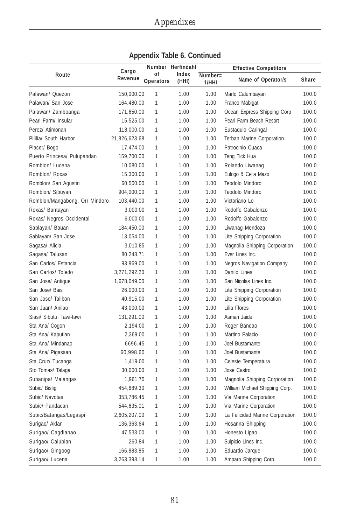|                                |                  |                 | Number Herfindahl |                     | <b>Effective Competitors</b>     |       |
|--------------------------------|------------------|-----------------|-------------------|---------------------|----------------------------------|-------|
| Route                          | Cargo<br>Revenue | οf<br>Operators | Index<br>(HHI)    | $Number =$<br>1/HHI | Name of Operator/s               | Share |
| Palawan/ Quezon                | 150,000.00       | $\mathbf{1}$    | 1.00              | 1.00                | Marlo Calumbayan                 | 100.0 |
| Palawan/ San Jose              | 164,480.00       | 1               | 1.00              | 1.00                | Franco Mabigat                   | 100.0 |
| Palawan/ Zamboanga             | 171,650.00       | 1               | 1.00              | 1.00                | Ocean Express Shipping Corp      | 100.0 |
| Pearl Farm/ Insular            | 15,525.00        | 1               | 1.00              | 1.00                | Pearl Farm Beach Resort          | 100.0 |
| Perez/ Atimonan                | 118,000.00       | 1               | 1.00              | 1.00                | Eustaquio Caringal               | 100.0 |
| Pililia/ South Harbor          | 21,826,623.68    | 1               | 1.00              | 1.00                | Terban Marine Corporation        | 100.0 |
| Placer/ Bogo                   | 17,474.00        | $\mathbf{1}$    | 1.00              | 1.00                | Patrocinio Cuaca                 | 100.0 |
| Puerto Princesa/ Pulupandan    | 159,700.00       | 1               | 1.00              | 1.00                | Teng Tick Hua                    | 100.0 |
| Romblon/ Lucena                | 10,080.00        | $\mathbf{1}$    | 1.00              | 1.00                | Rolando Liwanag                  | 100.0 |
| Romblon/ Roxas                 | 15,300.00        | 1               | 1.00              | 1.00                | Eulogo & Celia Mazo              | 100.0 |
| Romblon/ San Agustin           | 60,500.00        | 1               | 1.00              | 1.00                | Teodolo Mindoro                  | 100.0 |
| Romblon/ Sibuyan               | 904,000.00       | 1               | 1.00              | 1.00                | Teodolo Mindoro                  | 100.0 |
| Romblon/Mangabong, Orr Mindoro | 103,440.00       | 1               | 1.00              | 1.00                | Victoriano Lo                    | 100.0 |
| Roxas/ Bantayan                | 3,000.00         | 1               | 1.00              | 1.00                | Rodolfo Gabalonzo                | 100.0 |
| Roxas/ Negros Occidental       | 6,000.00         | 1               | 1.00              | 1.00                | Rodolfo Gabalonzo                | 100.0 |
| Sablayan/ Bauan                | 184,450.00       | 1               | 1.00              | 1.00                | Liwanag Mendoza                  | 100.0 |
| Sablayan/ San Jose             | 13,054.00        | 1               | 1.00              | 1.00                | Lite Shipping Corporation        | 100.0 |
| Sagasa/ Alicia                 | 3,010.85         | 1               | 1.00              | 1.00                | Magnolia Shipping Corporation    | 100.0 |
| Sagasa/ Talusan                | 80,248.71        | 1               | 1.00              | 1.00                | Ever Lines Inc.                  | 100.0 |
| San Carlos/ Estancia           | 93,969.00        | $\mathbf{1}$    | 1.00              | 1.00                | <b>Negros Navigation Company</b> | 100.0 |
| San Carlos/ Toledo             | 3,271,292.20     | 1               | 1.00              | 1.00                | Danilo Lines                     | 100.0 |
| San Jose/ Antique              | 1,678,049.00     | 1               | 1.00              | 1.00                | San Nicolas Lines Inc.           | 100.0 |
| San Jose/ Bais                 | 26,000.00        | 1               | 1.00              | 1.00                | Lite Shipping Corporation        | 100.0 |
| San Jose/ Talibon              | 40,915.00        | 1               | 1.00              | 1.00                | Lite Shipping Corporation        | 100.0 |
| San Juan/ Anilao               | 43,000.00        | 1               | 1.00              | 1.00                | Lilia Flores                     | 100.0 |
| Siasi/ Sibutu, Tawi-tawi       | 131,291.00       | 1               | 1.00              | 1.00                | Asman Jaide                      | 100.0 |
| Sta Ana/ Cogon                 | 2,194.00         | $\mathbf{1}$    | 1.00              | 1.00                | Roger Bandao                     | 100.0 |
| Sta Ana/ Kaputian              | 2,369.00         | 1               | 1.00              | 1.00                | Martino Palacio                  | 100.0 |
| Sta Ana/ Mindanao              | 6696.45          | 1               | 1.00              | 1.00                | Joel Bustamante                  | 100.0 |
| Sta Ana/ Pigasaan              | 60,998.60        | $\mathbf{1}$    | 1.00              | 1.00                | Joel Bustamante                  | 100.0 |
| Sta Cruz/ Tucanga              | 1,419.00         | 1               | 1.00              | 1.00                | Celeste Temperatura              | 100.0 |
| Sto Tomas/ Talaga              | 30,000.00        | 1               | 1.00              | 1.00                | Jose Castro                      | 100.0 |
| Subanipa/ Malangas             | 1,961.70         | $\mathbf{1}$    | 1.00              | 1.00                | Magnolia Shipping Corporation    | 100.0 |
| Subic/ Bislig                  | 454,689.30       | 1               | 1.00              | 1.00                | William Michael Shipping Corp.   | 100.0 |
| Subic/ Navotas                 | 353,786.45       | 1               | 1.00              | 1.00                | Via Marine Corporation           | 100.0 |
| Subic/ Pandacan                | 544,635.01       | 1               | 1.00              | 1.00                | Via Marine Corporation           | 100.0 |
| Subic/Batangas/Legaspi         | 2,605,207.00     | 1               | 1.00              | 1.00                | La Felicidad Marine Corporation  | 100.0 |
| Surigao/ Aklan                 | 136,363.64       | 1               | 1.00              | 1.00                | Hosanna Shipping                 | 100.0 |
| Surigao/ Cagdianao             | 47,533.00        | 1               | 1.00              | 1.00                | Honesto Lipao                    | 100.0 |
| Surigao/ Calubian              | 260.84           | 1               | 1.00              | 1.00                | Sulpicio Lines Inc.              | 100.0 |
| Surigao/ Gingoog               | 166,883.85       | 1               | 1.00              | 1.00                | Eduardo Jarque                   | 100.0 |
| Surigao/ Lucena                | 3,263,398.14     | 1               | 1.00              | 1.00                | Amparo Shipping Corp.            | 100.0 |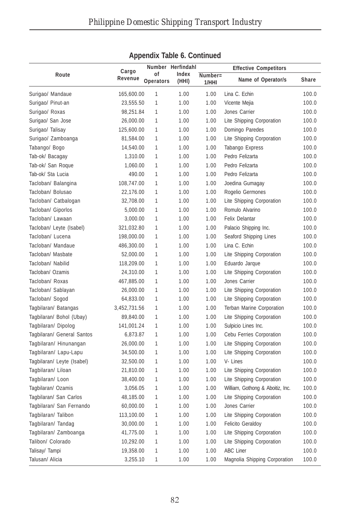|                            |              |                  | Number Herfindahl |         | <b>Effective Competitors</b>     |              |
|----------------------------|--------------|------------------|-------------------|---------|----------------------------------|--------------|
| Route                      | Cargo        | οf               | Index             | Number= |                                  |              |
|                            | Revenue      | <b>Operators</b> | (HHI)             | 1/HHI   | Name of Operator/s               | <b>Share</b> |
| Surigao/ Mandaue           | 165,600.00   | $\mathbf{1}$     | 1.00              | 1.00    | Lina C. Echin                    | 100.0        |
| Surigao/ Pinut-an          | 23,555.50    | 1                | 1.00              | 1.00    | Vicente Mejia                    | 100.0        |
| Surigao/ Roxas             | 98,251.84    | 1                | 1.00              | 1.00    | Jones Carrier                    | 100.0        |
| Surigao/ San Jose          | 26,000.00    | 1                | 1.00              | 1.00    | Lite Shipping Corporation        | 100.0        |
| Surigao/ Talisay           | 125,600.00   | 1                | 1.00              | 1.00    | Domingo Paredes                  | 100.0        |
| Surigao/ Zamboanga         | 81,584.00    | 1                | 1.00              | 1.00    | Lite Shipping Corporation        | 100.0        |
| Tabango/ Bogo              | 14,540.00    | $\mathbf{1}$     | 1.00              | 1.00    | Tabango Express                  | 100.0        |
| Tab-ok/ Bacagay            | 1,310.00     | $\mathbf{1}$     | 1.00              | 1.00    | Pedro Felizarta                  | 100.0        |
| Tab-ok/ San Roque          | 1,060.00     | $\mathbf{1}$     | 1.00              | 1.00    | Pedro Felizarta                  | 100.0        |
| Tab-ok/ Sta Lucia          | 490.00       | $\mathbf{1}$     | 1.00              | 1.00    | Pedro Felizarta                  | 100.0        |
| Tacloban/ Balangina        | 108,747.00   | $\mathbf{1}$     | 1.00              | 1.00    | Joedina Gumagay                  | 100.0        |
| Tacloban/ Bolusao          | 22,176.00    | 1                | 1.00              | 1.00    | Rogelio Germones                 | 100.0        |
| Tacloban/ Catbalogan       | 32,708.00    | $\mathbf{1}$     | 1.00              | 1.00    | Lite Shipping Corporation        | 100.0        |
| Tacloban/ Giporlos         | 5,000.00     | 1                | 1.00              | 1.00    | Romulo Alvarino                  | 100.0        |
| Tacloban/ Lawaan           | 3,000.00     | $\mathbf{1}$     | 1.00              | 1.00    | Felix Delantar                   | 100.0        |
| Tacloban/ Leyte (Isabel)   | 321,032.80   | $\mathbf{1}$     | 1.00              | 1.00    | Palacio Shipping Inc.            | 100.0        |
| Tacloban/ Lucena           | 198,000.00   | 1                | 1.00              | 1.00    | Seaford Shipping Lines           | 100.0        |
| Tacloban/ Mandaue          | 486,300.00   | 1                | 1.00              | 1.00    | Lina C. Echin                    | 100.0        |
| Tacloban/ Masbate          | 52,000.00    | $\mathbf{1}$     | 1.00              | 1.00    | Lite Shipping Corporation        | 100.0        |
| Tacloban/ Nabilid          | 118,209.00   | $\mathbf{1}$     | 1.00              | 1.00    | Eduardo Jarque                   | 100.0        |
| Tacloban/ Ozamis           | 24,310.00    | 1                | 1.00              | 1.00    | Lite Shipping Corporation        | 100.0        |
| Tacloban/ Roxas            | 467,885.00   | $\mathbf{1}$     | 1.00              | 1.00    | Jones Carrier                    | 100.0        |
| Tacloban/ Sablayan         | 26,000.00    | $\mathbf{1}$     | 1.00              | 1.00    | Lite Shipping Corporation        | 100.0        |
| Tacloban/ Sogod            | 64,833.00    | $\mathbf{1}$     | 1.00              | 1.00    | Lite Shipping Corporation        | 100.0        |
| Tagbilaran/ Batangas       | 3,452,731.56 | $\mathbf{1}$     | 1.00              | 1.00    | Terban Marine Corporation        | 100.0        |
| Tagbilaran/ Bohol (Ubay)   | 89,840.00    | 1                | 1.00              | 1.00    | Lite Shipping Corporation        | 100.0        |
| Tagbilaran/ Dipolog        | 141,001.24   | 1                | 1.00              | 1.00    | Sulpicio Lines Inc.              | 100.0        |
| Tagbilaran/ General Santos | 6,873.87     | 1                | 1.00              | 1.00    | Cebu Ferries Corporation         | 100.0        |
| Tagbilaran/ Hinunangan     | 26,000.00    | 1                | 1.00              | 1.00    | Lite Shipping Corporation        | 100.0        |
| Tagbilaran/ Lapu-Lapu      | 34,500.00    | 1                | 1.00              | 1.00    | Lite Shipping Corporation        | 100.0        |
| Tagbilaran/ Leyte (Isabel) | 32,500.00    | $\mathbf{1}$     | 1.00              | 1.00    | V-Lines                          | 100.0        |
| Tagbilaran/ Liloan         | 21,810.00    | 1                | 1.00              | 1.00    | Lite Shipping Corporation        | 100.0        |
| Tagbilaran/Loon            | 38,400.00    | 1                | 1.00              | 1.00    | Lite Shipping Corporation        | 100.0        |
| Tagbilaran/ Ozamis         | 3,056.05     | 1                | 1.00              | 1.00    | William, Gothong & Aboitiz, Inc. | 100.0        |
| Tagbilaran/ San Carlos     | 48,185.00    | 1                | 1.00              | 1.00    | Lite Shipping Corporation        | 100.0        |
| Tagbilaran/ San Fernando   | 60,000.00    | 1                | 1.00              | 1.00    | Jones Carrier                    | 100.0        |
| Tagbilaran/Talibon         | 113,100.00   | 1                | 1.00              | 1.00    | Lite Shipping Corporation        | 100.0        |
| Tagbilaran/Tandag          | 30,000.00    | 1                | 1.00              | 1.00    | <b>Felicito Geraldoy</b>         | 100.0        |
| Tagbilaran/ Zamboanga      | 41,775.00    | 1                | 1.00              | 1.00    | Lite Shipping Corporation        | 100.0        |
| Talibon/ Colorado          | 10,292.00    | 1                | 1.00              | 1.00    | Lite Shipping Corporation        | 100.0        |
| Talisay/ Tampi             | 19,358.00    | 1                | 1.00              | 1.00    | <b>ABC Liner</b>                 | 100.0        |
| Talusan/ Alicia            | 3,255.10     | 1                | 1.00              | 1.00    | Magnolia Shipping Corporation    | 100.0        |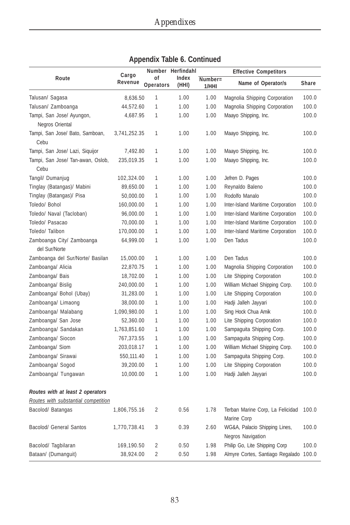|                                              |                  |                 | Number Herfindahl |                  | <b>Effective Competitors</b>                       |       |
|----------------------------------------------|------------------|-----------------|-------------------|------------------|----------------------------------------------------|-------|
| Route                                        | Cargo<br>Revenue | 0f<br>Operators | Index<br>(HHI)    | Number=<br>1/HHI | Name of Operator/s                                 | Share |
| Talusan/ Sagasa                              | 8,636.50         | 1               | 1.00              | 1.00             | Magnolia Shipping Corporation                      | 100.0 |
| Talusan/ Zamboanga                           | 44,572.60        | 1               | 1.00              | 1.00             | Magnolia Shipping Corporation                      | 100.0 |
| Tampi, San Jose/ Ayungon,<br>Negros Oriental | 4,687.95         | $\mathbf{1}$    | 1.00              | 1.00             | Maayo Shipping, Inc.                               | 100.0 |
| Tampi, San Jose/ Bato, Samboan,<br>Cebu      | 3,741,252.35     | 1               | 1.00              | 1.00             | Maayo Shipping, Inc.                               | 100.0 |
| Tampi, San Jose/ Lazi, Siquijor              | 7,492.80         | 1               | 1.00              | 1.00             | Maayo Shipping, Inc.                               | 100.0 |
| Tampi, San Jose/ Tan-awan, Oslob,<br>Cebu    | 235,019.35       | 1               | 1.00              | 1.00             | Maayo Shipping, Inc.                               | 100.0 |
| Tangil/ Dumanjug                             | 102,324.00       | 1               | 1.00              | 1.00             | Jefren D. Pages                                    | 100.0 |
| Tinglay (Batangas)/ Mabini                   | 89,650.00        | 1               | 1.00              | 1.00             | Reynaldo Baleno                                    | 100.0 |
| Tinglay (Batangas)/ Pisa                     | 50,000.00        | 1               | 1.00              | 1.00             | Rodolfo Manalo                                     | 100.0 |
| Toledo/ Bohol                                | 160,000.00       | 1               | 1.00              | 1.00             | Inter-Island Maritime Corporation                  | 100.0 |
| Toledo/ Naval (Tacloban)                     | 96,000.00        | 1               | 1.00              | 1.00             | Inter-Island Maritime Corporation                  | 100.0 |
| Toledo/ Pasacao                              | 70,000.00        | 1               | 1.00              | 1.00             | Inter-Island Maritime Corporation                  | 100.0 |
| Toledo/ Talibon                              | 170,000.00       | 1               | 1.00              | 1.00             | Inter-Island Maritime Corporation                  | 100.0 |
| Zamboanga City/ Zamboanga<br>del Sur/Norte   | 64,999.00        | 1               | 1.00              | 1.00             | Den Tadus                                          | 100.0 |
| Zamboanga del Sur/Norte/ Basilan             | 15,000.00        | 1               | 1.00              | 1.00             | Den Tadus                                          | 100.0 |
| Zamboanga/ Alicia                            | 22,870.75        | 1               | 1.00              | 1.00             | Magnolia Shipping Corporation                      | 100.0 |
| Zamboanga/ Bais                              | 18,702.00        | 1               | 1.00              | 1.00             | Lite Shipping Corporation                          | 100.0 |
| Zamboanga/ Bislig                            | 240,000.00       | 1               | 1.00              | 1.00             | William Michael Shipping Corp.                     | 100.0 |
| Zamboanga/ Bohol (Ubay)                      | 31,283.00        | 1               | 1.00              | 1.00             | Lite Shipping Corporation                          | 100.0 |
| Zamboanga/ Limaong                           | 38,000.00        | 1               | 1.00              | 1.00             | Hadji Jalleh Jayyari                               | 100.0 |
| Zamboanga/ Malabang                          | 1,090,980.00     | 1               | 1.00              | 1.00             | Sing Hock Chua Amik                                | 100.0 |
| Zamboanga/ San Jose                          | 52,360.00        | 1               | 1.00              | 1.00             | Lite Shipping Corporation                          | 100.0 |
| Zamboanga/ Sandakan                          | 1,763,851.60     | 1               | 1.00              | 1.00             | Sampaguita Shipping Corp.                          | 100.0 |
| Zamboanga/ Siocon                            | 767,373.55       | 1               | 1.00              | 1.00             | Sampaguita Shipping Corp.                          | 100.0 |
| Zamboanga/ Siom                              | 203,018.17       | 1               | 1.00              | 1.00             | William Michael Shipping Corp.                     | 100.0 |
| Zamboanga/ Sirawai                           | 550,111.40       | 1               | 1.00              | 1.00             | Sampaguita Shipping Corp.                          | 100.0 |
| Zamboanga/ Sogod                             | 39,200.00        | 1               | 1.00              | 1.00             | Lite Shipping Corporation                          | 100.0 |
| Zamboanga/ Tungawan                          | 10,000.00        | 1               | 1.00              | 1.00             | Hadji Jalleh Jayyari                               | 100.0 |
| Routes with at least 2 operators             |                  |                 |                   |                  |                                                    |       |
| Routes with substantial competition          |                  |                 |                   |                  |                                                    |       |
| Bacolod/ Batangas                            | 1,806,755.16     | $\overline{2}$  | 0.56              | 1.78             | Terban Marine Corp, La Felicidad<br>Marine Corp    | 100.0 |
| <b>Bacolod/ General Santos</b>               | 1,770,738.41     | 3               | 0.39              | 2.60             | WG&A, Palacio Shipping Lines,<br>Negros Navigation | 100.0 |
| Bacolod/ Tagbilaran                          | 169,190.50       | $\overline{2}$  | 0.50              | 1.98             | Philip Go, Lite Shipping Corp                      | 100.0 |
| Bataan/ (Dumanguit)                          | 38,924.00        | $\overline{2}$  | 0.50              | 1.98             | Almyre Cortes, Santiago Regalado 100.0             |       |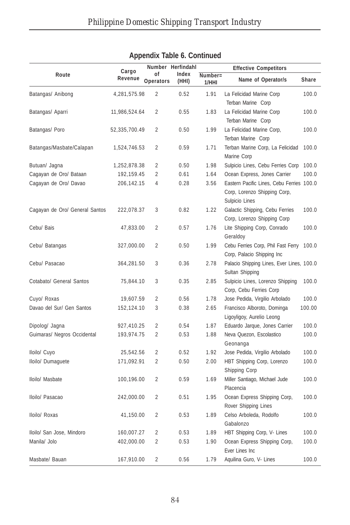|                                | . .           |                  |                            |                  |                                                                                             |        |
|--------------------------------|---------------|------------------|----------------------------|------------------|---------------------------------------------------------------------------------------------|--------|
| Route                          | Cargo         | οf               | Number Herfindahl<br>Index |                  | <b>Effective Competitors</b>                                                                |        |
|                                | Revenue       | <b>Operators</b> | (HHI)                      | Number=<br>1/HHI | Name of Operator/s                                                                          | Share  |
| Batangas/ Anibong              | 4,281,575.98  | $\overline{2}$   | 0.52                       | 1.91             | La Felicidad Marine Corp<br>Terban Marine Corp                                              | 100.0  |
| Batangas/ Aparri               | 11,986,524.64 | 2                | 0.55                       | 1.83             | La Felicidad Marine Corp<br>Terban Marine Corp                                              | 100.0  |
| Batangas/ Poro                 | 52,335,700.49 | $\overline{2}$   | 0.50                       | 1.99             | La Felicidad Marine Corp,<br>Terban Marine Corp                                             | 100.0  |
| Batangas/Masbate/Calapan       | 1,524,746.53  | 2                | 0.59                       | 1.71             | Terban Marine Corp, La Felicidad<br>Marine Corp                                             | 100.0  |
| Butuan/ Jagna                  | 1,252,878.38  | 2                | 0.50                       | 1.98             | Sulpicio Lines, Cebu Ferries Corp                                                           | 100.0  |
| Cagayan de Oro/ Bataan         | 192,159.45    | $\overline{2}$   | 0.61                       | 1.64             | Ocean Express, Jones Carrier                                                                | 100.0  |
| Cagayan de Oro/ Davao          | 206,142.15    | $\overline{4}$   | 0.28                       | 3.56             | Eastern Pacific Lines, Cebu Ferries 100.0<br>Corp, Lorenzo Shipping Corp,<br>Sulpicio Lines |        |
| Cagayan de Oro/ General Santos | 222,078.37    | 3                | 0.82                       | 1.22             | Galactic Shipping, Cebu Ferries<br>Corp, Lorenzo Shipping Corp                              | 100.0  |
| Cebu/ Bais                     | 47,833.00     | 2                | 0.57                       | 1.76             | Lite Shipping Corp, Conrado<br>Geraldoy                                                     | 100.0  |
| Cebu/ Batangas                 | 327,000.00    | $\overline{2}$   | 0.50                       | 1.99             | Cebu Ferries Corp, Phil Fast Ferry<br>Corp, Palacio Shipping Inc                            | 100.0  |
| Cebu/ Pasacao                  | 364,281.50    | 3                | 0.36                       | 2.78             | Palacio Shipping Lines, Ever Lines, 100.0<br>Sultan Shipping                                |        |
| Cotabato/ General Santos       | 75,844.10     | 3                | 0.35                       | 2.85             | Sulpicio Lines, Lorenzo Shipping<br>Corp, Cebu Ferries Corp                                 | 100.0  |
| Cuyo/ Roxas                    | 19,607.59     | 2                | 0.56                       | 1.78             | Jose Pedida, Virgilio Arbolado                                                              | 100.0  |
| Davao del Sur/ Gen Santos      | 152,124.10    | 3                | 0.38                       | 2.65             | Francisco Alboroto, Dominga<br>Ligoyligoy, Aurelio Leong                                    | 100.00 |
| Dipolog/ Jagna                 | 927,410.25    | $\overline{2}$   | 0.54                       | 1.87             | Eduardo Jarque, Jones Carrier                                                               | 100.0  |
| Guimaras/ Negros Occidental    | 193,974.75    | $\overline{2}$   | 0.53                       | 1.88             | Neva Quezon, Escolastico<br>Geonanga                                                        | 100.0  |
| Iloilo/ Cuyo                   | 25,542.56     | $\overline{2}$   | 0.52                       | 1.92             | Jose Pedida, Virgilio Arbolado                                                              | 100.0  |
| Iloilo/ Dumaguete              | 171,092.91    | 2                | 0.50                       | 2.00             | HBT Shipping Corp, Lorenzo<br>Shipping Corp                                                 | 100.0  |
| Iloilo/ Masbate                | 100,196.00    | 2                | 0.59                       | 1.69             | Miller Santiago, Michael Jude<br>Placencia                                                  | 100.0  |
| Iloilo/ Pasacao                | 242,000.00    | $\overline{2}$   | 0.51                       | 1.95             | Ocean Express Shipping Corp,<br>Rover Shipping Lines                                        | 100.0  |
| Iloilo/ Roxas                  | 41,150.00     | $\overline{2}$   | 0.53                       | 1.89             | Celso Arboleda, Rodolfo<br>Gabalonzo                                                        | 100.0  |
| Iloilo/ San Jose, Mindoro      | 160,007.27    | $\overline{2}$   | 0.53                       | 1.89             | HBT Shipping Corp, V- Lines                                                                 | 100.0  |
| Manila/ Jolo                   | 402,000.00    | $\overline{2}$   | 0.53                       | 1.90             | Ocean Express Shipping Corp,<br>Ever Lines Inc                                              | 100.0  |
| Masbate/ Bauan                 | 167,910.00    | $\overline{2}$   | 0.56                       | 1.79             | Aquilina Guro, V- Lines                                                                     | 100.0  |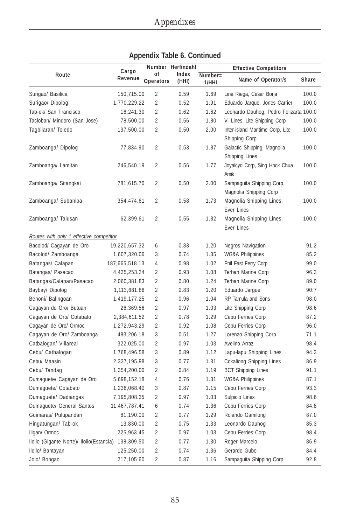|                                                      |                  |                 | Number Herfindahl |                                       | <b>Effective Competitors</b>                        |       |
|------------------------------------------------------|------------------|-----------------|-------------------|---------------------------------------|-----------------------------------------------------|-------|
| Route                                                | Cargo<br>Revenue | 0f<br>Operators | Index<br>(HHI)    | $\overline{\text{Number}}$ =<br>1/HHI | Name of Operator/s                                  | Share |
| Surigao/ Basilica                                    | 150,715.00       | $\overline{2}$  | 0.59              | 1.69                                  | Lina Riega, Cesar Borja                             | 100.0 |
| Surigao/ Dipolog                                     | 1,770,229.22     | $\overline{2}$  | 0.52              | 1.91                                  | Eduardo Jarque, Jones Carrier                       | 100.0 |
| Tab-ok/ San Francisco                                | 16,241.30        | 2               | 0.62              | 1.62                                  | Leonardo Dauhog, Pedro Felizarta 100.0              |       |
| Tacloban/ Mindoro (San Jose)                         | 78,500.00        | 2               | 0.56              | 1.80                                  | V- Lines, Lite Shipping Corp                        | 100.0 |
| Tagbilaran/ Toledo                                   | 137,500.00       | 2               | 0.50              | 2.00                                  | Inter-island Maritime Corp, Lite<br>Shipping Corp   | 100.0 |
| Zamboanga/ Dipolog                                   | 77,834.90        | 2               | 0.53              | 1.87                                  | Galactic Shipping, Magnolia<br>Shipping Lines       | 100.0 |
| Zamboanga/ Lamitan                                   | 246,540.19       | $\overline{2}$  | 0.56              | 1.77                                  | Joyalcyd Corp, Sing Hock Chua<br>Amik               | 100.0 |
| Zamboanga/ Sitangkai                                 | 781,615.70       | 2               | 0.50              | 2.00                                  | Sampaguita Shipping Corp,<br>Magnolia Shipping Corp | 100.0 |
| Zamboanga/ Subanipa                                  | 354,474.61       | 2               | 0.58              | 1.73                                  | Magnolia Shipping Lines,<br><b>Ever Lines</b>       | 100.0 |
| Zamboanga/ Talusan                                   | 62,399.61        | $\overline{2}$  | 0.55              | 1.82                                  | Magnolia Shipping Lines,<br><b>Ever Lines</b>       | 100.0 |
| Routes with only 1 effective competitor              |                  |                 |                   |                                       |                                                     |       |
| Bacolod/ Cagayan de Oro                              | 19,220,657.32    | 6               | 0.83              | 1.20                                  | <b>Negros Navigation</b>                            | 91.2  |
| Bacolod/ Zamboanga                                   | 1,607,320.06     | 3               | 0.74              | 1.35                                  | <b>WG&amp;A Philippines</b>                         | 85.2  |
| Batangas/ Calapan                                    | 187,665,518.13   | 4               | 0.98              | 1.02                                  | Phil Fast Ferry Corp                                | 99.0  |
| Batangas/ Pasacao                                    | 4,435,253.24     | 2               | 0.93              | 1.08                                  | Terban Marine Corp                                  | 96.3  |
| Batangas/Calapan/Pasacao                             | 2,060,381.83     | $\overline{2}$  | 0.80              | 1.24                                  | Terban Marine Corp                                  | 89.0  |
| Baybay/ Dipolog                                      | 1,113,681.86     | $\overline{2}$  | 0.83              | 1.20                                  | Eduardo Jarque                                      | 90.7  |
| Benoni/ Balingoan                                    | 1,419,177.25     | $\overline{2}$  | 0.96              | 1.04                                  | RP Tamula and Sons                                  | 98.0  |
| Cagayan de Oro/ Butuan                               | 26,369.56        | $\overline{a}$  | 0.97              | 1.03                                  | Lite Shipping Corp                                  | 98.6  |
| Cagayan de Oro/ Cotabato                             | 2,384,611.52     | $\overline{2}$  | 0.78              | 1.29                                  | Cebu Ferries Corp                                   | 87.2  |
| Cagayan de Oro/ Ormoc                                | 1,272,943.29     | 2               | 0.92              | 1.08                                  | Cebu Ferries Corp                                   | 96.0  |
| Cagayan de Oro/ Zamboanga                            | 483,206.18       | 3               | 0.51              | 1.27                                  | Lorenzo Shipping Corp                               | 71.1  |
| Catbalogan/ Villareal                                | 322,025.00       | $\overline{2}$  | 0.97              | 1.03                                  | Avelino Arraz                                       | 98.4  |
| Cebu/ Catbalogan                                     | 1,768,496.58     | 3               | 0.89              | 1.12                                  | Lapu-lapu Shipping Lines                            | 94.3  |
| Cebu/ Maasin                                         | 2,337,195.98     | 3               | 0.77              | 1.31                                  | <b>Cokaliong Shipping Lines</b>                     | 86.9  |
| Cebu/ Tandag                                         | 1,354,200.00     | 2               | 0.84              | 1.19                                  | <b>BCT Shipping Lines</b>                           | 91.1  |
| Dumaguete/ Cagayan de Oro                            | 5,698,152.18     | 4               | 0.76              | 1.31                                  | <b>WG&amp;A Philippines</b>                         | 87.1  |
| Dumaguete/ Cotabato                                  | 1,236,068.40     | 3               | 0.87              | 1.15                                  | Cebu Ferries Corp                                   | 93.3  |
| Dumaguete/ Dadiangas                                 | 7,195,808.35     | 2               | 0.97              | 1.03                                  | Sulpicio Lines                                      | 98.6  |
| Dumaguete/ General Santos                            | 11,467,787.41    | 6               | 0.74              | 1.36                                  | Cebu Ferries Corp                                   | 84.8  |
| Guimaras/ Pulupandan                                 | 81,190.00        | $\overline{2}$  | 0.77              | 1.29                                  | Rolando Gamilong                                    | 87.0  |
| Hingatungan/ Tab-ok                                  | 13,830.00        | $\overline{2}$  | 0.75              | 1.33                                  | Leonardo Dauhog                                     | 85.3  |
| Iligan/ Ormoc                                        | 225,963.45       | $\overline{2}$  | 0.97              | 1.03                                  | Cebu Ferries Corp                                   | 98.4  |
| Iloilo (Gigante Norte)/ Iloilo (Estancia) 138,309.50 |                  | $\overline{2}$  | 0.77              | 1.30                                  | Roger Marcelo                                       | 86.9  |
| Iloilo/ Bantayan                                     | 125,250.00       | 2               | 0.74              | 1.36                                  | Gerardo Gubo                                        | 84.4  |
| Jolo/ Bongao                                         | 217,105.60       | $\overline{2}$  | 0.87              | 1.16                                  | Sampaguita Shipping Corp                            | 92.8  |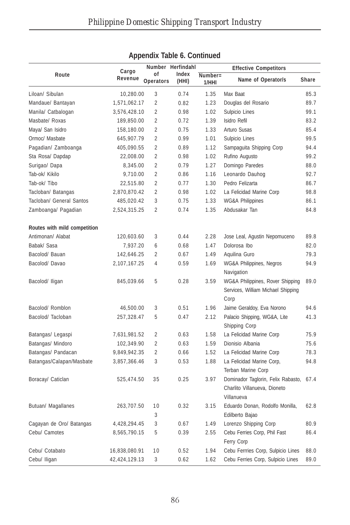|                              |                  |                 | Number Herfindahl |                  | <b>Effective Competitors</b>                                                          |       |
|------------------------------|------------------|-----------------|-------------------|------------------|---------------------------------------------------------------------------------------|-------|
| Route                        | Cargo<br>Revenue | οf<br>Operators | Index<br>(HHI)    | Number=<br>1/HHI | Name of Operator/s                                                                    | Share |
| Liloan/ Sibulan              | 10,280.00        | 3               | 0.74              | 1.35             | Max Baat                                                                              | 85.3  |
| Mandaue/ Bantayan            | 1,571,062.17     | $\overline{2}$  | 0.82              | 1.23             | Douglas del Rosario                                                                   | 89.7  |
| Manila/ Catbalogan           | 3,576,428.10     | $\overline{2}$  | 0.98              | 1.02             | Sulpicio Lines                                                                        | 99.1  |
| Masbate/ Roxas               | 189,850.00       | $\overline{2}$  | 0.72              | 1.39             | Isidro Refil                                                                          | 83.2  |
| Maya/ San Isidro             | 158,180.00       | $\overline{2}$  | 0.75              | 1.33             | Arturo Susas                                                                          | 85.4  |
| Ormoc/ Masbate               | 645,907.79       | $\overline{2}$  | 0.99              | 1.01             | Sulpicio Lines                                                                        | 99.5  |
| Pagadian/ Zamboanga          | 405,090.55       | $\overline{2}$  | 0.89              | 1.12             | Sampaguita Shipping Corp                                                              | 94.4  |
| Sta Rosa/Dapdap              | 22,008.00        | $\overline{2}$  | 0.98              | 1.02             | Rufino Augusto                                                                        | 99.2  |
| Surigao/ Dapa                | 8,345.00         | $\overline{2}$  | 0.79              | 1.27             | Domingo Paredes                                                                       | 88.0  |
| Tab-ok/ Kikilo               | 9,710.00         | $\overline{2}$  | 0.86              | 1.16             | Leonardo Dauhog                                                                       | 92.7  |
| Tab-ok/Tibo                  | 22,515.80        | $\overline{2}$  | 0.77              | 1.30             | Pedro Felizarta                                                                       | 86.7  |
| Tacloban/ Batangas           | 2,870,870.42     | $\overline{2}$  | 0.98              | 1.02             | La Felicidad Marine Corp                                                              | 98.8  |
| Tacloban/ General Santos     | 485,020.42       | 3               | 0.75              | 1.33             | <b>WG&amp;A Philippines</b>                                                           | 86.1  |
| Zamboanga/ Pagadian          | 2,524,315.25     | $\overline{2}$  | 0.74              | 1.35             | Abdusakar Tan                                                                         | 84.8  |
| Routes with mild competition |                  |                 |                   |                  |                                                                                       |       |
| Antimonan/ Alabat            | 120,603.60       | 3               | 0.44              | 2.28             | Jose Leal, Agustin Nepomuceno                                                         | 89.8  |
| Babak/ Sasa                  | 7,937.20         | 6               | 0.68              | 1.47             | Dolorosa Ibo                                                                          | 82.0  |
| Bacolod/ Bauan               | 142,646.25       | $\overline{2}$  | 0.67              | 1.49             | Aquilina Guro                                                                         | 79.3  |
| Bacolod/ Davao               | 2,107,167.25     | $\overline{4}$  | 0.59              | 1.69             | <b>WG&amp;A Philippines, Negros</b><br>Navigation                                     | 94.9  |
| Bacolod/ Iligan              | 845,039.66       | 5               | 0.28              | 3.59             | WG&A Philippines, Rover Shipping<br>Services, William Michael Shipping<br>Corp        | 89.0  |
| Bacolod/ Romblon             | 46,500.00        | 3               | 0.51              | 1.96             | Jaime Geraldoy, Eva Norono                                                            | 94.6  |
| Bacolod/Tacloban             | 257,328.47       | 5               | 0.47              | 2.12             | Palacio Shipping, WG&A, Lite<br>Shipping Corp                                         | 41.3  |
| Batangas/ Legaspi            | 7,631,981.52     | $\overline{2}$  | 0.63              | 1.58             | La Felicidad Marine Corp                                                              | 75.9  |
| Batangas/ Mindoro            | 102,349.90       | $\overline{2}$  | 0.63              | 1.59             | Dionisio Albania                                                                      | 75.6  |
| Batangas/ Pandacan           | 9,849,942.35     | $\overline{2}$  | 0.66              | 1.52             | La Felicidad Marine Corp                                                              | 78.3  |
| Batangas/Calapan/Masbate     | 3,857,366.46     | 3               | 0.53              | 1.88             | La Felicidad Marine Corp,<br>Terban Marine Corp                                       | 94.8  |
| Boracay/ Caticlan            | 525,474.50       | 35              | 0.25              | 3.97             | Dominador Taglorin, Felix Rabasto, 67.4<br>Charlito Villanueva, Dioneto<br>Villanueva |       |
| Butuan/ Magallanes           | 263,707.50       | 10<br>3         | 0.32              | 3.15             | Eduardo Donan, Rodolfo Monilla,<br>Edilberto Bajao                                    | 62.8  |
| Cagayan de Oro/ Batangas     | 4,428,294.45     | 3               | 0.67              | 1.49             | Lorenzo Shipping Corp                                                                 | 80.9  |
| Cebu/ Camotes                | 8,565,790.15     | 5               | 0.39              | 2.55             | Cebu Ferries Corp, Phil Fast<br>Ferry Corp                                            | 86.4  |
| Cebu/ Cotabato               | 16,838,080.91    | 10              | 0.52              | 1.94             | Cebu Ferrries Corp, Sulpicio Lines                                                    | 88.0  |
| Cebu/ Iligan                 | 42,424,129.13    | 3               | 0.62              | 1.62             | Cebu Ferries Corp, Sulpicio Lines                                                     | 89.0  |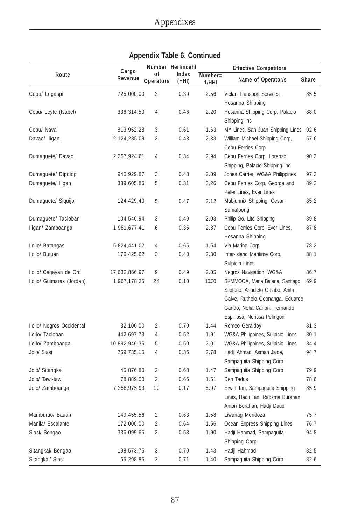|                           |                  |                        | Number Herfindahl |                     | <b>Effective Competitors</b>                                                                                                                                           |       |
|---------------------------|------------------|------------------------|-------------------|---------------------|------------------------------------------------------------------------------------------------------------------------------------------------------------------------|-------|
| Route                     | Cargo<br>Revenue | οf<br><b>Operators</b> | Index<br>(HHI)    | $Number =$<br>1/HHI | Name of Operator/s                                                                                                                                                     | Share |
| Cebu/ Legaspi             | 725,000.00       | 3                      | 0.39              | 2.56                | Victan Transport Services,<br>Hosanna Shipping                                                                                                                         | 85.5  |
| Cebu/ Leyte (Isabel)      | 336,314.50       | 4                      | 0.46              | 2.20                | Hosanna Shipping Corp, Palacio<br>Shipping Inc                                                                                                                         | 88.0  |
| Cebu/ Naval               | 813,952.28       | 3                      | 0.61              | 1.63                | MY Lines, San Juan Shipping Lines                                                                                                                                      | 92.6  |
| Davao/ Iligan             | 2,124,285.09     | 3                      | 0.43              | 2.33                | William Michael Shipping Corp,<br>Cebu Ferries Corp                                                                                                                    | 57.6  |
| Dumaguete/ Davao          | 2,357,924.61     | 4                      | 0.34              | 2.94                | Cebu Ferries Corp, Lorenzo<br>Shipping, Palacio Shipping Inc                                                                                                           | 90.3  |
| Dumaguete/ Dipolog        | 940,929.87       | 3                      | 0.48              | 2.09                | Jones Carrier, WG&A Philippines                                                                                                                                        | 97.2  |
| Dumaguete/ Iligan         | 339,605.86       | 5                      | 0.31              | 3.26                | Cebu Ferries Corp, George and<br>Peter Lines, Ever Lines                                                                                                               | 89.2  |
| Dumaguete/ Siquijor       | 124,429.40       | 5                      | 0.47              | 2.12                | Mabjunnix Shipping, Cesar<br>Sumalpong                                                                                                                                 | 85.2  |
| Dumaguete/ Tacloban       | 104,546.94       | 3                      | 0.49              | 2.03                | Philip Go, Lite Shipping                                                                                                                                               | 89.8  |
| Iligan/ Zamboanga         | 1,961,677.41     | 6                      | 0.35              | 2.87                | Cebu Ferries Corp, Ever Lines,<br>Hosanna Shipping                                                                                                                     | 87.8  |
| Iloilo/ Batangas          | 5,824,441.02     | 4                      | 0.65              | 1.54                | Via Marine Corp                                                                                                                                                        | 78.2  |
| Iloilo/ Butuan            | 176,425.62       | 3                      | 0.43              | 2.30                | Inter-island Maritime Corp,<br>Sulpicio Lines                                                                                                                          | 88.1  |
| Iloilo/ Cagayan de Oro    | 17,632,866.97    | 9                      | 0.49              | 2.05                | Negros Navigation, WG&A                                                                                                                                                | 86.7  |
| Iloilo/ Guimaras (Jordan) | 1,967,178.25     | 24                     | 0.10              | 10.30               | SKMMOOA, Maria Balena, Santiago<br>Siloterio, Anacleto Galabo, Anita<br>Galve, Ruthelo Geonanga, Eduardo<br>Gando, Nelia Canon, Fernando<br>Espinosa, Nerissa Pelingon | 69.9  |
| Iloilo/ Negros Occidental | 32,100.00        | 2                      | 0.70              | 1.44                | Romeo Geraldoy                                                                                                                                                         | 81.3  |
| Iloilo/ Tacloban          | 442,697.73       | 4                      | 0.52              | 1.91                | WG&A Philippines, Sulpicio Lines                                                                                                                                       | 80.1  |
| Iloilo/ Zamboanga         | 10,892,946.35    | 5                      | 0.50              | 2.01                | WG&A Philippines, Sulpicio Lines                                                                                                                                       | 84.4  |
| Jolo/ Siasi               | 269,735.15       | 4                      | 0.36              | 2.78                | Hadji Ahmad, Asman Jaide,<br>Sampaguita Shipping Corp                                                                                                                  | 94.7  |
| Jolo/ Sitangkai           | 45,876.80        | $\overline{2}$         | 0.68              | 1.47                | Sampaguita Shipping Corp                                                                                                                                               | 79.9  |
| Jolo/ Tawi-tawi           | 78,889.00        | $\overline{2}$         | 0.66              | 1.51                | Den Tadus                                                                                                                                                              | 78.6  |
| Jolo/ Zamboanga           | 7,258,975.93     | 10                     | 0.17              | 5.97                | Erwin Tan, Sampaguita Shipping<br>Lines, Hadji Tan, Radzma Burahan,<br>Anton Burahan, Hadji Daud                                                                       | 85.9  |
| Mamburao/ Bauan           | 149,455.56       | $\overline{2}$         | 0.63              | 1.58                | Liwanag Mendoza                                                                                                                                                        | 75.7  |
| Manila/ Escalante         | 172,000.00       | 2                      | 0.64              | 1.56                | Ocean Express Shipping Lines                                                                                                                                           | 76.7  |
| Siasi/ Bongao             | 336,099.65       | 3                      | 0.53              | 1.90                | Hadji Hahmad, Sampaguita<br>Shipping Corp                                                                                                                              | 94.8  |
| Sitangkai/ Bongao         | 198,573.75       | 3                      | 0.70              | 1.43                | Hadji Hahmad                                                                                                                                                           | 82.5  |
| Sitangkai/ Siasi          | 55,298.85        | $\overline{2}$         | 0.71              | 1.40                | Sampaguita Shipping Corp                                                                                                                                               | 82.6  |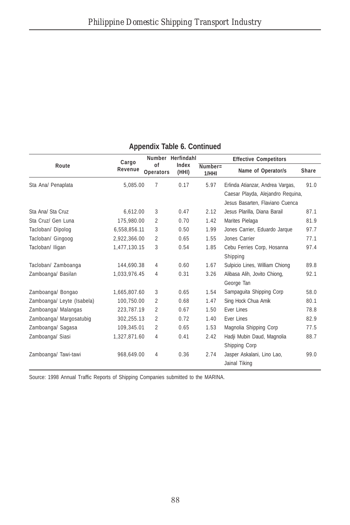| Route                      | Cargo<br>Revenue | of<br><b>Operators</b> | Number Herfindahl<br>Index<br>(HHI) | <b>Effective Competitors</b> |                                   |       |
|----------------------------|------------------|------------------------|-------------------------------------|------------------------------|-----------------------------------|-------|
|                            |                  |                        |                                     | $Number =$<br>1/HHI          | Name of Operator/s                | Share |
| Sta Ana/ Penaplata         | 5.085.00         | 7                      | 0.17                                | 5.97                         | Erlinda Atianzar, Andrea Vargas,  | 91.0  |
|                            |                  |                        |                                     |                              | Caesar Playda, Alejandro Reguina, |       |
|                            |                  |                        |                                     |                              | Jesus Basarten, Flaviano Cuenca   |       |
| Sta Anal Sta Cruz          | 6.612.00         | 3                      | 0.47                                | 2.12                         | Jesus Plarilla, Diana Barail      | 87.1  |
| Sta Cruz/ Gen Luna         | 175,980.00       | $\overline{2}$         | 0.70                                | 1.42                         | Marites Pielaga                   | 81.9  |
| Tacloban/ Dipolog          | 6,558,856.11     | 3                      | 0.50                                | 1.99                         | Jones Carrier, Eduardo Jarque     | 97.7  |
| Tacloban/ Gingoog          | 2,922,366.00     | $\overline{2}$         | 0.65                                | 1.55                         | Jones Carrier                     | 77.1  |
| Tacloban/ Iligan           | 1,477,130.15     | 3                      | 0.54                                | 1.85                         | Cebu Ferries Corp, Hosanna        | 97.4  |
|                            |                  |                        |                                     |                              | Shipping                          |       |
| Tacloban/ Zamboanga        | 144,690.38       | 4                      | 0.60                                | 1.67                         | Sulpicio Lines, William Chiong    | 89.8  |
| Zamboanga/ Basilan         | 1,033,976.45     | 4                      | 0.31                                | 3.26                         | Alibasa Alih, Jovito Chiong,      | 92.1  |
|                            |                  |                        |                                     |                              | George Tan                        |       |
| Zamboanga/ Bongao          | 1,665,807.60     | 3                      | 0.65                                | 1.54                         | Sampaquita Shipping Corp          | 58.0  |
| Zamboanga/ Leyte (Isabela) | 100,750.00       | $\overline{2}$         | 0.68                                | 1.47                         | Sing Hock Chua Amik               | 80.1  |
| Zamboanga/ Malangas        | 223,787.19       | $\overline{2}$         | 0.67                                | 1.50                         | Ever Lines                        | 78.8  |
| Zamboanga/ Margosatubiq    | 302,255.13       | $\overline{2}$         | 0.72                                | 1.40                         | <b>Ever Lines</b>                 | 82.9  |
| Zamboanga/ Sagasa          | 109,345.01       | $\overline{2}$         | 0.65                                | 1.53                         | Magnolia Shipping Corp            | 77.5  |
| Zamboanga/ Siasi           | 1,327,871.60     | 4                      | 0.41                                | 2.42                         | Hadji Mubin Daud, Magnolia        | 88.7  |
|                            |                  |                        |                                     |                              | Shipping Corp                     |       |
| Zamboanga/ Tawi-tawi       | 968,649.00       | 4                      | 0.36                                | 2.74                         | Jasper Askalani, Lino Lao,        | 99.0  |
|                            |                  |                        |                                     |                              | Jainal Tiking                     |       |

Source: 1998 Annual Traffic Reports of Shipping Companies submitted to the MARINA.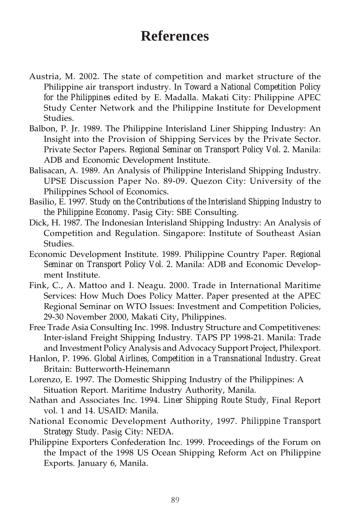# **References**

- Austria, M. 2002. The state of competition and market structure of the Philippine air transport industry. In *Toward a National Competition Policy for the Philippines* edited by E. Madalla. Makati City: Philippine APEC Study Center Network and the Philippine Institute for Development Studies.
- Balbon, P. Jr. 1989. The Philippine Interisland Liner Shipping Industry: An Insight into the Provision of Shipping Services by the Private Sector. Private Sector Papers. *Regional Seminar on Transport Policy Vol. 2.* Manila: ADB and Economic Development Institute.
- Balisacan, A. 1989. An Analysis of Philippine Interisland Shipping Industry. UPSE Discussion Paper No. 89-09. Quezon City: University of the Philippines School of Economics.
- Basilio, E. 1997. *Study on the Contributions of the Interisland Shipping Industry to the Philippine Economy.* Pasig City: SBE Consulting.
- Dick, H. 1987. The Indonesian Interisland Shipping Industry: An Analysis of Competition and Regulation. Singapore: Institute of Southeast Asian Studies.
- Economic Development Institute. 1989. Philippine Country Paper. *Regional Seminar on Transport Policy Vol. 2.* Manila: ADB and Economic Development Institute.
- Fink, C., A. Mattoo and I. Neagu. 2000. Trade in International Maritime Services: How Much Does Policy Matter. Paper presented at the APEC Regional Seminar on WTO Issues: Investment and Competition Policies, 29-30 November 2000, Makati City, Philippines.
- Free Trade Asia Consulting Inc. 1998. Industry Structure and Competitivenes: Inter-island Freight Shipping Industry. TAPS PP 1998-21. Manila: Trade and Investment Policy Analysis and Advocacy Support Project, Philexport.
- Hanlon, P. 1996. *Global Airlines, Competition in a Transnational Industry.* Great Britain: Butterworth-Heinemann
- Lorenzo, E. 1997. The Domestic Shipping Industry of the Philippines: A Situation Report. Maritime Industry Authority, Manila.
- Nathan and Associates Inc. 1994. *Liner Shipping Route Study,* Final Report vol. 1 and 14. USAID: Manila.
- National Economic Development Authority, 1997. *Philippine Transport Strategy Study.* Pasig City: NEDA.
- Philippine Exporters Confederation Inc. 1999. Proceedings of the Forum on the Impact of the 1998 US Ocean Shipping Reform Act on Philippine Exports. January 6, Manila.